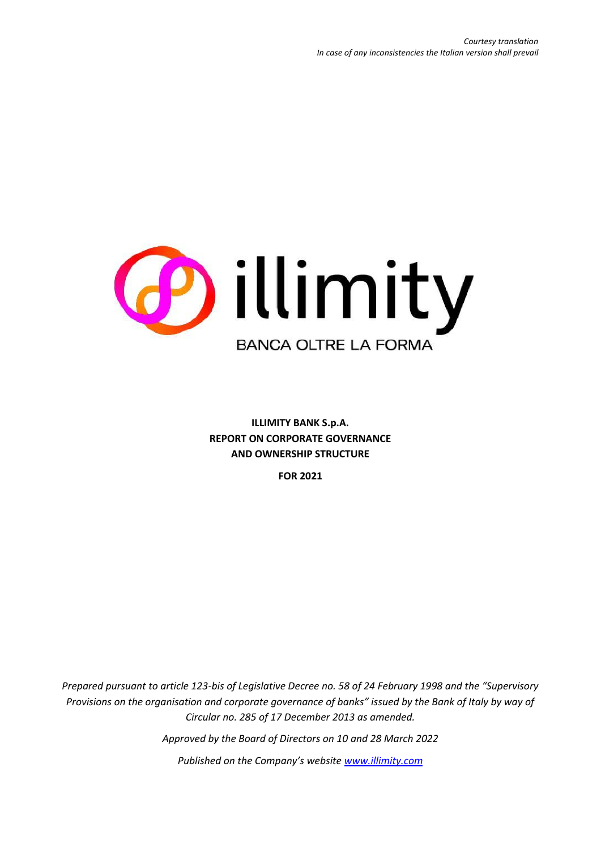

**ILLIMITY BANK S.p.A. REPORT ON CORPORATE GOVERNANCE AND OWNERSHIP STRUCTURE** 

**FOR 2021**

*Prepared pursuant to article 123-bis of Legislative Decree no. 58 of 24 February 1998 and the "Supervisory Provisions on the organisation and corporate governance of banks" issued by the Bank of Italy by way of Circular no. 285 of 17 December 2013 as amended.*

*Approved by the Board of Directors on 10 and 28 March 2022*

*Published on the Company's website [www.illimity.com](http://www.illimity.com/)*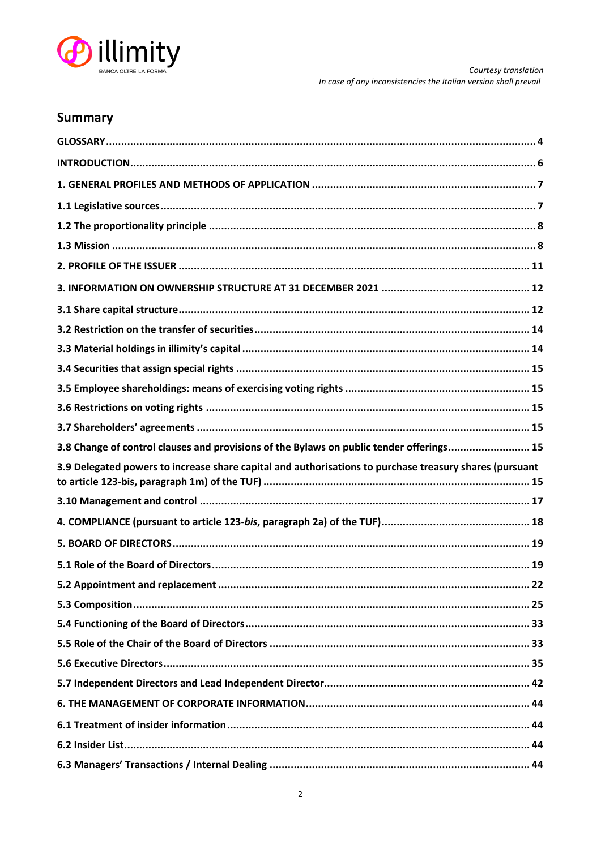

# **Summary**

| 3.8 Change of control clauses and provisions of the Bylaws on public tender offerings 15                |
|---------------------------------------------------------------------------------------------------------|
|                                                                                                         |
| 3.9 Delegated powers to increase share capital and authorisations to purchase treasury shares (pursuant |
|                                                                                                         |
|                                                                                                         |
|                                                                                                         |
|                                                                                                         |
| . 22                                                                                                    |
|                                                                                                         |
|                                                                                                         |
|                                                                                                         |
|                                                                                                         |
|                                                                                                         |
|                                                                                                         |
|                                                                                                         |
|                                                                                                         |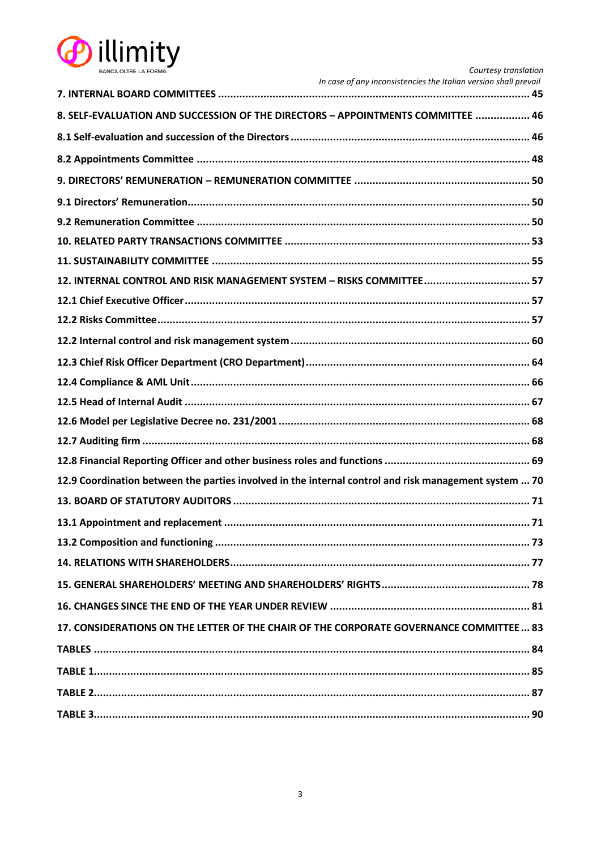

| <b>BANCA OLTRE LA FORMA</b>                                                                           | Courtesy translation                                             |
|-------------------------------------------------------------------------------------------------------|------------------------------------------------------------------|
|                                                                                                       | In case of any inconsistencies the Italian version shall prevail |
| 8. SELF-EVALUATION AND SUCCESSION OF THE DIRECTORS - APPOINTMENTS COMMITTEE  46                       |                                                                  |
|                                                                                                       |                                                                  |
|                                                                                                       |                                                                  |
|                                                                                                       |                                                                  |
|                                                                                                       |                                                                  |
|                                                                                                       |                                                                  |
|                                                                                                       |                                                                  |
|                                                                                                       |                                                                  |
|                                                                                                       |                                                                  |
|                                                                                                       |                                                                  |
|                                                                                                       |                                                                  |
|                                                                                                       |                                                                  |
|                                                                                                       |                                                                  |
|                                                                                                       |                                                                  |
|                                                                                                       |                                                                  |
|                                                                                                       |                                                                  |
|                                                                                                       |                                                                  |
|                                                                                                       |                                                                  |
| 12.9 Coordination between the parties involved in the internal control and risk management system  70 |                                                                  |
|                                                                                                       |                                                                  |
|                                                                                                       |                                                                  |
|                                                                                                       |                                                                  |
|                                                                                                       |                                                                  |
|                                                                                                       |                                                                  |
|                                                                                                       |                                                                  |
| 17. CONSIDERATIONS ON THE LETTER OF THE CHAIR OF THE CORPORATE GOVERNANCE COMMITTEE 83                |                                                                  |
|                                                                                                       |                                                                  |
|                                                                                                       |                                                                  |
|                                                                                                       |                                                                  |
|                                                                                                       |                                                                  |
|                                                                                                       |                                                                  |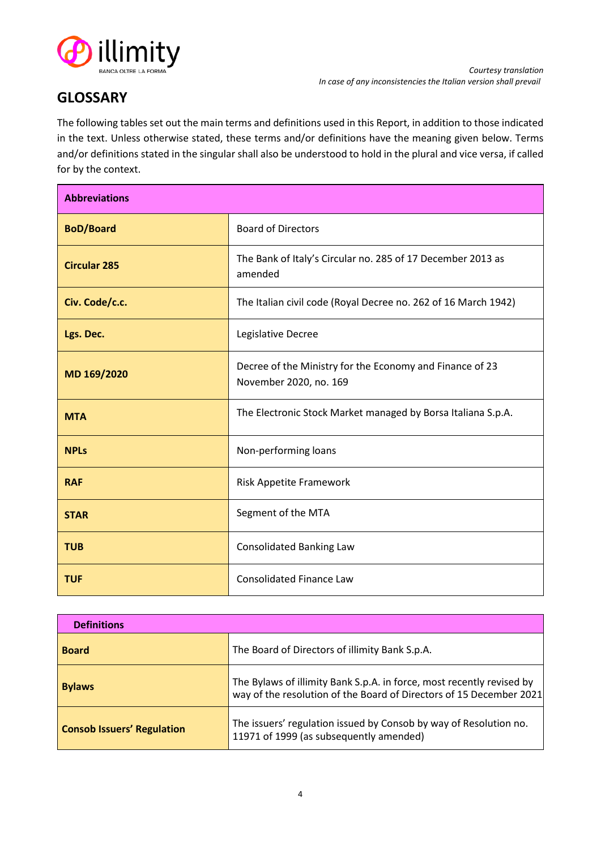

# <span id="page-3-0"></span>**GLOSSARY**

The following tables set out the main terms and definitions used in this Report, in addition to those indicated in the text. Unless otherwise stated, these terms and/or definitions have the meaning given below. Terms and/or definitions stated in the singular shall also be understood to hold in the plural and vice versa, if called for by the context.

| <b>Abbreviations</b> |                                                                                    |
|----------------------|------------------------------------------------------------------------------------|
| <b>BoD/Board</b>     | <b>Board of Directors</b>                                                          |
| <b>Circular 285</b>  | The Bank of Italy's Circular no. 285 of 17 December 2013 as<br>amended             |
| Civ. Code/c.c.       | The Italian civil code (Royal Decree no. 262 of 16 March 1942)                     |
| Lgs. Dec.            | Legislative Decree                                                                 |
| MD 169/2020          | Decree of the Ministry for the Economy and Finance of 23<br>November 2020, no. 169 |
| <b>MTA</b>           | The Electronic Stock Market managed by Borsa Italiana S.p.A.                       |
| <b>NPLs</b>          | Non-performing loans                                                               |
| <b>RAF</b>           | Risk Appetite Framework                                                            |
| <b>STAR</b>          | Segment of the MTA                                                                 |
| <b>TUB</b>           | <b>Consolidated Banking Law</b>                                                    |
| <b>TUF</b>           | <b>Consolidated Finance Law</b>                                                    |

| <b>Definitions</b>                |                                                                                                                                              |
|-----------------------------------|----------------------------------------------------------------------------------------------------------------------------------------------|
| <b>Board</b>                      | The Board of Directors of illimity Bank S.p.A.                                                                                               |
| <b>Bylaws</b>                     | The Bylaws of illimity Bank S.p.A. in force, most recently revised by<br>way of the resolution of the Board of Directors of 15 December 2021 |
| <b>Consob Issuers' Regulation</b> | The issuers' regulation issued by Consob by way of Resolution no.<br>11971 of 1999 (as subsequently amended)                                 |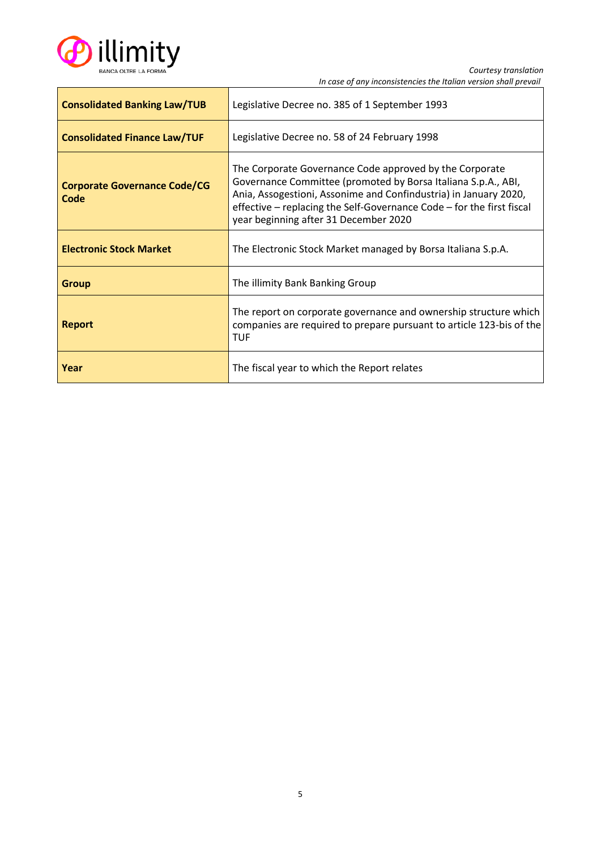

| <b>Consolidated Banking Law/TUB</b>         | Legislative Decree no. 385 of 1 September 1993                                                                                                                                                                                                                                                                 |  |
|---------------------------------------------|----------------------------------------------------------------------------------------------------------------------------------------------------------------------------------------------------------------------------------------------------------------------------------------------------------------|--|
| <b>Consolidated Finance Law/TUF</b>         | Legislative Decree no. 58 of 24 February 1998                                                                                                                                                                                                                                                                  |  |
| <b>Corporate Governance Code/CG</b><br>Code | The Corporate Governance Code approved by the Corporate<br>Governance Committee (promoted by Borsa Italiana S.p.A., ABI,<br>Ania, Assogestioni, Assonime and Confindustria) in January 2020,<br>effective - replacing the Self-Governance Code - for the first fiscal<br>year beginning after 31 December 2020 |  |
| <b>Electronic Stock Market</b>              | The Electronic Stock Market managed by Borsa Italiana S.p.A.                                                                                                                                                                                                                                                   |  |
| <b>Group</b>                                | The illimity Bank Banking Group                                                                                                                                                                                                                                                                                |  |
| <b>Report</b>                               | The report on corporate governance and ownership structure which<br>companies are required to prepare pursuant to article 123-bis of the<br><b>TUF</b>                                                                                                                                                         |  |
| Year                                        | The fiscal year to which the Report relates                                                                                                                                                                                                                                                                    |  |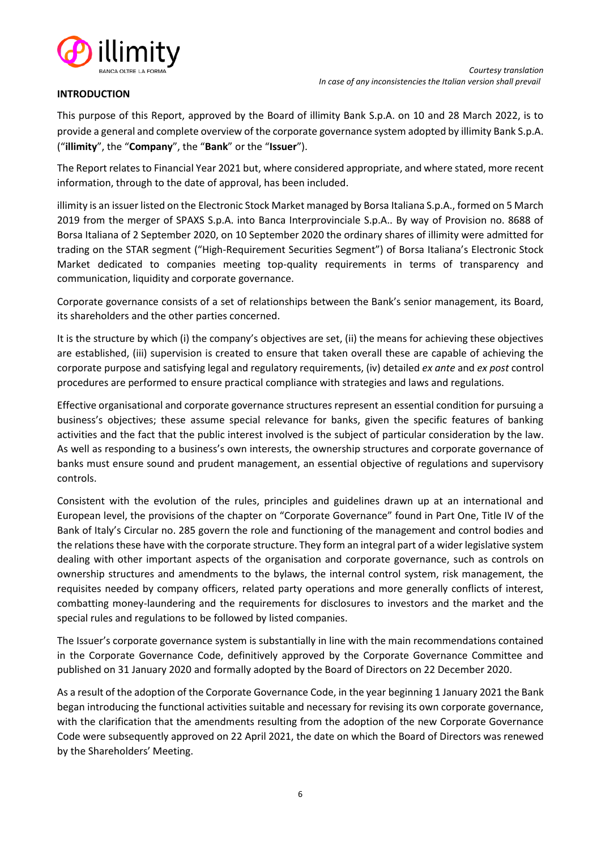

#### <span id="page-5-0"></span>**INTRODUCTION**

This purpose of this Report, approved by the Board of illimity Bank S.p.A. on 10 and 28 March 2022, is to provide a general and complete overview of the corporate governance system adopted by illimity Bank S.p.A. ("**illimity**", the "**Company**", the "**Bank**" or the "**Issuer**").

The Report relates to Financial Year 2021 but, where considered appropriate, and where stated, more recent information, through to the date of approval, has been included.

illimity is an issuer listed on the Electronic Stock Market managed by Borsa Italiana S.p.A., formed on 5 March 2019 from the merger of SPAXS S.p.A. into Banca Interprovinciale S.p.A.. By way of Provision no. 8688 of Borsa Italiana of 2 September 2020, on 10 September 2020 the ordinary shares of illimity were admitted for trading on the STAR segment ("High-Requirement Securities Segment") of Borsa Italiana's Electronic Stock Market dedicated to companies meeting top-quality requirements in terms of transparency and communication, liquidity and corporate governance.

Corporate governance consists of a set of relationships between the Bank's senior management, its Board, its shareholders and the other parties concerned.

It is the structure by which (i) the company's objectives are set, (ii) the means for achieving these objectives are established, (iii) supervision is created to ensure that taken overall these are capable of achieving the corporate purpose and satisfying legal and regulatory requirements, (iv) detailed *ex ante* and *ex post* control procedures are performed to ensure practical compliance with strategies and laws and regulations.

Effective organisational and corporate governance structures represent an essential condition for pursuing a business's objectives; these assume special relevance for banks, given the specific features of banking activities and the fact that the public interest involved is the subject of particular consideration by the law. As well as responding to a business's own interests, the ownership structures and corporate governance of banks must ensure sound and prudent management, an essential objective of regulations and supervisory controls.

Consistent with the evolution of the rules, principles and guidelines drawn up at an international and European level, the provisions of the chapter on "Corporate Governance" found in Part One, Title IV of the Bank of Italy's Circular no. 285 govern the role and functioning of the management and control bodies and the relations these have with the corporate structure. They form an integral part of a wider legislative system dealing with other important aspects of the organisation and corporate governance, such as controls on ownership structures and amendments to the bylaws, the internal control system, risk management, the requisites needed by company officers, related party operations and more generally conflicts of interest, combatting money-laundering and the requirements for disclosures to investors and the market and the special rules and regulations to be followed by listed companies.

The Issuer's corporate governance system is substantially in line with the main recommendations contained in the Corporate Governance Code, definitively approved by the Corporate Governance Committee and published on 31 January 2020 and formally adopted by the Board of Directors on 22 December 2020.

As a result of the adoption of the Corporate Governance Code, in the year beginning 1 January 2021 the Bank began introducing the functional activities suitable and necessary for revising its own corporate governance, with the clarification that the amendments resulting from the adoption of the new Corporate Governance Code were subsequently approved on 22 April 2021, the date on which the Board of Directors was renewed by the Shareholders' Meeting.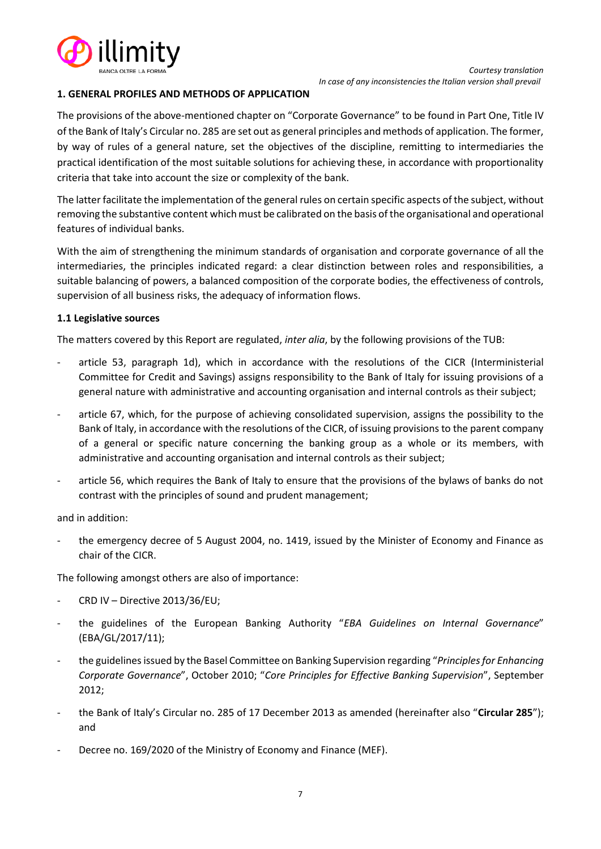

#### <span id="page-6-0"></span>**1. GENERAL PROFILES AND METHODS OF APPLICATION**

The provisions of the above-mentioned chapter on "Corporate Governance" to be found in Part One, Title IV of the Bank of Italy's Circular no. 285 are set out as general principles and methods of application. The former, by way of rules of a general nature, set the objectives of the discipline, remitting to intermediaries the practical identification of the most suitable solutions for achieving these, in accordance with proportionality criteria that take into account the size or complexity of the bank.

The latter facilitate the implementation of the general rules on certain specific aspects of the subject, without removing the substantive content which must be calibrated on the basis of the organisational and operational features of individual banks.

With the aim of strengthening the minimum standards of organisation and corporate governance of all the intermediaries, the principles indicated regard: a clear distinction between roles and responsibilities, a suitable balancing of powers, a balanced composition of the corporate bodies, the effectiveness of controls, supervision of all business risks, the adequacy of information flows.

## <span id="page-6-1"></span>**1.1 Legislative sources**

The matters covered by this Report are regulated, *inter alia*, by the following provisions of the TUB:

- article 53, paragraph 1d), which in accordance with the resolutions of the CICR (Interministerial Committee for Credit and Savings) assigns responsibility to the Bank of Italy for issuing provisions of a general nature with administrative and accounting organisation and internal controls as their subject;
- article 67, which, for the purpose of achieving consolidated supervision, assigns the possibility to the Bank of Italy, in accordance with the resolutions of the CICR, of issuing provisions to the parent company of a general or specific nature concerning the banking group as a whole or its members, with administrative and accounting organisation and internal controls as their subject;
- article 56, which requires the Bank of Italy to ensure that the provisions of the bylaws of banks do not contrast with the principles of sound and prudent management;

and in addition:

the emergency decree of 5 August 2004, no. 1419, issued by the Minister of Economy and Finance as chair of the CICR.

The following amongst others are also of importance:

- CRD IV Directive 2013/36/EU;
- the guidelines of the European Banking Authority "*EBA Guidelines on Internal Governance*" (EBA/GL/2017/11);
- the guidelines issued by the Basel Committee on Banking Supervision regarding "*Principles for Enhancing Corporate Governance*", October 2010; "*Core Principles for Effective Banking Supervision*", September 2012;
- the Bank of Italy's Circular no. 285 of 17 December 2013 as amended (hereinafter also "**Circular 285**"); and
- Decree no. 169/2020 of the Ministry of Economy and Finance (MEF).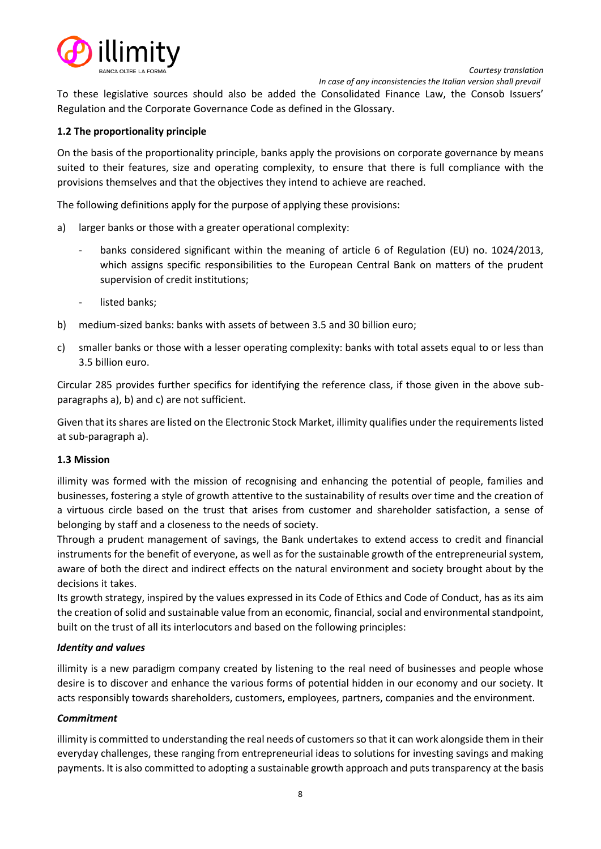



 *In case of any inconsistencies the Italian version shall prevail*

To these legislative sources should also be added the Consolidated Finance Law, the Consob Issuers' Regulation and the Corporate Governance Code as defined in the Glossary.

## <span id="page-7-0"></span>**1.2 The proportionality principle**

On the basis of the proportionality principle, banks apply the provisions on corporate governance by means suited to their features, size and operating complexity, to ensure that there is full compliance with the provisions themselves and that the objectives they intend to achieve are reached.

The following definitions apply for the purpose of applying these provisions:

- a) larger banks or those with a greater operational complexity:
	- banks considered significant within the meaning of article 6 of Regulation (EU) no. 1024/2013, which assigns specific responsibilities to the European Central Bank on matters of the prudent supervision of credit institutions;
	- listed banks;
- b) medium-sized banks: banks with assets of between 3.5 and 30 billion euro;
- c) smaller banks or those with a lesser operating complexity: banks with total assets equal to or less than 3.5 billion euro.

Circular 285 provides further specifics for identifying the reference class, if those given in the above subparagraphs a), b) and c) are not sufficient.

Given that its shares are listed on the Electronic Stock Market, illimity qualifies under the requirements listed at sub-paragraph a).

#### <span id="page-7-1"></span>**1.3 Mission**

illimity was formed with the mission of recognising and enhancing the potential of people, families and businesses, fostering a style of growth attentive to the sustainability of results over time and the creation of a virtuous circle based on the trust that arises from customer and shareholder satisfaction, a sense of belonging by staff and a closeness to the needs of society.

Through a prudent management of savings, the Bank undertakes to extend access to credit and financial instruments for the benefit of everyone, as well as for the sustainable growth of the entrepreneurial system, aware of both the direct and indirect effects on the natural environment and society brought about by the decisions it takes.

Its growth strategy, inspired by the values expressed in its Code of Ethics and Code of Conduct, has as its aim the creation of solid and sustainable value from an economic, financial, social and environmental standpoint, built on the trust of all its interlocutors and based on the following principles:

#### *Identity and values*

illimity is a new paradigm company created by listening to the real need of businesses and people whose desire is to discover and enhance the various forms of potential hidden in our economy and our society. It acts responsibly towards shareholders, customers, employees, partners, companies and the environment.

#### *Commitment*

illimity is committed to understanding the real needs of customers so that it can work alongside them in their everyday challenges, these ranging from entrepreneurial ideas to solutions for investing savings and making payments. It is also committed to adopting a sustainable growth approach and puts transparency at the basis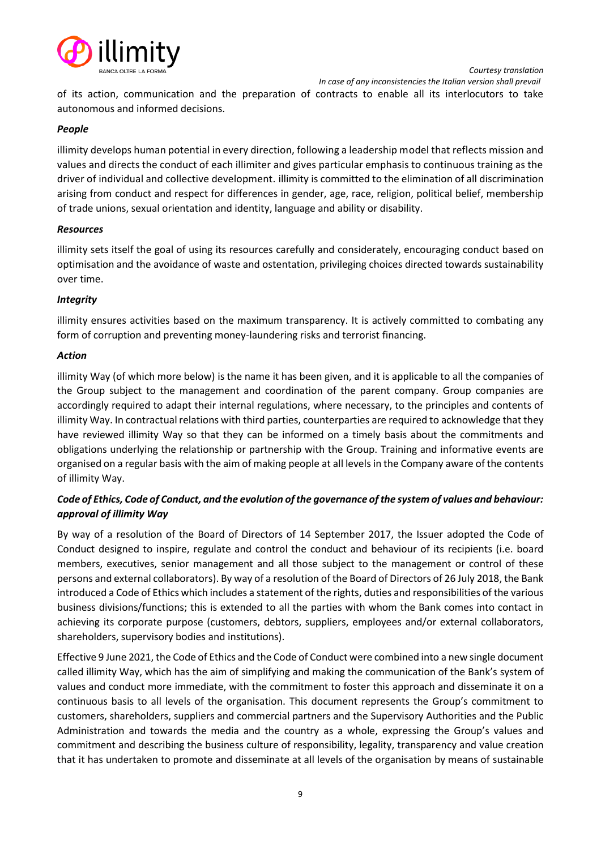

 *In case of any inconsistencies the Italian version shall prevail*

of its action, communication and the preparation of contracts to enable all its interlocutors to take autonomous and informed decisions.

# *People*

illimity develops human potential in every direction, following a leadership model that reflects mission and values and directs the conduct of each illimiter and gives particular emphasis to continuous training as the driver of individual and collective development. illimity is committed to the elimination of all discrimination arising from conduct and respect for differences in gender, age, race, religion, political belief, membership of trade unions, sexual orientation and identity, language and ability or disability.

## *Resources*

illimity sets itself the goal of using its resources carefully and considerately, encouraging conduct based on optimisation and the avoidance of waste and ostentation, privileging choices directed towards sustainability over time.

# *Integrity*

illimity ensures activities based on the maximum transparency. It is actively committed to combating any form of corruption and preventing money-laundering risks and terrorist financing.

## *Action*

illimity Way (of which more below) is the name it has been given, and it is applicable to all the companies of the Group subject to the management and coordination of the parent company. Group companies are accordingly required to adapt their internal regulations, where necessary, to the principles and contents of illimity Way. In contractual relations with third parties, counterparties are required to acknowledge that they have reviewed illimity Way so that they can be informed on a timely basis about the commitments and obligations underlying the relationship or partnership with the Group. Training and informative events are organised on a regular basis with the aim of making people at all levels in the Company aware of the contents of illimity Way.

# *Code of Ethics, Code of Conduct, and the evolution of the governance of the system of values and behaviour: approval of illimity Way*

By way of a resolution of the Board of Directors of 14 September 2017, the Issuer adopted the Code of Conduct designed to inspire, regulate and control the conduct and behaviour of its recipients (i.e. board members, executives, senior management and all those subject to the management or control of these persons and external collaborators). By way of a resolution of the Board of Directors of 26 July 2018, the Bank introduced a Code of Ethics which includes a statement of the rights, duties and responsibilities of the various business divisions/functions; this is extended to all the parties with whom the Bank comes into contact in achieving its corporate purpose (customers, debtors, suppliers, employees and/or external collaborators, shareholders, supervisory bodies and institutions).

Effective 9 June 2021, the Code of Ethics and the Code of Conduct were combined into a new single document called illimity Way, which has the aim of simplifying and making the communication of the Bank's system of values and conduct more immediate, with the commitment to foster this approach and disseminate it on a continuous basis to all levels of the organisation. This document represents the Group's commitment to customers, shareholders, suppliers and commercial partners and the Supervisory Authorities and the Public Administration and towards the media and the country as a whole, expressing the Group's values and commitment and describing the business culture of responsibility, legality, transparency and value creation that it has undertaken to promote and disseminate at all levels of the organisation by means of sustainable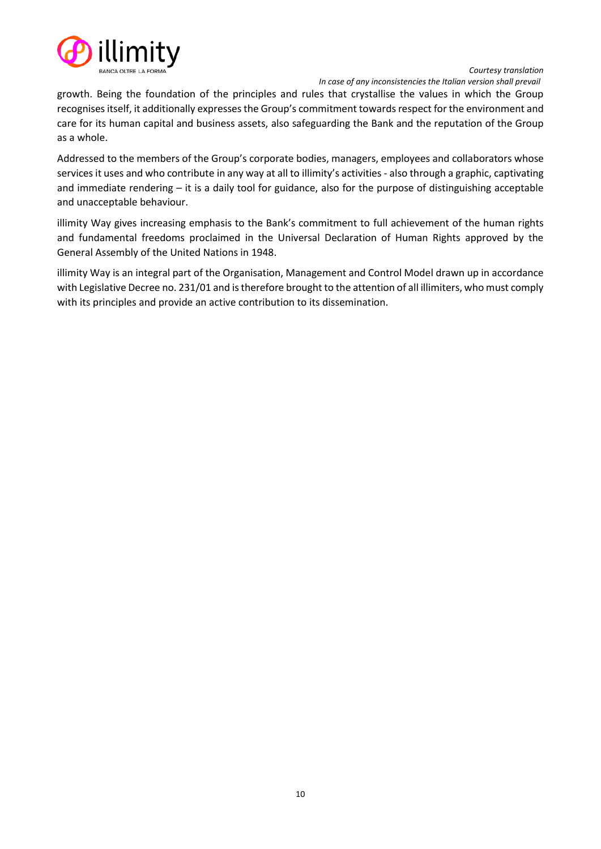

 *In case of any inconsistencies the Italian version shall prevail*

growth. Being the foundation of the principles and rules that crystallise the values in which the Group recognises itself, it additionally expresses the Group's commitment towards respect for the environment and care for its human capital and business assets, also safeguarding the Bank and the reputation of the Group as a whole.

Addressed to the members of the Group's corporate bodies, managers, employees and collaborators whose services it uses and who contribute in any way at all to illimity's activities - also through a graphic, captivating and immediate rendering – it is a daily tool for guidance, also for the purpose of distinguishing acceptable and unacceptable behaviour.

illimity Way gives increasing emphasis to the Bank's commitment to full achievement of the human rights and fundamental freedoms proclaimed in the Universal Declaration of Human Rights approved by the General Assembly of the United Nations in 1948.

illimity Way is an integral part of the Organisation, Management and Control Model drawn up in accordance with Legislative Decree no. 231/01 and is therefore brought to the attention of all illimiters, who must comply with its principles and provide an active contribution to its dissemination.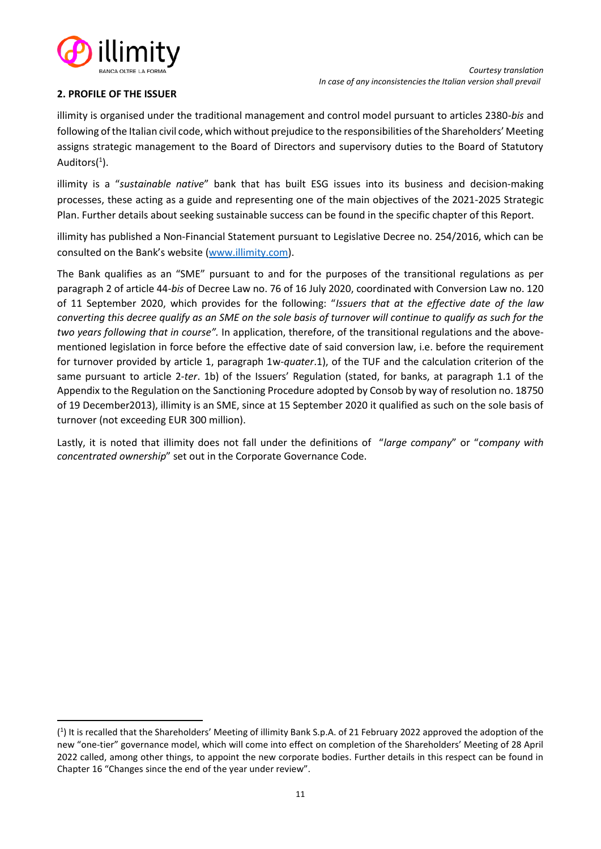

# <span id="page-10-0"></span>**2. PROFILE OF THE ISSUER**

illimity is organised under the traditional management and control model pursuant to articles 2380-*bis* and following of the Italian civil code, which without prejudice to the responsibilities of the Shareholders' Meeting assigns strategic management to the Board of Directors and supervisory duties to the Board of Statutory Auditors(<sup>1</sup>).

illimity is a "*sustainable native*" bank that has built ESG issues into its business and decision-making processes, these acting as a guide and representing one of the main objectives of the 2021-2025 Strategic Plan. Further details about seeking sustainable success can be found in the specific chapter of this Report.

illimity has published a Non-Financial Statement pursuant to Legislative Decree no. 254/2016, which can be consulted on the Bank's website [\(www.illimity.com\)](http://www.illimity.com/).

The Bank qualifies as an "SME" pursuant to and for the purposes of the transitional regulations as per paragraph 2 of article 44-*bis* of Decree La[w no. 76 of 16 July 2020,](https://www.normattiva.it/uri-res/N2Ls?urn:nir:stato:decreto.legge:2020-07-16;76) coordinated with Conversion Law no. 120 of 11 September 2020, which provides for the following: "*Issuers that at the effective date of the law converting this decree qualify as an SME on the sole basis of turnover will continue to qualify as such for the two years following that in course".* In application, therefore, of the transitional regulations and the abovementioned legislation in force before the effective date of said conversion law, i.e. before the requirement for turnover provided by article 1, paragraph 1w-*quater*.1), of the TUF and the calculation criterion of the same pursuant to article 2-*ter*. 1b) of the Issuers' Regulation (stated, for banks, at paragraph 1.1 of the Appendix to the Regulation on the Sanctioning Procedure adopted by Consob by way of resolution no. 18750 of 19 December2013), illimity is an SME, since at 15 September 2020 it qualified as such on the sole basis of turnover (not exceeding EUR 300 million).

Lastly, it is noted that illimity does not fall under the definitions of "*large company*" or "*company with concentrated ownership*" set out in the Corporate Governance Code.

<sup>(</sup> 1 ) It is recalled that the Shareholders' Meeting of illimity Bank S.p.A. of 21 February 2022 approved the adoption of the new "one-tier" governance model, which will come into effect on completion of the Shareholders' Meeting of 28 April 2022 called, among other things, to appoint the new corporate bodies. Further details in this respect can be found in Chapter 16 "Changes since the end of the year under review".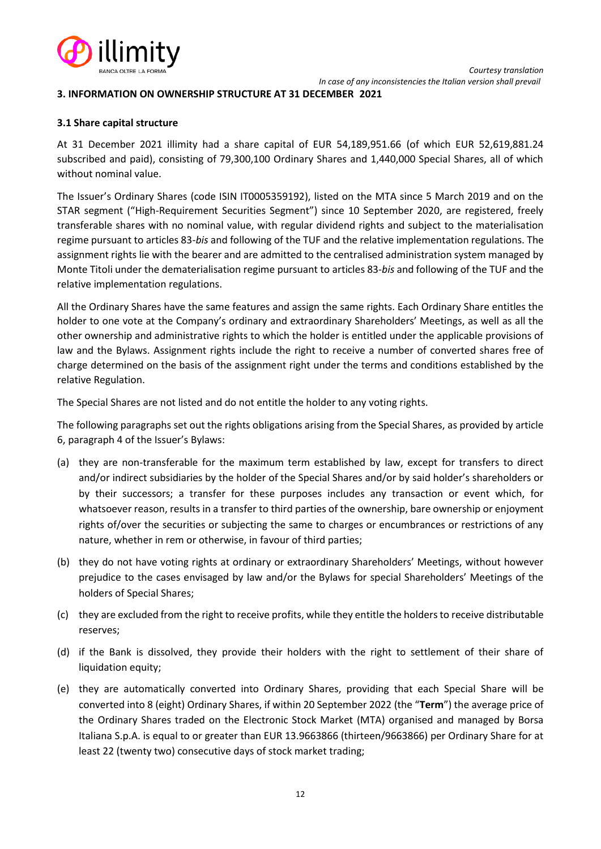

#### <span id="page-11-0"></span>**3. INFORMATION ON OWNERSHIP STRUCTURE AT 31 DECEMBER 2021**

#### <span id="page-11-1"></span>**3.1 Share capital structure**

At 31 December 2021 illimity had a share capital of EUR 54,189,951.66 (of which EUR 52,619,881.24 subscribed and paid), consisting of 79,300,100 Ordinary Shares and 1,440,000 Special Shares, all of which without nominal value.

The Issuer's Ordinary Shares (code ISIN IT0005359192), listed on the MTA since 5 March 2019 and on the STAR segment ("High-Requirement Securities Segment") since 10 September 2020, are registered, freely transferable shares with no nominal value, with regular dividend rights and subject to the materialisation regime pursuant to articles 83-*bis* and following of the TUF and the relative implementation regulations. The assignment rights lie with the bearer and are admitted to the centralised administration system managed by Monte Titoli under the dematerialisation regime pursuant to articles 83-*bis* and following of the TUF and the relative implementation regulations.

All the Ordinary Shares have the same features and assign the same rights. Each Ordinary Share entitles the holder to one vote at the Company's ordinary and extraordinary Shareholders' Meetings, as well as all the other ownership and administrative rights to which the holder is entitled under the applicable provisions of law and the Bylaws. Assignment rights include the right to receive a number of converted shares free of charge determined on the basis of the assignment right under the terms and conditions established by the relative Regulation.

The Special Shares are not listed and do not entitle the holder to any voting rights.

The following paragraphs set out the rights obligations arising from the Special Shares, as provided by article 6, paragraph 4 of the Issuer's Bylaws:

- (a) they are non-transferable for the maximum term established by law, except for transfers to direct and/or indirect subsidiaries by the holder of the Special Shares and/or by said holder's shareholders or by their successors; a transfer for these purposes includes any transaction or event which, for whatsoever reason, results in a transfer to third parties of the ownership, bare ownership or enjoyment rights of/over the securities or subjecting the same to charges or encumbrances or restrictions of any nature, whether in rem or otherwise, in favour of third parties;
- (b) they do not have voting rights at ordinary or extraordinary Shareholders' Meetings, without however prejudice to the cases envisaged by law and/or the Bylaws for special Shareholders' Meetings of the holders of Special Shares;
- (c) they are excluded from the right to receive profits, while they entitle the holders to receive distributable reserves;
- (d) if the Bank is dissolved, they provide their holders with the right to settlement of their share of liquidation equity;
- (e) they are automatically converted into Ordinary Shares, providing that each Special Share will be converted into 8 (eight) Ordinary Shares, if within 20 September 2022 (the "**Term**") the average price of the Ordinary Shares traded on the Electronic Stock Market (MTA) organised and managed by Borsa Italiana S.p.A. is equal to or greater than EUR 13.9663866 (thirteen/9663866) per Ordinary Share for at least 22 (twenty two) consecutive days of stock market trading;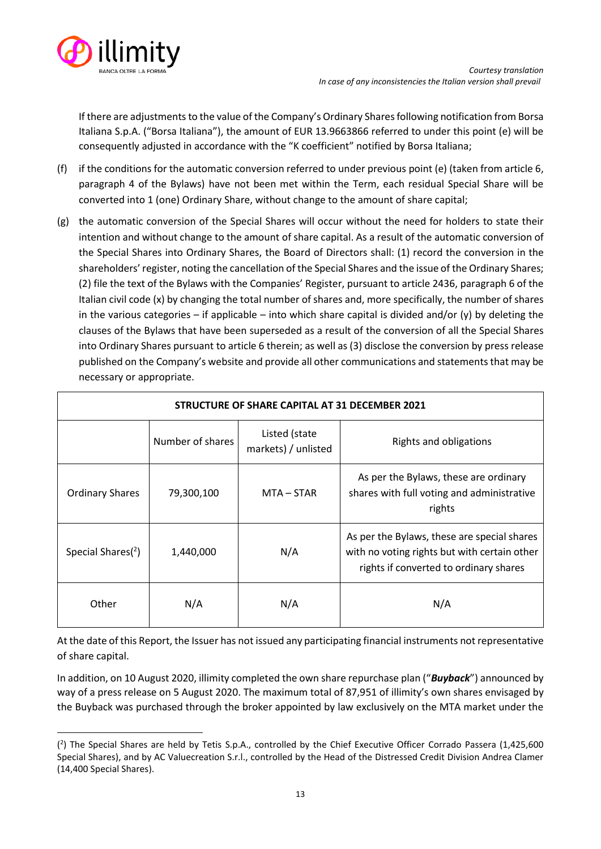

If there are adjustments to the value of the Company's Ordinary Shares following notification from Borsa Italiana S.p.A. ("Borsa Italiana"), the amount of EUR 13.9663866 referred to under this point (e) will be consequently adjusted in accordance with the "K coefficient" notified by Borsa Italiana;

- (f) if the conditions for the automatic conversion referred to under previous point (e) (taken from article 6, paragraph 4 of the Bylaws) have not been met within the Term, each residual Special Share will be converted into 1 (one) Ordinary Share, without change to the amount of share capital;
- (g) the automatic conversion of the Special Shares will occur without the need for holders to state their intention and without change to the amount of share capital. As a result of the automatic conversion of the Special Shares into Ordinary Shares, the Board of Directors shall: (1) record the conversion in the shareholders' register, noting the cancellation of the Special Shares and the issue of the Ordinary Shares; (2) file the text of the Bylaws with the Companies' Register, pursuant to article 2436, paragraph 6 of the Italian civil code (x) by changing the total number of shares and, more specifically, the number of shares in the various categories – if applicable – into which share capital is divided and/or  $(y)$  by deleting the clauses of the Bylaws that have been superseded as a result of the conversion of all the Special Shares into Ordinary Shares pursuant to article 6 therein; as well as (3) disclose the conversion by press release published on the Company's website and provide all other communications and statements that may be necessary or appropriate.

| STRUCTURE OF SHARE CAPITAL AT 31 DECEMBER 2021 |                  |                                      |                                                                                                                                       |
|------------------------------------------------|------------------|--------------------------------------|---------------------------------------------------------------------------------------------------------------------------------------|
|                                                | Number of shares | Listed (state<br>markets) / unlisted | Rights and obligations                                                                                                                |
| <b>Ordinary Shares</b>                         | 79,300,100       | MTA – STAR                           | As per the Bylaws, these are ordinary<br>shares with full voting and administrative<br>rights                                         |
| Special Shares $(2)$                           | 1,440,000        | N/A                                  | As per the Bylaws, these are special shares<br>with no voting rights but with certain other<br>rights if converted to ordinary shares |
| Other                                          | N/A              | N/A                                  | N/A                                                                                                                                   |

At the date of this Report, the Issuer has not issued any participating financial instruments not representative of share capital.

In addition, on 10 August 2020, illimity completed the own share repurchase plan ("*Buyback*") announced by way of a press release on 5 August 2020. The maximum total of 87,951 of illimity's own shares envisaged by the Buyback was purchased through the broker appointed by law exclusively on the MTA market under the

<sup>(</sup> 2 ) The Special Shares are held by Tetis S.p.A., controlled by the Chief Executive Officer Corrado Passera (1,425,600 Special Shares), and by AC Valuecreation S.r.l., controlled by the Head of the Distressed Credit Division Andrea Clamer (14,400 Special Shares).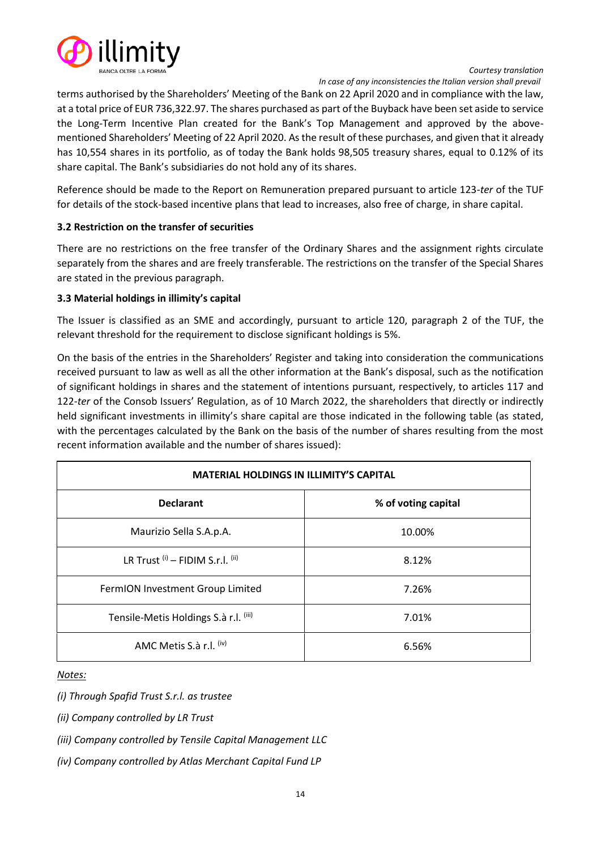

 *In case of any inconsistencies the Italian version shall prevail*

terms authorised by the Shareholders' Meeting of the Bank on 22 April 2020 and in compliance with the law, at a total price of EUR 736,322.97. The shares purchased as part of the Buyback have been set aside to service the Long-Term Incentive Plan created for the Bank's Top Management and approved by the abovementioned Shareholders' Meeting of 22 April 2020. As the result of these purchases, and given that it already has 10,554 shares in its portfolio, as of today the Bank holds 98,505 treasury shares, equal to 0.12% of its share capital. The Bank's subsidiaries do not hold any of its shares.

Reference should be made to the Report on Remuneration prepared pursuant to article 123-*ter* of the TUF for details of the stock-based incentive plans that lead to increases, also free of charge, in share capital.

# <span id="page-13-0"></span>**3.2 Restriction on the transfer of securities**

There are no restrictions on the free transfer of the Ordinary Shares and the assignment rights circulate separately from the shares and are freely transferable. The restrictions on the transfer of the Special Shares are stated in the previous paragraph.

# <span id="page-13-1"></span>**3.3 Material holdings in illimity's capital**

The Issuer is classified as an SME and accordingly, pursuant to article 120, paragraph 2 of the TUF, the relevant threshold for the requirement to disclose significant holdings is 5%.

On the basis of the entries in the Shareholders' Register and taking into consideration the communications received pursuant to law as well as all the other information at the Bank's disposal, such as the notification of significant holdings in shares and the statement of intentions pursuant, respectively, to articles 117 and 122-*ter* of the Consob Issuers' Regulation, as of 10 March 2022, the shareholders that directly or indirectly held significant investments in illimity's share capital are those indicated in the following table (as stated, with the percentages calculated by the Bank on the basis of the number of shares resulting from the most recent information available and the number of shares issued):

| <b>MATERIAL HOLDINGS IN ILLIMITY'S CAPITAL</b> |                     |  |
|------------------------------------------------|---------------------|--|
| <b>Declarant</b>                               | % of voting capital |  |
| Maurizio Sella S.A.p.A.                        | 10.00%              |  |
| LR Trust $(i)$ – FIDIM S.r.l. $(ii)$           | 8.12%               |  |
| FermION Investment Group Limited               | 7.26%               |  |
| Tensile-Metis Holdings S.à r.l. (iii)          | 7.01%               |  |
| AMC Metis S.à r.l. <sup>(iv)</sup>             | 6.56%               |  |

*Notes:*

*(i) Through Spafid Trust S.r.l. as trustee*

*(ii) Company controlled by LR Trust*

- *(iii) Company controlled by Tensile Capital Management LLC*
- *(iv) Company controlled by Atlas Merchant Capital Fund LP*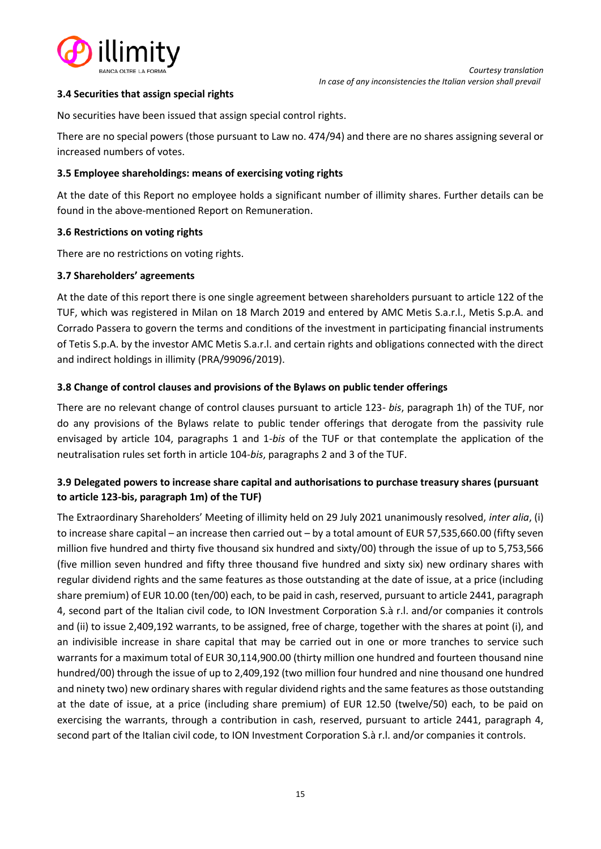

## <span id="page-14-0"></span>**3.4 Securities that assign special rights**

No securities have been issued that assign special control rights.

There are no special powers (those pursuant to Law no. 474/94) and there are no shares assigning several or increased numbers of votes.

# <span id="page-14-1"></span>**3.5 Employee shareholdings: means of exercising voting rights**

At the date of this Report no employee holds a significant number of illimity shares. Further details can be found in the above-mentioned Report on Remuneration.

## <span id="page-14-2"></span>**3.6 Restrictions on voting rights**

There are no restrictions on voting rights.

## <span id="page-14-3"></span>**3.7 Shareholders' agreements**

At the date of this report there is one single agreement between shareholders pursuant to article 122 of the TUF, which was registered in Milan on 18 March 2019 and entered by AMC Metis S.a.r.l., Metis S.p.A. and Corrado Passera to govern the terms and conditions of the investment in participating financial instruments of Tetis S.p.A. by the investor AMC Metis S.a.r.l. and certain rights and obligations connected with the direct and indirect holdings in illimity (PRA/99096/2019).

## <span id="page-14-4"></span>**3.8 Change of control clauses and provisions of the Bylaws on public tender offerings**

There are no relevant change of control clauses pursuant to article 123- *bis*, paragraph 1h) of the TUF, nor do any provisions of the Bylaws relate to public tender offerings that derogate from the passivity rule envisaged by article 104, paragraphs 1 and 1-*bis* of the TUF or that contemplate the application of the neutralisation rules set forth in article 104-*bis*, paragraphs 2 and 3 of the TUF.

# <span id="page-14-5"></span>**3.9 Delegated powers to increase share capital and authorisations to purchase treasury shares (pursuant to article 123-bis, paragraph 1m) of the TUF)**

The Extraordinary Shareholders' Meeting of illimity held on 29 July 2021 unanimously resolved, *inter alia*, (i) to increase share capital – an increase then carried out – by a total amount of EUR 57,535,660.00 (fifty seven million five hundred and thirty five thousand six hundred and sixty/00) through the issue of up to 5,753,566 (five million seven hundred and fifty three thousand five hundred and sixty six) new ordinary shares with regular dividend rights and the same features as those outstanding at the date of issue, at a price (including share premium) of EUR 10.00 (ten/00) each, to be paid in cash, reserved, pursuant to article 2441, paragraph 4, second part of the Italian civil code, to ION Investment Corporation S.à r.l. and/or companies it controls and (ii) to issue 2,409,192 warrants, to be assigned, free of charge, together with the shares at point (i), and an indivisible increase in share capital that may be carried out in one or more tranches to service such warrants for a maximum total of EUR 30,114,900.00 (thirty million one hundred and fourteen thousand nine hundred/00) through the issue of up to 2,409,192 (two million four hundred and nine thousand one hundred and ninety two) new ordinary shares with regular dividend rights and the same features as those outstanding at the date of issue, at a price (including share premium) of EUR 12.50 (twelve/50) each, to be paid on exercising the warrants, through a contribution in cash, reserved, pursuant to article 2441, paragraph 4, second part of the Italian civil code, to ION Investment Corporation S.à r.l. and/or companies it controls.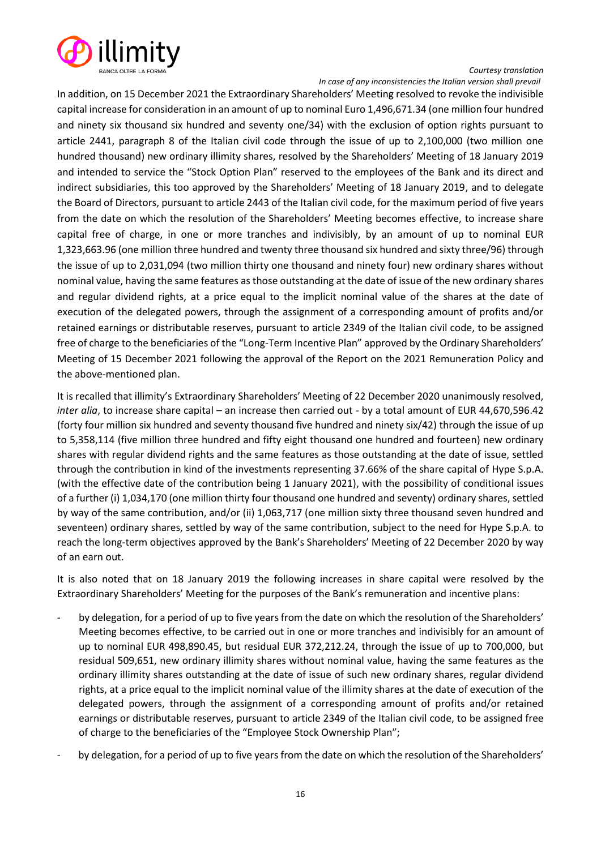

 *In case of any inconsistencies the Italian version shall prevail*

In addition, on 15 December 2021 the Extraordinary Shareholders' Meeting resolved to revoke the indivisible capital increase for consideration in an amount of up to nominal Euro 1,496,671.34 (one million four hundred and ninety six thousand six hundred and seventy one/34) with the exclusion of option rights pursuant to article 2441, paragraph 8 of the Italian civil code through the issue of up to 2,100,000 (two million one hundred thousand) new ordinary illimity shares, resolved by the Shareholders' Meeting of 18 January 2019 and intended to service the "Stock Option Plan" reserved to the employees of the Bank and its direct and indirect subsidiaries, this too approved by the Shareholders' Meeting of 18 January 2019, and to delegate the Board of Directors, pursuant to article 2443 of the Italian civil code, for the maximum period of five years from the date on which the resolution of the Shareholders' Meeting becomes effective, to increase share capital free of charge, in one or more tranches and indivisibly, by an amount of up to nominal EUR 1,323,663.96 (one million three hundred and twenty three thousand six hundred and sixty three/96) through the issue of up to 2,031,094 (two million thirty one thousand and ninety four) new ordinary shares without nominal value, having the same features as those outstanding at the date of issue of the new ordinary shares and regular dividend rights, at a price equal to the implicit nominal value of the shares at the date of execution of the delegated powers, through the assignment of a corresponding amount of profits and/or retained earnings or distributable reserves, pursuant to article 2349 of the Italian civil code, to be assigned free of charge to the beneficiaries of the "Long-Term Incentive Plan" approved by the Ordinary Shareholders' Meeting of 15 December 2021 following the approval of the Report on the 2021 Remuneration Policy and the above-mentioned plan.

It is recalled that illimity's Extraordinary Shareholders' Meeting of 22 December 2020 unanimously resolved, *inter alia*, to increase share capital – an increase then carried out - by a total amount of EUR 44,670,596.42 (forty four million six hundred and seventy thousand five hundred and ninety six/42) through the issue of up to 5,358,114 (five million three hundred and fifty eight thousand one hundred and fourteen) new ordinary shares with regular dividend rights and the same features as those outstanding at the date of issue, settled through the contribution in kind of the investments representing 37.66% of the share capital of Hype S.p.A. (with the effective date of the contribution being 1 January 2021), with the possibility of conditional issues of a further (i) 1,034,170 (one million thirty four thousand one hundred and seventy) ordinary shares, settled by way of the same contribution, and/or (ii) 1,063,717 (one million sixty three thousand seven hundred and seventeen) ordinary shares, settled by way of the same contribution, subject to the need for Hype S.p.A. to reach the long-term objectives approved by the Bank's Shareholders' Meeting of 22 December 2020 by way of an earn out.

It is also noted that on 18 January 2019 the following increases in share capital were resolved by the Extraordinary Shareholders' Meeting for the purposes of the Bank's remuneration and incentive plans:

- by delegation, for a period of up to five years from the date on which the resolution of the Shareholders' Meeting becomes effective, to be carried out in one or more tranches and indivisibly for an amount of up to nominal EUR 498,890.45, but residual EUR 372,212.24, through the issue of up to 700,000, but residual 509,651, new ordinary illimity shares without nominal value, having the same features as the ordinary illimity shares outstanding at the date of issue of such new ordinary shares, regular dividend rights, at a price equal to the implicit nominal value of the illimity shares at the date of execution of the delegated powers, through the assignment of a corresponding amount of profits and/or retained earnings or distributable reserves, pursuant to article 2349 of the Italian civil code, to be assigned free of charge to the beneficiaries of the "Employee Stock Ownership Plan";
- by delegation, for a period of up to five years from the date on which the resolution of the Shareholders'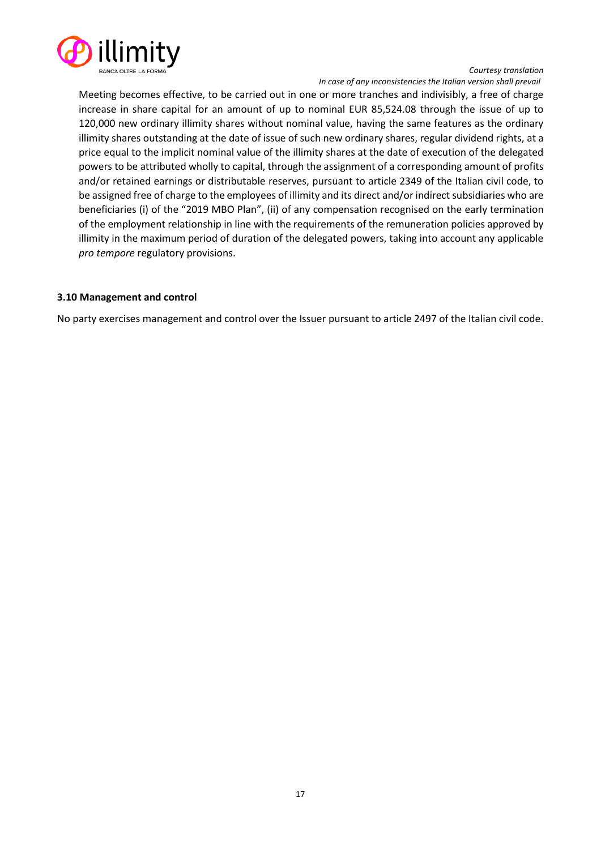

 *In case of any inconsistencies the Italian version shall prevail*

Meeting becomes effective, to be carried out in one or more tranches and indivisibly, a free of charge increase in share capital for an amount of up to nominal EUR 85,524.08 through the issue of up to 120,000 new ordinary illimity shares without nominal value, having the same features as the ordinary illimity shares outstanding at the date of issue of such new ordinary shares, regular dividend rights, at a price equal to the implicit nominal value of the illimity shares at the date of execution of the delegated powers to be attributed wholly to capital, through the assignment of a corresponding amount of profits and/or retained earnings or distributable reserves, pursuant to article 2349 of the Italian civil code, to be assigned free of charge to the employees of illimity and its direct and/or indirect subsidiaries who are beneficiaries (i) of the "2019 MBO Plan", (ii) of any compensation recognised on the early termination of the employment relationship in line with the requirements of the remuneration policies approved by illimity in the maximum period of duration of the delegated powers, taking into account any applicable *pro tempore* regulatory provisions.

#### <span id="page-16-0"></span>**3.10 Management and control**

No party exercises management and control over the Issuer pursuant to article 2497 of the Italian civil code.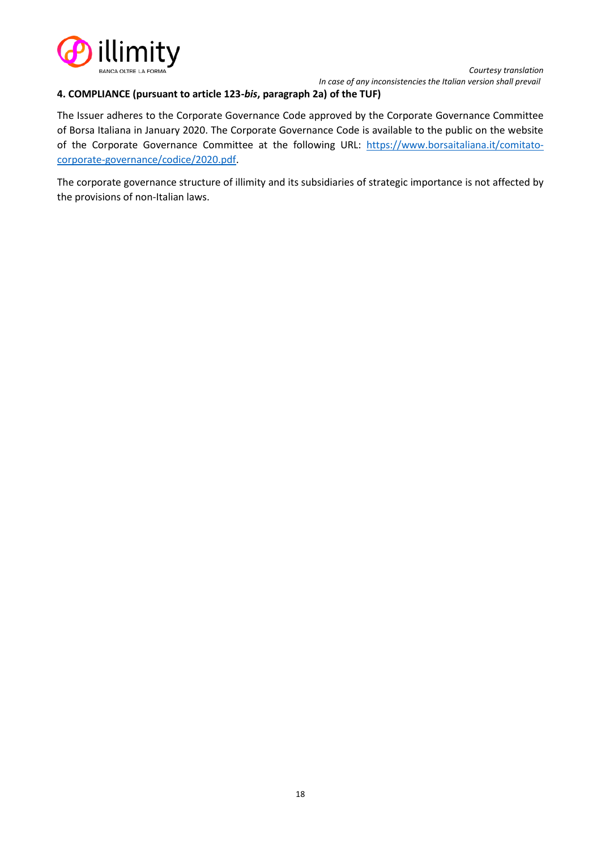

*Courtesy translation In case of any inconsistencies the Italian version shall prevail*

#### <span id="page-17-0"></span>**4. COMPLIANCE (pursuant to article 123-***bis***, paragraph 2a) of the TUF)**

The Issuer adheres to the Corporate Governance Code approved by the Corporate Governance Committee of Borsa Italiana in January 2020. The Corporate Governance Code is available to the public on the website of the Corporate Governance Committee at the following URL: [https://www.borsaitaliana.it/comitato](https://www.borsaitaliana.it/comitato-corporate-governance/codice/2020.pdf)[corporate-governance/codice/2020.pdf.](https://www.borsaitaliana.it/comitato-corporate-governance/codice/2020.pdf)

The corporate governance structure of illimity and its subsidiaries of strategic importance is not affected by the provisions of non-Italian laws.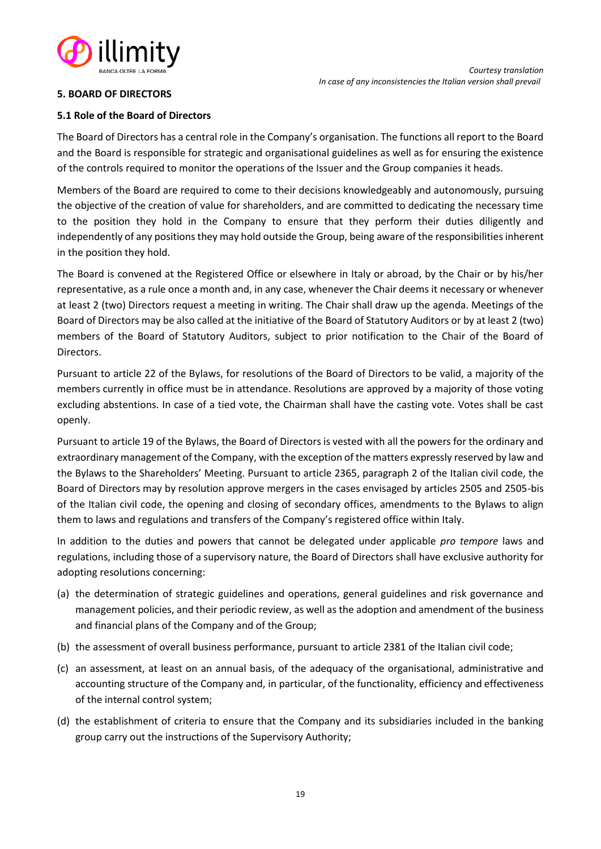

## <span id="page-18-0"></span>**5. BOARD OF DIRECTORS**

#### <span id="page-18-1"></span>**5.1 Role of the Board of Directors**

The Board of Directors has a central role in the Company's organisation. The functions all report to the Board and the Board is responsible for strategic and organisational guidelines as well as for ensuring the existence of the controls required to monitor the operations of the Issuer and the Group companies it heads.

Members of the Board are required to come to their decisions knowledgeably and autonomously, pursuing the objective of the creation of value for shareholders, and are committed to dedicating the necessary time to the position they hold in the Company to ensure that they perform their duties diligently and independently of any positions they may hold outside the Group, being aware of the responsibilities inherent in the position they hold.

The Board is convened at the Registered Office or elsewhere in Italy or abroad, by the Chair or by his/her representative, as a rule once a month and, in any case, whenever the Chair deems it necessary or whenever at least 2 (two) Directors request a meeting in writing. The Chair shall draw up the agenda. Meetings of the Board of Directors may be also called at the initiative of the Board of Statutory Auditors or by at least 2 (two) members of the Board of Statutory Auditors, subject to prior notification to the Chair of the Board of Directors.

Pursuant to article 22 of the Bylaws, for resolutions of the Board of Directors to be valid, a majority of the members currently in office must be in attendance. Resolutions are approved by a majority of those voting excluding abstentions. In case of a tied vote, the Chairman shall have the casting vote. Votes shall be cast openly.

Pursuant to article 19 of the Bylaws, the Board of Directors is vested with all the powers for the ordinary and extraordinary management of the Company, with the exception of the matters expressly reserved by law and the Bylaws to the Shareholders' Meeting. Pursuant to article 2365, paragraph 2 of the Italian civil code, the Board of Directors may by resolution approve mergers in the cases envisaged by articles 2505 and 2505-bis of the Italian civil code, the opening and closing of secondary offices, amendments to the Bylaws to align them to laws and regulations and transfers of the Company's registered office within Italy.

In addition to the duties and powers that cannot be delegated under applicable *pro tempore* laws and regulations, including those of a supervisory nature, the Board of Directors shall have exclusive authority for adopting resolutions concerning:

- (a) the determination of strategic guidelines and operations, general guidelines and risk governance and management policies, and their periodic review, as well as the adoption and amendment of the business and financial plans of the Company and of the Group;
- (b) the assessment of overall business performance, pursuant to article 2381 of the Italian civil code;
- (c) an assessment, at least on an annual basis, of the adequacy of the organisational, administrative and accounting structure of the Company and, in particular, of the functionality, efficiency and effectiveness of the internal control system;
- (d) the establishment of criteria to ensure that the Company and its subsidiaries included in the banking group carry out the instructions of the Supervisory Authority;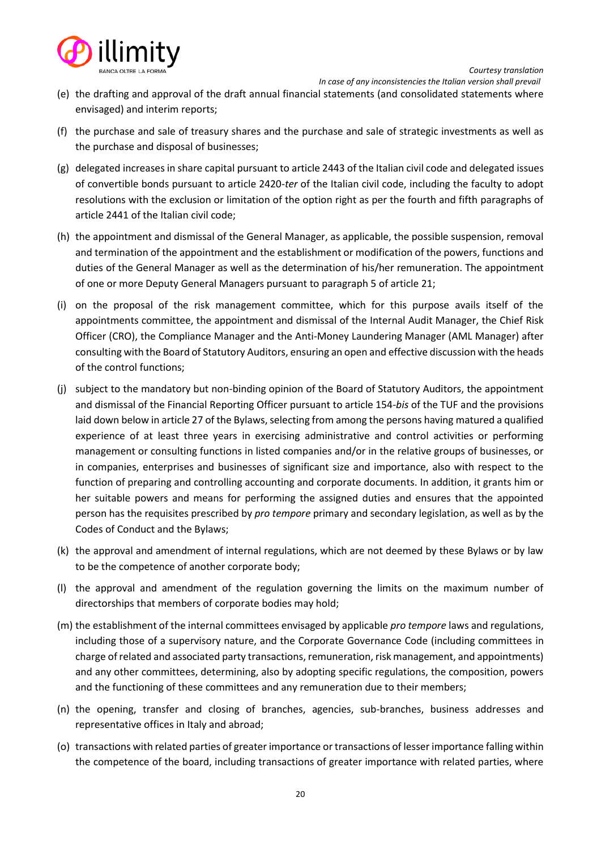

 *In case of any inconsistencies the Italian version shall prevail*

- (e) the drafting and approval of the draft annual financial statements (and consolidated statements where envisaged) and interim reports;
- (f) the purchase and sale of treasury shares and the purchase and sale of strategic investments as well as the purchase and disposal of businesses;
- (g) delegated increases in share capital pursuant to article 2443 of the Italian civil code and delegated issues of convertible bonds pursuant to article 2420-*ter* of the Italian civil code, including the faculty to adopt resolutions with the exclusion or limitation of the option right as per the fourth and fifth paragraphs of article 2441 of the Italian civil code;
- (h) the appointment and dismissal of the General Manager, as applicable, the possible suspension, removal and termination of the appointment and the establishment or modification of the powers, functions and duties of the General Manager as well as the determination of his/her remuneration. The appointment of one or more Deputy General Managers pursuant to paragraph 5 of article 21;
- (i) on the proposal of the risk management committee, which for this purpose avails itself of the appointments committee, the appointment and dismissal of the Internal Audit Manager, the Chief Risk Officer (CRO), the Compliance Manager and the Anti-Money Laundering Manager (AML Manager) after consulting with the Board of Statutory Auditors, ensuring an open and effective discussion with the heads of the control functions;
- (j) subject to the mandatory but non-binding opinion of the Board of Statutory Auditors, the appointment and dismissal of the Financial Reporting Officer pursuant to article 154-*bis* of the TUF and the provisions laid down below in article 27 of the Bylaws, selecting from among the persons having matured a qualified experience of at least three years in exercising administrative and control activities or performing management or consulting functions in listed companies and/or in the relative groups of businesses, or in companies, enterprises and businesses of significant size and importance, also with respect to the function of preparing and controlling accounting and corporate documents. In addition, it grants him or her suitable powers and means for performing the assigned duties and ensures that the appointed person has the requisites prescribed by *pro tempore* primary and secondary legislation, as well as by the Codes of Conduct and the Bylaws;
- (k) the approval and amendment of internal regulations, which are not deemed by these Bylaws or by law to be the competence of another corporate body;
- (l) the approval and amendment of the regulation governing the limits on the maximum number of directorships that members of corporate bodies may hold;
- (m) the establishment of the internal committees envisaged by applicable *pro tempore* laws and regulations, including those of a supervisory nature, and the Corporate Governance Code (including committees in charge of related and associated party transactions, remuneration, risk management, and appointments) and any other committees, determining, also by adopting specific regulations, the composition, powers and the functioning of these committees and any remuneration due to their members;
- (n) the opening, transfer and closing of branches, agencies, sub-branches, business addresses and representative offices in Italy and abroad;
- (o) transactions with related parties of greater importance or transactions of lesser importance falling within the competence of the board, including transactions of greater importance with related parties, where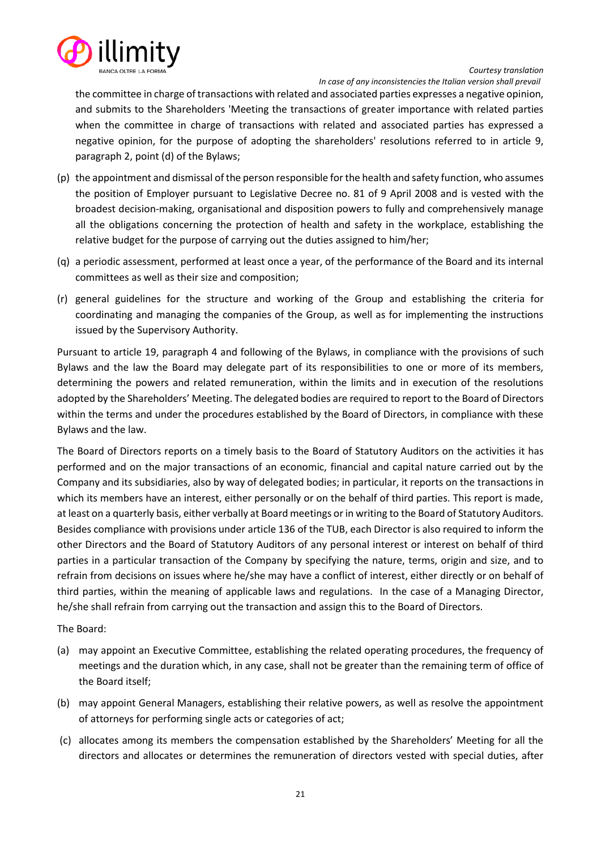

*Courtesy translation In case of any inconsistencies the Italian version shall prevail*

the committee in charge of transactions with related and associated parties expresses a negative opinion, and submits to the Shareholders 'Meeting the transactions of greater importance with related parties when the committee in charge of transactions with related and associated parties has expressed a negative opinion, for the purpose of adopting the shareholders' resolutions referred to in article 9, paragraph 2, point (d) of the Bylaws;

- (p) the appointment and dismissal of the person responsible for the health and safety function, who assumes the position of Employer pursuant to Legislative Decree no. 81 of 9 April 2008 and is vested with the broadest decision-making, organisational and disposition powers to fully and comprehensively manage all the obligations concerning the protection of health and safety in the workplace, establishing the relative budget for the purpose of carrying out the duties assigned to him/her;
- (q) a periodic assessment, performed at least once a year, of the performance of the Board and its internal committees as well as their size and composition;
- (r) general guidelines for the structure and working of the Group and establishing the criteria for coordinating and managing the companies of the Group, as well as for implementing the instructions issued by the Supervisory Authority.

Pursuant to article 19, paragraph 4 and following of the Bylaws, in compliance with the provisions of such Bylaws and the law the Board may delegate part of its responsibilities to one or more of its members, determining the powers and related remuneration, within the limits and in execution of the resolutions adopted by the Shareholders' Meeting. The delegated bodies are required to report to the Board of Directors within the terms and under the procedures established by the Board of Directors, in compliance with these Bylaws and the law.

The Board of Directors reports on a timely basis to the Board of Statutory Auditors on the activities it has performed and on the major transactions of an economic, financial and capital nature carried out by the Company and its subsidiaries, also by way of delegated bodies; in particular, it reports on the transactions in which its members have an interest, either personally or on the behalf of third parties. This report is made, at least on a quarterly basis, either verbally at Board meetings or in writing to the Board of Statutory Auditors. Besides compliance with provisions under article 136 of the TUB, each Director is also required to inform the other Directors and the Board of Statutory Auditors of any personal interest or interest on behalf of third parties in a particular transaction of the Company by specifying the nature, terms, origin and size, and to refrain from decisions on issues where he/she may have a conflict of interest, either directly or on behalf of third parties, within the meaning of applicable laws and regulations. In the case of a Managing Director, he/she shall refrain from carrying out the transaction and assign this to the Board of Directors.

The Board:

- (a) may appoint an Executive Committee, establishing the related operating procedures, the frequency of meetings and the duration which, in any case, shall not be greater than the remaining term of office of the Board itself;
- (b) may appoint General Managers, establishing their relative powers, as well as resolve the appointment of attorneys for performing single acts or categories of act;
- (c) allocates among its members the compensation established by the Shareholders' Meeting for all the directors and allocates or determines the remuneration of directors vested with special duties, after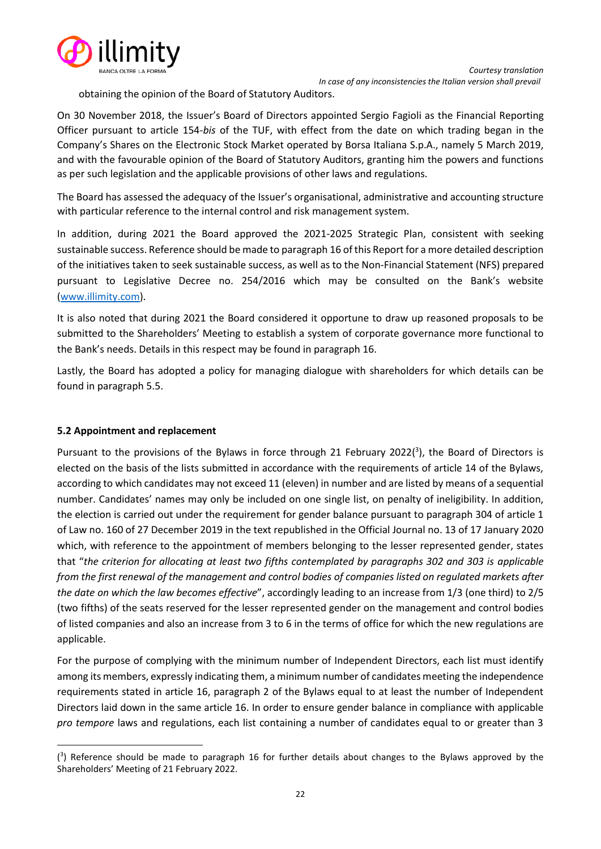

obtaining the opinion of the Board of Statutory Auditors.

On 30 November 2018, the Issuer's Board of Directors appointed Sergio Fagioli as the Financial Reporting Officer pursuant to article 154-*bis* of the TUF, with effect from the date on which trading began in the Company's Shares on the Electronic Stock Market operated by Borsa Italiana S.p.A., namely 5 March 2019, and with the favourable opinion of the Board of Statutory Auditors, granting him the powers and functions as per such legislation and the applicable provisions of other laws and regulations.

The Board has assessed the adequacy of the Issuer's organisational, administrative and accounting structure with particular reference to the internal control and risk management system.

In addition, during 2021 the Board approved the 2021-2025 Strategic Plan, consistent with seeking sustainable success. Reference should be made to paragraph 16 of this Report for a more detailed description of the initiatives taken to seek sustainable success, as well as to the Non-Financial Statement (NFS) prepared pursuant to Legislative Decree no. 254/2016 which may be consulted on the Bank's website [\(www.illimity.com\)](http://www.illimity.com/).

It is also noted that during 2021 the Board considered it opportune to draw up reasoned proposals to be submitted to the Shareholders' Meeting to establish a system of corporate governance more functional to the Bank's needs. Details in this respect may be found in paragraph 16.

Lastly, the Board has adopted a policy for managing dialogue with shareholders for which details can be found in paragraph 5.5.

# <span id="page-21-0"></span>**5.2 Appointment and replacement**

Pursuant to the provisions of the Bylaws in force through 21 February 2022( $3$ ), the Board of Directors is elected on the basis of the lists submitted in accordance with the requirements of article 14 of the Bylaws, according to which candidates may not exceed 11 (eleven) in number and are listed by means of a sequential number. Candidates' names may only be included on one single list, on penalty of ineligibility. In addition, the election is carried out under the requirement for gender balance pursuant to paragraph 304 of article 1 of Law no. 160 of 27 December 2019 in the text republished in the Official Journal no. 13 of 17 January 2020 which, with reference to the appointment of members belonging to the lesser represented gender, states that "*the criterion for allocating at least two fifths contemplated by paragraphs 302 and 303 is applicable from the first renewal of the management and control bodies of companies listed on regulated markets after the date on which the law becomes effective*", accordingly leading to an increase from 1/3 (one third) to 2/5 (two fifths) of the seats reserved for the lesser represented gender on the management and control bodies of listed companies and also an increase from 3 to 6 in the terms of office for which the new regulations are applicable.

For the purpose of complying with the minimum number of Independent Directors, each list must identify among its members, expressly indicating them, a minimum number of candidates meeting the independence requirements stated in article 16, paragraph 2 of the Bylaws equal to at least the number of Independent Directors laid down in the same article 16. In order to ensure gender balance in compliance with applicable *pro tempore* laws and regulations, each list containing a number of candidates equal to or greater than 3

<sup>&</sup>lt;sup>(3</sup>) Reference should be made to paragraph 16 for further details about changes to the Bylaws approved by the Shareholders' Meeting of 21 February 2022.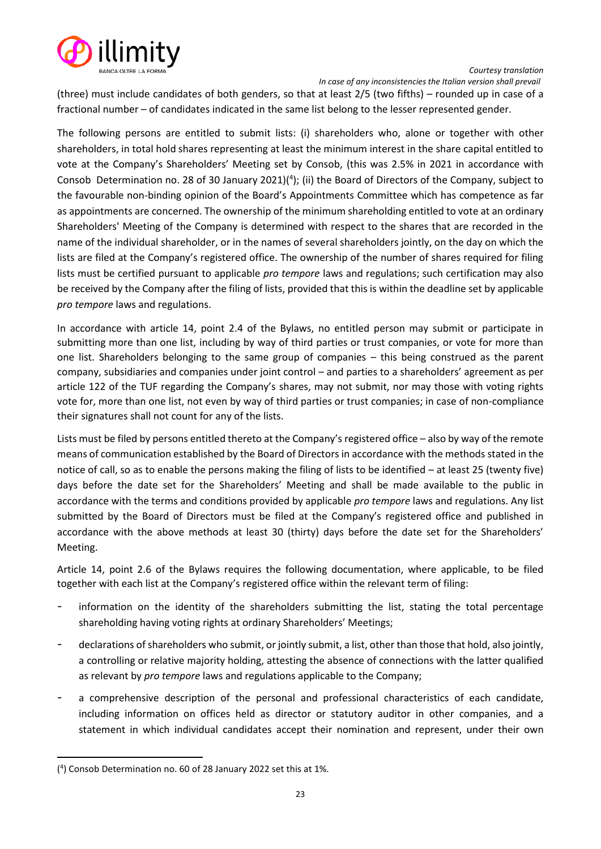



 *In case of any inconsistencies the Italian version shall prevail*

(three) must include candidates of both genders, so that at least 2/5 (two fifths) – rounded up in case of a fractional number – of candidates indicated in the same list belong to the lesser represented gender.

The following persons are entitled to submit lists: (i) shareholders who, alone or together with other shareholders, in total hold shares representing at least the minimum interest in the share capital entitled to vote at the Company's Shareholders' Meeting set by Consob, (this was 2.5% in 2021 in accordance with Consob Determination no. 28 of 30 January 2021) $(4)$ ; (ii) the Board of Directors of the Company, subject to the favourable non-binding opinion of the Board's Appointments Committee which has competence as far as appointments are concerned. The ownership of the minimum shareholding entitled to vote at an ordinary Shareholders' Meeting of the Company is determined with respect to the shares that are recorded in the name of the individual shareholder, or in the names of several shareholders jointly, on the day on which the lists are filed at the Company's registered office. The ownership of the number of shares required for filing lists must be certified pursuant to applicable *pro tempore* laws and regulations; such certification may also be received by the Company after the filing of lists, provided that this is within the deadline set by applicable *pro tempore* laws and regulations.

In accordance with article 14, point 2.4 of the Bylaws, no entitled person may submit or participate in submitting more than one list, including by way of third parties or trust companies, or vote for more than one list. Shareholders belonging to the same group of companies – this being construed as the parent company, subsidiaries and companies under joint control – and parties to a shareholders' agreement as per article 122 of the TUF regarding the Company's shares, may not submit, nor may those with voting rights vote for, more than one list, not even by way of third parties or trust companies; in case of non-compliance their signatures shall not count for any of the lists.

Lists must be filed by persons entitled thereto at the Company's registered office – also by way of the remote means of communication established by the Board of Directors in accordance with the methods stated in the notice of call, so as to enable the persons making the filing of lists to be identified – at least 25 (twenty five) days before the date set for the Shareholders' Meeting and shall be made available to the public in accordance with the terms and conditions provided by applicable *pro tempore* laws and regulations. Any list submitted by the Board of Directors must be filed at the Company's registered office and published in accordance with the above methods at least 30 (thirty) days before the date set for the Shareholders' Meeting.

Article 14, point 2.6 of the Bylaws requires the following documentation, where applicable, to be filed together with each list at the Company's registered office within the relevant term of filing:

- information on the identity of the shareholders submitting the list, stating the total percentage shareholding having voting rights at ordinary Shareholders' Meetings;
- declarations of shareholders who submit, or jointly submit, a list, other than those that hold, also jointly, a controlling or relative majority holding, attesting the absence of connections with the latter qualified as relevant by *pro tempore* laws and regulations applicable to the Company;
- a comprehensive description of the personal and professional characteristics of each candidate, including information on offices held as director or statutory auditor in other companies, and a statement in which individual candidates accept their nomination and represent, under their own

<sup>(</sup> 4 ) Consob Determination no. 60 of 28 January 2022 set this at 1%.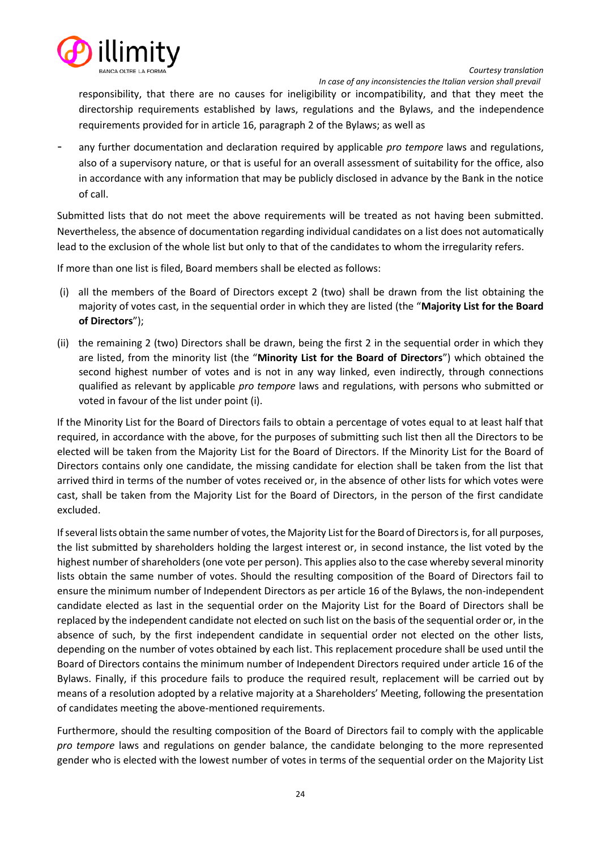

 *In case of any inconsistencies the Italian version shall prevail*

responsibility, that there are no causes for ineligibility or incompatibility, and that they meet the directorship requirements established by laws, regulations and the Bylaws, and the independence requirements provided for in article 16, paragraph 2 of the Bylaws; as well as

any further documentation and declaration required by applicable *pro tempore* laws and regulations, also of a supervisory nature, or that is useful for an overall assessment of suitability for the office, also in accordance with any information that may be publicly disclosed in advance by the Bank in the notice of call.

Submitted lists that do not meet the above requirements will be treated as not having been submitted. Nevertheless, the absence of documentation regarding individual candidates on a list does not automatically lead to the exclusion of the whole list but only to that of the candidates to whom the irregularity refers.

If more than one list is filed, Board members shall be elected as follows:

- (i) all the members of the Board of Directors except 2 (two) shall be drawn from the list obtaining the majority of votes cast, in the sequential order in which they are listed (the "**Majority List for the Board of Directors**");
- (ii) the remaining 2 (two) Directors shall be drawn, being the first 2 in the sequential order in which they are listed, from the minority list (the "**Minority List for the Board of Directors**") which obtained the second highest number of votes and is not in any way linked, even indirectly, through connections qualified as relevant by applicable *pro tempore* laws and regulations, with persons who submitted or voted in favour of the list under point (i).

If the Minority List for the Board of Directors fails to obtain a percentage of votes equal to at least half that required, in accordance with the above, for the purposes of submitting such list then all the Directors to be elected will be taken from the Majority List for the Board of Directors. If the Minority List for the Board of Directors contains only one candidate, the missing candidate for election shall be taken from the list that arrived third in terms of the number of votes received or, in the absence of other lists for which votes were cast, shall be taken from the Majority List for the Board of Directors, in the person of the first candidate excluded.

If several lists obtain the same number of votes, the Majority List for the Board of Directors is, for all purposes, the list submitted by shareholders holding the largest interest or, in second instance, the list voted by the highest number of shareholders (one vote per person). This applies also to the case whereby several minority lists obtain the same number of votes. Should the resulting composition of the Board of Directors fail to ensure the minimum number of Independent Directors as per article 16 of the Bylaws, the non-independent candidate elected as last in the sequential order on the Majority List for the Board of Directors shall be replaced by the independent candidate not elected on such list on the basis of the sequential order or, in the absence of such, by the first independent candidate in sequential order not elected on the other lists, depending on the number of votes obtained by each list. This replacement procedure shall be used until the Board of Directors contains the minimum number of Independent Directors required under article 16 of the Bylaws. Finally, if this procedure fails to produce the required result, replacement will be carried out by means of a resolution adopted by a relative majority at a Shareholders' Meeting, following the presentation of candidates meeting the above-mentioned requirements.

Furthermore, should the resulting composition of the Board of Directors fail to comply with the applicable *pro tempore* laws and regulations on gender balance, the candidate belonging to the more represented gender who is elected with the lowest number of votes in terms of the sequential order on the Majority List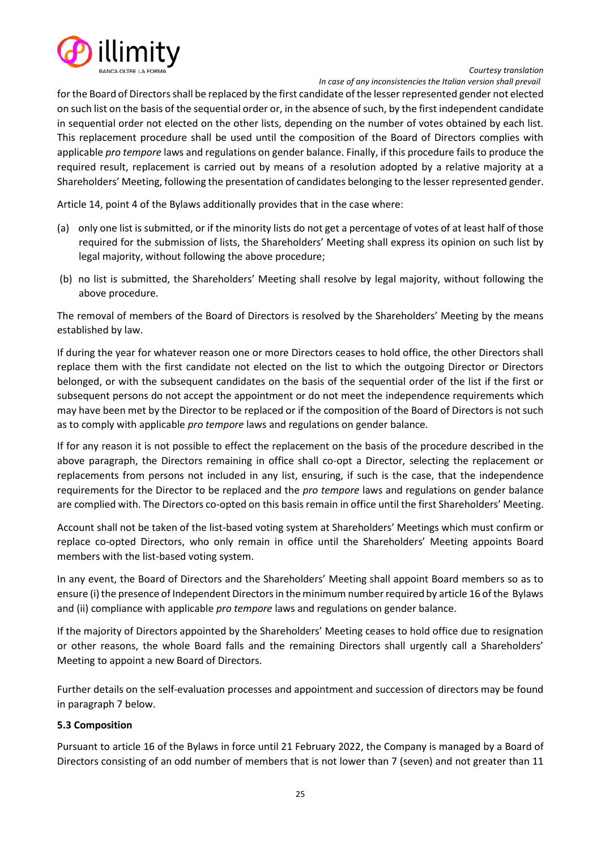

*Courtesy translation In case of any inconsistencies the Italian version shall prevail*

for the Board of Directors shall be replaced by the first candidate of the lesser represented gender not elected on such list on the basis of the sequential order or, in the absence of such, by the first independent candidate in sequential order not elected on the other lists, depending on the number of votes obtained by each list. This replacement procedure shall be used until the composition of the Board of Directors complies with applicable *pro tempore* laws and regulations on gender balance. Finally, if this procedure fails to produce the required result, replacement is carried out by means of a resolution adopted by a relative majority at a Shareholders' Meeting, following the presentation of candidates belonging to the lesser represented gender.

Article 14, point 4 of the Bylaws additionally provides that in the case where:

- (a) only one list is submitted, or if the minority lists do not get a percentage of votes of at least half of those required for the submission of lists, the Shareholders' Meeting shall express its opinion on such list by legal majority, without following the above procedure;
- (b) no list is submitted, the Shareholders' Meeting shall resolve by legal majority, without following the above procedure.

The removal of members of the Board of Directors is resolved by the Shareholders' Meeting by the means established by law.

If during the year for whatever reason one or more Directors ceases to hold office, the other Directors shall replace them with the first candidate not elected on the list to which the outgoing Director or Directors belonged, or with the subsequent candidates on the basis of the sequential order of the list if the first or subsequent persons do not accept the appointment or do not meet the independence requirements which may have been met by the Director to be replaced or if the composition of the Board of Directors is not such as to comply with applicable *pro tempore* laws and regulations on gender balance.

If for any reason it is not possible to effect the replacement on the basis of the procedure described in the above paragraph, the Directors remaining in office shall co-opt a Director, selecting the replacement or replacements from persons not included in any list, ensuring, if such is the case, that the independence requirements for the Director to be replaced and the *pro tempore* laws and regulations on gender balance are complied with. The Directors co-opted on this basis remain in office until the first Shareholders' Meeting.

Account shall not be taken of the list-based voting system at Shareholders' Meetings which must confirm or replace co-opted Directors, who only remain in office until the Shareholders' Meeting appoints Board members with the list-based voting system.

In any event, the Board of Directors and the Shareholders' Meeting shall appoint Board members so as to ensure (i) the presence of Independent Directors in the minimum number required by article 16 of the Bylaws and (ii) compliance with applicable *pro tempore* laws and regulations on gender balance.

If the majority of Directors appointed by the Shareholders' Meeting ceases to hold office due to resignation or other reasons, the whole Board falls and the remaining Directors shall urgently call a Shareholders' Meeting to appoint a new Board of Directors.

Further details on the self-evaluation processes and appointment and succession of directors may be found in paragraph 7 below.

#### <span id="page-24-0"></span>**5.3 Composition**

Pursuant to article 16 of the Bylaws in force until 21 February 2022, the Company is managed by a Board of Directors consisting of an odd number of members that is not lower than 7 (seven) and not greater than 11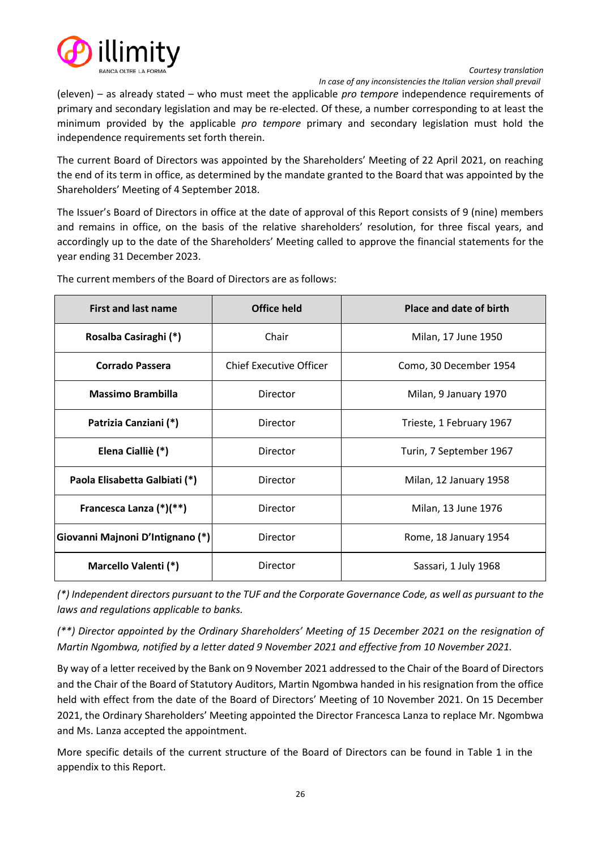

*Courtesy translation In case of any inconsistencies the Italian version shall prevail*

(eleven) – as already stated – who must meet the applicable *pro tempore* independence requirements of primary and secondary legislation and may be re-elected. Of these, a number corresponding to at least the minimum provided by the applicable *pro tempore* primary and secondary legislation must hold the independence requirements set forth therein.

The current Board of Directors was appointed by the Shareholders' Meeting of 22 April 2021, on reaching the end of its term in office, as determined by the mandate granted to the Board that was appointed by the Shareholders' Meeting of 4 September 2018.

The Issuer's Board of Directors in office at the date of approval of this Report consists of 9 (nine) members and remains in office, on the basis of the relative shareholders' resolution, for three fiscal years, and accordingly up to the date of the Shareholders' Meeting called to approve the financial statements for the year ending 31 December 2023.

| <b>First and last name</b>       | <b>Office held</b>             | Place and date of birth  |
|----------------------------------|--------------------------------|--------------------------|
| Rosalba Casiraghi (*)            | Chair                          | Milan, 17 June 1950      |
| Corrado Passera                  | <b>Chief Executive Officer</b> | Como, 30 December 1954   |
| <b>Massimo Brambilla</b>         | Director                       | Milan, 9 January 1970    |
| Patrizia Canziani (*)            | Director                       | Trieste, 1 February 1967 |
| Elena Cialliè (*)                | Director                       | Turin, 7 September 1967  |
| Paola Elisabetta Galbiati (*)    | Director                       | Milan, 12 January 1958   |
| Francesca Lanza (*)(**)          | Director                       | Milan, 13 June 1976      |
| Giovanni Majnoni D'Intignano (*) | Director                       | Rome, 18 January 1954    |
| Marcello Valenti (*)             | Director                       | Sassari, 1 July 1968     |

The current members of the Board of Directors are as follows:

*(\*) Independent directors pursuant to the TUF and the Corporate Governance Code, as well as pursuant to the laws and regulations applicable to banks.*

*(\*\*) Director appointed by the Ordinary Shareholders' Meeting of 15 December 2021 on the resignation of Martin Ngombwa, notified by a letter dated 9 November 2021 and effective from 10 November 2021.*

By way of a letter received by the Bank on 9 November 2021 addressed to the Chair of the Board of Directors and the Chair of the Board of Statutory Auditors, Martin Ngombwa handed in his resignation from the office held with effect from the date of the Board of Directors' Meeting of 10 November 2021. On 15 December 2021, the Ordinary Shareholders' Meeting appointed the Director Francesca Lanza to replace Mr. Ngombwa and Ms. Lanza accepted the appointment.

More specific details of the current structure of the Board of Directors can be found in Table 1 in the appendix to this Report.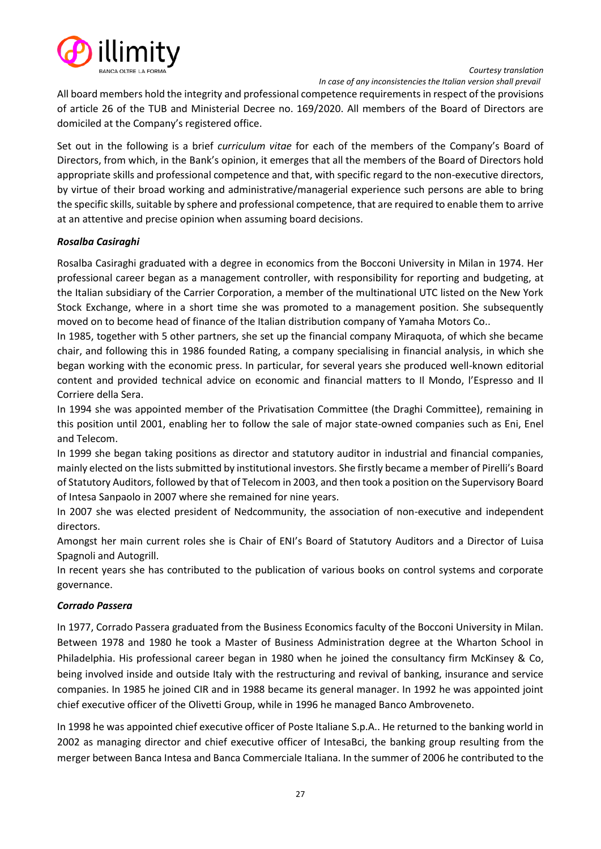

 *In case of any inconsistencies the Italian version shall prevail*

All board members hold the integrity and professional competence requirements in respect of the provisions of article 26 of the TUB and Ministerial Decree no. 169/2020. All members of the Board of Directors are domiciled at the Company's registered office.

Set out in the following is a brief *curriculum vitae* for each of the members of the Company's Board of Directors, from which, in the Bank's opinion, it emerges that all the members of the Board of Directors hold appropriate skills and professional competence and that, with specific regard to the non-executive directors, by virtue of their broad working and administrative/managerial experience such persons are able to bring the specific skills, suitable by sphere and professional competence, that are required to enable them to arrive at an attentive and precise opinion when assuming board decisions.

## *Rosalba Casiraghi*

Rosalba Casiraghi graduated with a degree in economics from the Bocconi University in Milan in 1974. Her professional career began as a management controller, with responsibility for reporting and budgeting, at the Italian subsidiary of the Carrier Corporation, a member of the multinational UTC listed on the New York Stock Exchange, where in a short time she was promoted to a management position. She subsequently moved on to become head of finance of the Italian distribution company of Yamaha Motors Co..

In 1985, together with 5 other partners, she set up the financial company Miraquota, of which she became chair, and following this in 1986 founded Rating, a company specialising in financial analysis, in which she began working with the economic press. In particular, for several years she produced well-known editorial content and provided technical advice on economic and financial matters to Il Mondo, l'Espresso and Il Corriere della Sera.

In 1994 she was appointed member of the Privatisation Committee (the Draghi Committee), remaining in this position until 2001, enabling her to follow the sale of major state-owned companies such as Eni, Enel and Telecom.

In 1999 she began taking positions as director and statutory auditor in industrial and financial companies, mainly elected on the lists submitted by institutional investors. She firstly became a member of Pirelli's Board of Statutory Auditors, followed by that of Telecom in 2003, and then took a position on the Supervisory Board of Intesa Sanpaolo in 2007 where she remained for nine years.

In 2007 she was elected president of Nedcommunity, the association of non-executive and independent directors.

Amongst her main current roles she is Chair of ENI's Board of Statutory Auditors and a Director of Luisa Spagnoli and Autogrill.

In recent years she has contributed to the publication of various books on control systems and corporate governance.

#### *Corrado Passera*

In 1977, Corrado Passera graduated from the Business Economics faculty of the Bocconi University in Milan. Between 1978 and 1980 he took a Master of Business Administration degree at the Wharton School in Philadelphia. His professional career began in 1980 when he joined the consultancy firm McKinsey & Co, being involved inside and outside Italy with the restructuring and revival of banking, insurance and service companies. In 1985 he joined CIR and in 1988 became its general manager. In 1992 he was appointed joint chief executive officer of the Olivetti Group, while in 1996 he managed Banco Ambroveneto.

In 1998 he was appointed chief executive officer of Poste Italiane S.p.A.. He returned to the banking world in 2002 as managing director and chief executive officer of IntesaBci, the banking group resulting from the merger between Banca Intesa and Banca Commerciale Italiana. In the summer of 2006 he contributed to the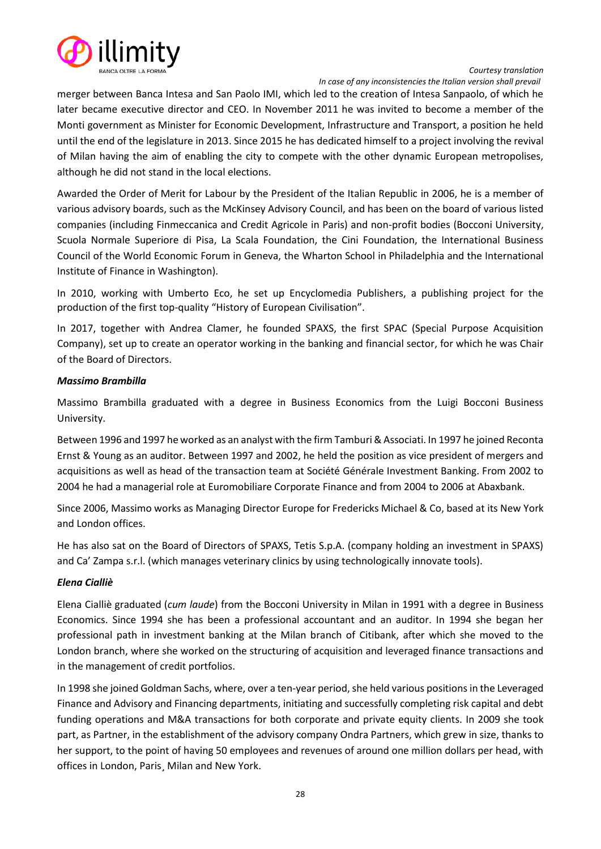

*Courtesy translation In case of any inconsistencies the Italian version shall prevail*

merger between Banca Intesa and San Paolo IMI, which led to the creation of Intesa Sanpaolo, of which he later became executive director and CEO. In November 2011 he was invited to become a member of the Monti government as Minister for Economic Development, Infrastructure and Transport, a position he held until the end of the legislature in 2013. Since 2015 he has dedicated himself to a project involving the revival of Milan having the aim of enabling the city to compete with the other dynamic European metropolises, although he did not stand in the local elections.

Awarded the Order of Merit for Labour by the President of the Italian Republic in 2006, he is a member of various advisory boards, such as the McKinsey Advisory Council, and has been on the board of various listed companies (including Finmeccanica and Credit Agricole in Paris) and non-profit bodies (Bocconi University, Scuola Normale Superiore di Pisa, La Scala Foundation, the Cini Foundation, the International Business Council of the World Economic Forum in Geneva, the Wharton School in Philadelphia and the International Institute of Finance in Washington).

In 2010, working with Umberto Eco, he set up Encyclomedia Publishers, a publishing project for the production of the first top-quality "History of European Civilisation".

In 2017, together with Andrea Clamer, he founded SPAXS, the first SPAC (Special Purpose Acquisition Company), set up to create an operator working in the banking and financial sector, for which he was Chair of the Board of Directors.

# *Massimo Brambilla*

Massimo Brambilla graduated with a degree in Business Economics from the Luigi Bocconi Business University.

Between 1996 and 1997 he worked as an analyst with the firm Tamburi & Associati. In 1997 he joined Reconta Ernst & Young as an auditor. Between 1997 and 2002, he held the position as vice president of mergers and acquisitions as well as head of the transaction team at Société Générale Investment Banking. From 2002 to 2004 he had a managerial role at Euromobiliare Corporate Finance and from 2004 to 2006 at Abaxbank.

Since 2006, Massimo works as Managing Director Europe for Fredericks Michael & Co, based at its New York and London offices.

He has also sat on the Board of Directors of SPAXS, Tetis S.p.A. (company holding an investment in SPAXS) and Ca' Zampa s.r.l. (which manages veterinary clinics by using technologically innovate tools).

#### *Elena Cialliè*

Elena Cialliè graduated (*cum laude*) from the Bocconi University in Milan in 1991 with a degree in Business Economics. Since 1994 she has been a professional accountant and an auditor. In 1994 she began her professional path in investment banking at the Milan branch of Citibank, after which she moved to the London branch, where she worked on the structuring of acquisition and leveraged finance transactions and in the management of credit portfolios.

In 1998 she joined Goldman Sachs, where, over a ten-year period, she held various positions in the Leveraged Finance and Advisory and Financing departments, initiating and successfully completing risk capital and debt funding operations and M&A transactions for both corporate and private equity clients. In 2009 she took part, as Partner, in the establishment of the advisory company Ondra Partners, which grew in size, thanks to her support, to the point of having 50 employees and revenues of around one million dollars per head, with offices in London, Paris¸ Milan and New York.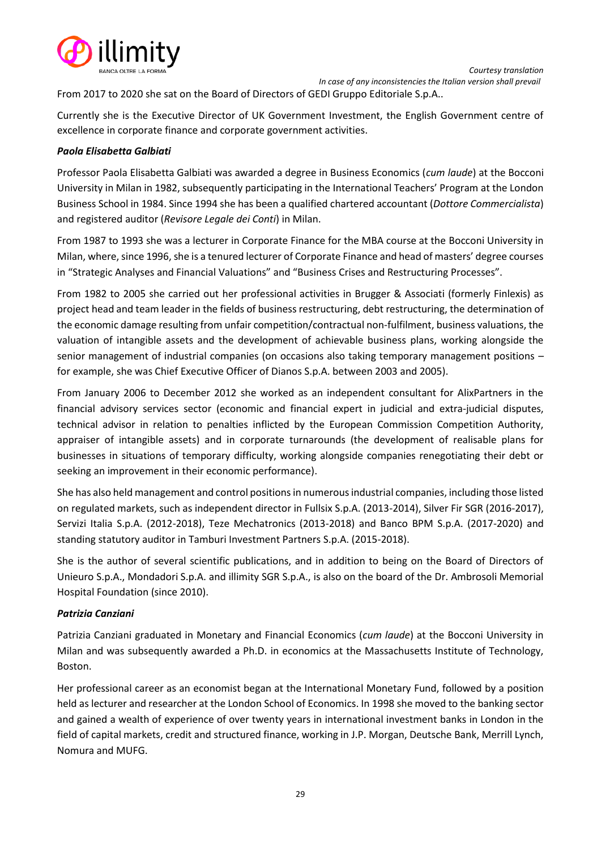

From 2017 to 2020 she sat on the Board of Directors of GEDI Gruppo Editoriale S.p.A..

Currently she is the Executive Director of UK Government Investment, the English Government centre of excellence in corporate finance and corporate government activities.

## *Paola Elisabetta Galbiati*

Professor Paola Elisabetta Galbiati was awarded a degree in Business Economics (*cum laude*) at the Bocconi University in Milan in 1982, subsequently participating in the International Teachers' Program at the London Business School in 1984. Since 1994 she has been a qualified chartered accountant (*Dottore Commercialista*) and registered auditor (*Revisore Legale dei Conti*) in Milan.

From 1987 to 1993 she was a lecturer in Corporate Finance for the MBA course at the Bocconi University in Milan, where, since 1996, she is a tenured lecturer of Corporate Finance and head of masters' degree courses in "Strategic Analyses and Financial Valuations" and "Business Crises and Restructuring Processes".

From 1982 to 2005 she carried out her professional activities in Brugger & Associati (formerly Finlexis) as project head and team leader in the fields of business restructuring, debt restructuring, the determination of the economic damage resulting from unfair competition/contractual non-fulfilment, business valuations, the valuation of intangible assets and the development of achievable business plans, working alongside the senior management of industrial companies (on occasions also taking temporary management positions – for example, she was Chief Executive Officer of Dianos S.p.A. between 2003 and 2005).

From January 2006 to December 2012 she worked as an independent consultant for AlixPartners in the financial advisory services sector (economic and financial expert in judicial and extra-judicial disputes, technical advisor in relation to penalties inflicted by the European Commission Competition Authority, appraiser of intangible assets) and in corporate turnarounds (the development of realisable plans for businesses in situations of temporary difficulty, working alongside companies renegotiating their debt or seeking an improvement in their economic performance).

She has also held management and control positions in numerous industrial companies, including those listed on regulated markets, such as independent director in Fullsix S.p.A. (2013-2014), Silver Fir SGR (2016-2017), Servizi Italia S.p.A. (2012-2018), Teze Mechatronics (2013-2018) and Banco BPM S.p.A. (2017-2020) and standing statutory auditor in Tamburi Investment Partners S.p.A. (2015-2018).

She is the author of several scientific publications, and in addition to being on the Board of Directors of Unieuro S.p.A., Mondadori S.p.A. and illimity SGR S.p.A., is also on the board of the Dr. Ambrosoli Memorial Hospital Foundation (since 2010).

# *Patrizia Canziani*

Patrizia Canziani graduated in Monetary and Financial Economics (*cum laude*) at the Bocconi University in Milan and was subsequently awarded a Ph.D. in economics at the Massachusetts Institute of Technology, Boston.

Her professional career as an economist began at the International Monetary Fund, followed by a position held as lecturer and researcher at the London School of Economics. In 1998 she moved to the banking sector and gained a wealth of experience of over twenty years in international investment banks in London in the field of capital markets, credit and structured finance, working in J.P. Morgan, Deutsche Bank, Merrill Lynch, Nomura and MUFG.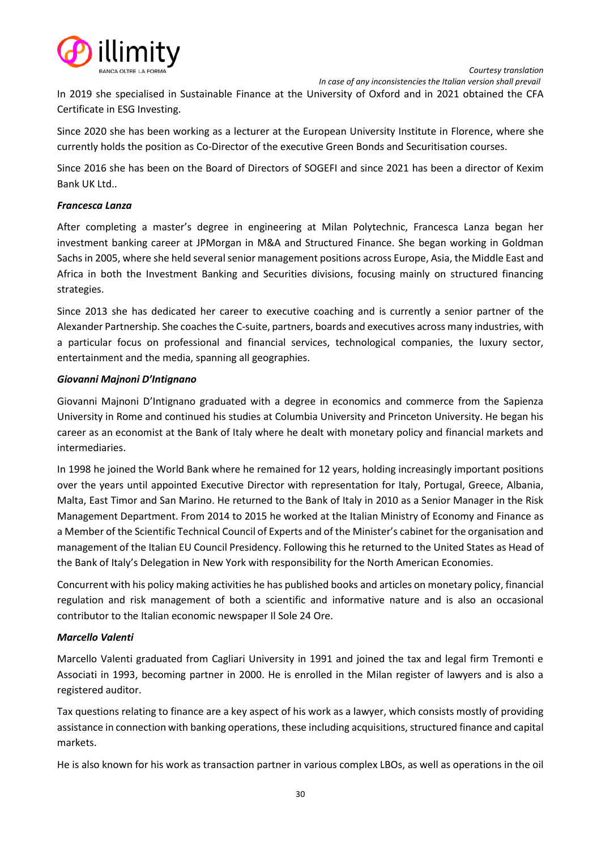



 *In case of any inconsistencies the Italian version shall prevail*

In 2019 she specialised in Sustainable Finance at the University of Oxford and in 2021 obtained the CFA Certificate in ESG Investing.

Since 2020 she has been working as a lecturer at the European University Institute in Florence, where she currently holds the position as Co-Director of the executive Green Bonds and Securitisation courses.

Since 2016 she has been on the Board of Directors of SOGEFI and since 2021 has been a director of Kexim Bank UK Ltd..

## *Francesca Lanza*

After completing a master's degree in engineering at Milan Polytechnic, Francesca Lanza began her investment banking career at JPMorgan in M&A and Structured Finance. She began working in Goldman Sachs in 2005, where she held several senior management positions across Europe, Asia, the Middle East and Africa in both the Investment Banking and Securities divisions, focusing mainly on structured financing strategies.

Since 2013 she has dedicated her career to executive coaching and is currently a senior partner of the Alexander Partnership. She coaches the C-suite, partners, boards and executives across many industries, with a particular focus on professional and financial services, technological companies, the luxury sector, entertainment and the media, spanning all geographies.

## *Giovanni Majnoni D'Intignano*

Giovanni Majnoni D'Intignano graduated with a degree in economics and commerce from the Sapienza University in Rome and continued his studies at Columbia University and Princeton University. He began his career as an economist at the Bank of Italy where he dealt with monetary policy and financial markets and intermediaries.

In 1998 he joined the World Bank where he remained for 12 years, holding increasingly important positions over the years until appointed Executive Director with representation for Italy, Portugal, Greece, Albania, Malta, East Timor and San Marino. He returned to the Bank of Italy in 2010 as a Senior Manager in the Risk Management Department. From 2014 to 2015 he worked at the Italian Ministry of Economy and Finance as a Member of the Scientific Technical Council of Experts and of the Minister's cabinet for the organisation and management of the Italian EU Council Presidency. Following this he returned to the United States as Head of the Bank of Italy's Delegation in New York with responsibility for the North American Economies.

Concurrent with his policy making activities he has published books and articles on monetary policy, financial regulation and risk management of both a scientific and informative nature and is also an occasional contributor to the Italian economic newspaper Il Sole 24 Ore.

#### *Marcello Valenti*

Marcello Valenti graduated from Cagliari University in 1991 and joined the tax and legal firm Tremonti e Associati in 1993, becoming partner in 2000. He is enrolled in the Milan register of lawyers and is also a registered auditor.

Tax questions relating to finance are a key aspect of his work as a lawyer, which consists mostly of providing assistance in connection with banking operations, these including acquisitions, structured finance and capital markets.

He is also known for his work as transaction partner in various complex LBOs, as well as operations in the oil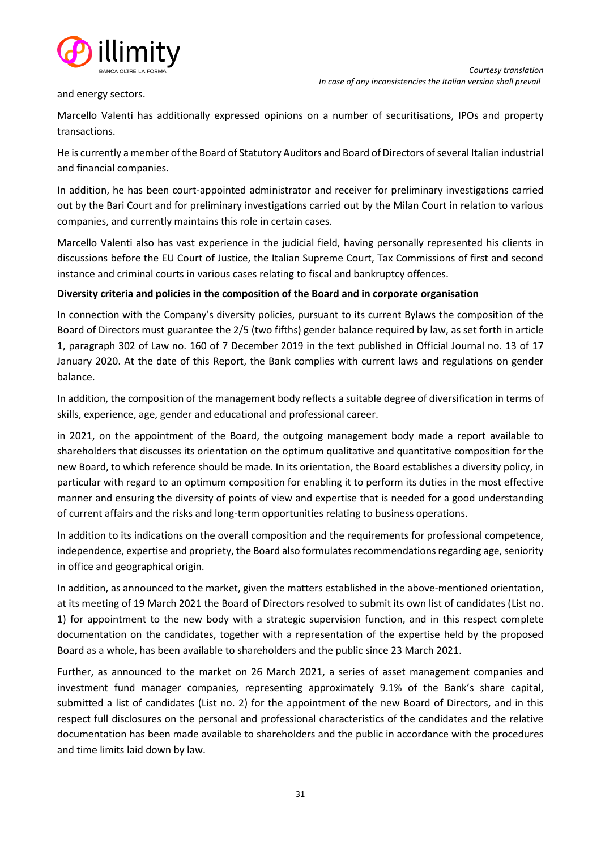

and energy sectors.

Marcello Valenti has additionally expressed opinions on a number of securitisations, IPOs and property transactions.

He is currently a member of the Board of Statutory Auditors and Board of Directors of several Italian industrial and financial companies.

In addition, he has been court-appointed administrator and receiver for preliminary investigations carried out by the Bari Court and for preliminary investigations carried out by the Milan Court in relation to various companies, and currently maintains this role in certain cases.

Marcello Valenti also has vast experience in the judicial field, having personally represented his clients in discussions before the EU Court of Justice, the Italian Supreme Court, Tax Commissions of first and second instance and criminal courts in various cases relating to fiscal and bankruptcy offences.

## **Diversity criteria and policies in the composition of the Board and in corporate organisation**

In connection with the Company's diversity policies, pursuant to its current Bylaws the composition of the Board of Directors must guarantee the 2/5 (two fifths) gender balance required by law, as set forth in article 1, paragraph 302 of Law no. 160 of 7 December 2019 in the text published in Official Journal no. 13 of 17 January 2020. At the date of this Report, the Bank complies with current laws and regulations on gender balance.

In addition, the composition of the management body reflects a suitable degree of diversification in terms of skills, experience, age, gender and educational and professional career.

in 2021, on the appointment of the Board, the outgoing management body made a report available to shareholders that discusses its orientation on the optimum qualitative and quantitative composition for the new Board, to which reference should be made. In its orientation, the Board establishes a diversity policy, in particular with regard to an optimum composition for enabling it to perform its duties in the most effective manner and ensuring the diversity of points of view and expertise that is needed for a good understanding of current affairs and the risks and long-term opportunities relating to business operations.

In addition to its indications on the overall composition and the requirements for professional competence, independence, expertise and propriety, the Board also formulates recommendations regarding age, seniority in office and geographical origin.

In addition, as announced to the market, given the matters established in the above-mentioned orientation, at its meeting of 19 March 2021 the Board of Directors resolved to submit its own list of candidates (List no. 1) for appointment to the new body with a strategic supervision function, and in this respect complete documentation on the candidates, together with a representation of the expertise held by the proposed Board as a whole, has been available to shareholders and the public since 23 March 2021.

Further, as announced to the market on 26 March 2021, a series of asset management companies and investment fund manager companies, representing approximately 9.1% of the Bank's share capital, submitted a list of candidates (List no. 2) for the appointment of the new Board of Directors, and in this respect full disclosures on the personal and professional characteristics of the candidates and the relative documentation has been made available to shareholders and the public in accordance with the procedures and time limits laid down by law.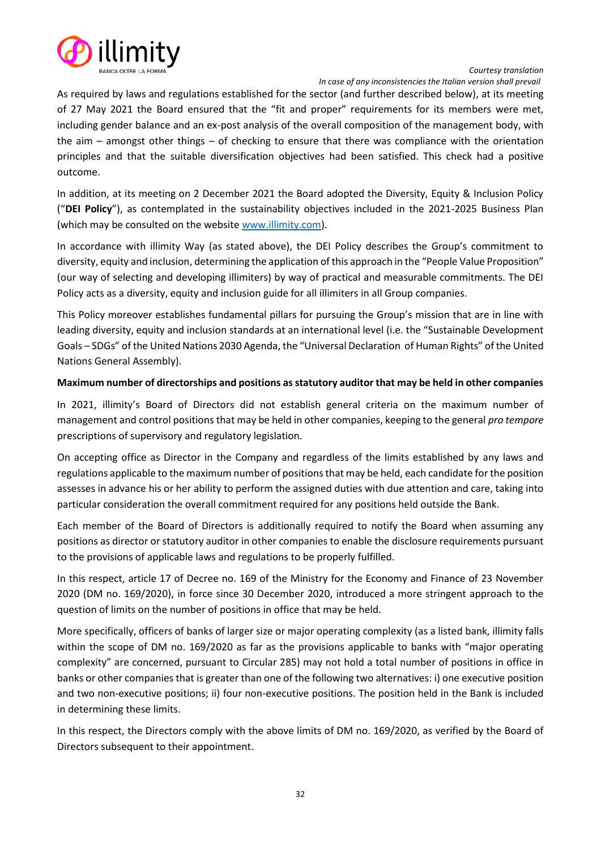

*Courtesy translation In case of any inconsistencies the Italian version shall prevail*

As required by laws and regulations established for the sector (and further described below), at its meeting of 27 May 2021 the Board ensured that the "fit and proper" requirements for its members were met, including gender balance and an ex-post analysis of the overall composition of the management body, with the aim – amongst other things – of checking to ensure that there was compliance with the orientation principles and that the suitable diversification objectives had been satisfied. This check had a positive outcome.

In addition, at its meeting on 2 December 2021 the Board adopted the Diversity, Equity & Inclusion Policy ("**DEI Policy**"), as contemplated in the sustainability objectives included in the 2021-2025 Business Plan (which may be consulted on the websit[e www.illimity.com\)](http://www.illimity.com/).

In accordance with illimity Way (as stated above), the DEI Policy describes the Group's commitment to diversity, equity and inclusion, determining the application of this approach in the "People Value Proposition" (our way of selecting and developing illimiters) by way of practical and measurable commitments. The DEI Policy acts as a diversity, equity and inclusion guide for all illimiters in all Group companies.

This Policy moreover establishes fundamental pillars for pursuing the Group's mission that are in line with leading diversity, equity and inclusion standards at an international level (i.e. the "Sustainable Development Goals – SDGs" of the United Nations 2030 Agenda, the "Universal Declaration of Human Rights" of the United Nations General Assembly).

# **Maximum number of directorships and positions as statutory auditor that may be held in other companies**

In 2021, illimity's Board of Directors did not establish general criteria on the maximum number of management and control positions that may be held in other companies, keeping to the general *pro tempore*  prescriptions of supervisory and regulatory legislation.

On accepting office as Director in the Company and regardless of the limits established by any laws and regulations applicable to the maximum number of positions that may be held, each candidate for the position assesses in advance his or her ability to perform the assigned duties with due attention and care, taking into particular consideration the overall commitment required for any positions held outside the Bank.

Each member of the Board of Directors is additionally required to notify the Board when assuming any positions as director or statutory auditor in other companies to enable the disclosure requirements pursuant to the provisions of applicable laws and regulations to be properly fulfilled.

In this respect, article 17 of Decree no. 169 of the Ministry for the Economy and Finance of 23 November 2020 (DM no. 169/2020), in force since 30 December 2020, introduced a more stringent approach to the question of limits on the number of positions in office that may be held.

More specifically, officers of banks of larger size or major operating complexity (as a listed bank, illimity falls within the scope of DM no. 169/2020 as far as the provisions applicable to banks with "major operating complexity" are concerned, pursuant to Circular 285) may not hold a total number of positions in office in banks or other companies that is greater than one of the following two alternatives: i) one executive position and two non-executive positions; ii) four non-executive positions. The position held in the Bank is included in determining these limits.

In this respect, the Directors comply with the above limits of DM no. 169/2020, as verified by the Board of Directors subsequent to their appointment.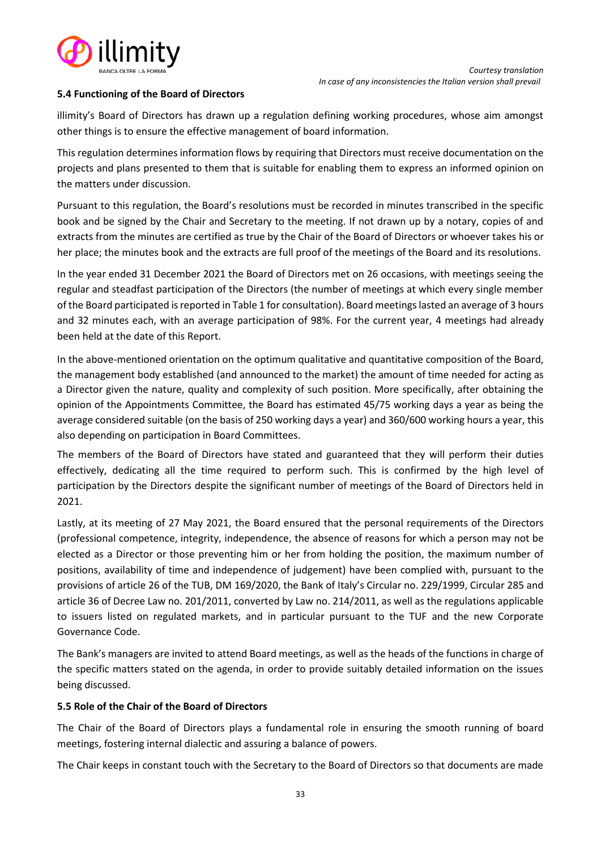

## <span id="page-32-0"></span>**5.4 Functioning of the Board of Directors**

illimity's Board of Directors has drawn up a regulation defining working procedures, whose aim amongst other things is to ensure the effective management of board information.

This regulation determines information flows by requiring that Directors must receive documentation on the projects and plans presented to them that is suitable for enabling them to express an informed opinion on the matters under discussion.

Pursuant to this regulation, the Board's resolutions must be recorded in minutes transcribed in the specific book and be signed by the Chair and Secretary to the meeting. If not drawn up by a notary, copies of and extracts from the minutes are certified as true by the Chair of the Board of Directors or whoever takes his or her place; the minutes book and the extracts are full proof of the meetings of the Board and its resolutions.

In the year ended 31 December 2021 the Board of Directors met on 26 occasions, with meetings seeing the regular and steadfast participation of the Directors (the number of meetings at which every single member of the Board participated is reported in Table 1 for consultation). Board meetingslasted an average of 3 hours and 32 minutes each, with an average participation of 98%. For the current year, 4 meetings had already been held at the date of this Report.

In the above-mentioned orientation on the optimum qualitative and quantitative composition of the Board, the management body established (and announced to the market) the amount of time needed for acting as a Director given the nature, quality and complexity of such position. More specifically, after obtaining the opinion of the Appointments Committee, the Board has estimated 45/75 working days a year as being the average considered suitable (on the basis of 250 working days a year) and 360/600 working hours a year, this also depending on participation in Board Committees.

The members of the Board of Directors have stated and guaranteed that they will perform their duties effectively, dedicating all the time required to perform such. This is confirmed by the high level of participation by the Directors despite the significant number of meetings of the Board of Directors held in 2021.

Lastly, at its meeting of 27 May 2021, the Board ensured that the personal requirements of the Directors (professional competence, integrity, independence, the absence of reasons for which a person may not be elected as a Director or those preventing him or her from holding the position, the maximum number of positions, availability of time and independence of judgement) have been complied with, pursuant to the provisions of article 26 of the TUB, DM 169/2020, the Bank of Italy's Circular no. 229/1999, Circular 285 and article 36 of Decree Law no. 201/2011, converted by Law no. 214/2011, as well as the regulations applicable to issuers listed on regulated markets, and in particular pursuant to the TUF and the new Corporate Governance Code.

The Bank's managers are invited to attend Board meetings, as well as the heads of the functions in charge of the specific matters stated on the agenda, in order to provide suitably detailed information on the issues being discussed.

#### <span id="page-32-1"></span>**5.5 Role of the Chair of the Board of Directors**

The Chair of the Board of Directors plays a fundamental role in ensuring the smooth running of board meetings, fostering internal dialectic and assuring a balance of powers.

The Chair keeps in constant touch with the Secretary to the Board of Directors so that documents are made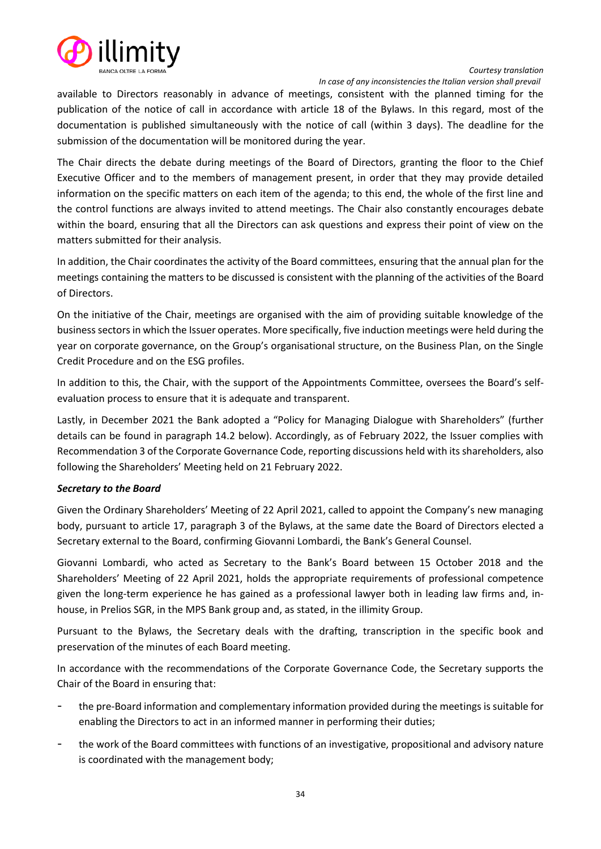

 *In case of any inconsistencies the Italian version shall prevail*

available to Directors reasonably in advance of meetings, consistent with the planned timing for the publication of the notice of call in accordance with article 18 of the Bylaws. In this regard, most of the documentation is published simultaneously with the notice of call (within 3 days). The deadline for the submission of the documentation will be monitored during the year.

The Chair directs the debate during meetings of the Board of Directors, granting the floor to the Chief Executive Officer and to the members of management present, in order that they may provide detailed information on the specific matters on each item of the agenda; to this end, the whole of the first line and the control functions are always invited to attend meetings. The Chair also constantly encourages debate within the board, ensuring that all the Directors can ask questions and express their point of view on the matters submitted for their analysis.

In addition, the Chair coordinates the activity of the Board committees, ensuring that the annual plan for the meetings containing the matters to be discussed is consistent with the planning of the activities of the Board of Directors.

On the initiative of the Chair, meetings are organised with the aim of providing suitable knowledge of the business sectors in which the Issuer operates. More specifically, five induction meetings were held during the year on corporate governance, on the Group's organisational structure, on the Business Plan, on the Single Credit Procedure and on the ESG profiles.

In addition to this, the Chair, with the support of the Appointments Committee, oversees the Board's selfevaluation process to ensure that it is adequate and transparent.

Lastly, in December 2021 the Bank adopted a "Policy for Managing Dialogue with Shareholders" (further details can be found in paragraph 14.2 below). Accordingly, as of February 2022, the Issuer complies with Recommendation 3 of the Corporate Governance Code, reporting discussions held with its shareholders, also following the Shareholders' Meeting held on 21 February 2022.

# *Secretary to the Board*

Given the Ordinary Shareholders' Meeting of 22 April 2021, called to appoint the Company's new managing body, pursuant to article 17, paragraph 3 of the Bylaws, at the same date the Board of Directors elected a Secretary external to the Board, confirming Giovanni Lombardi, the Bank's General Counsel.

Giovanni Lombardi, who acted as Secretary to the Bank's Board between 15 October 2018 and the Shareholders' Meeting of 22 April 2021, holds the appropriate requirements of professional competence given the long-term experience he has gained as a professional lawyer both in leading law firms and, inhouse, in Prelios SGR, in the MPS Bank group and, as stated, in the illimity Group.

Pursuant to the Bylaws, the Secretary deals with the drafting, transcription in the specific book and preservation of the minutes of each Board meeting.

In accordance with the recommendations of the Corporate Governance Code, the Secretary supports the Chair of the Board in ensuring that:

- the pre-Board information and complementary information provided during the meetings is suitable for enabling the Directors to act in an informed manner in performing their duties;
- the work of the Board committees with functions of an investigative, propositional and advisory nature is coordinated with the management body;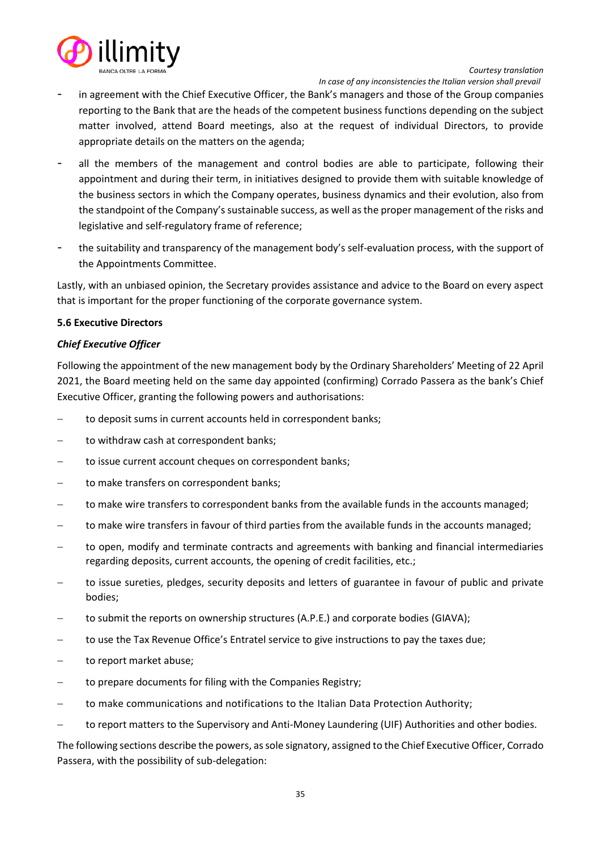

 *In case of any inconsistencies the Italian version shall prevail*

- in agreement with the Chief Executive Officer, the Bank's managers and those of the Group companies reporting to the Bank that are the heads of the competent business functions depending on the subject matter involved, attend Board meetings, also at the request of individual Directors, to provide appropriate details on the matters on the agenda;
- all the members of the management and control bodies are able to participate, following their appointment and during their term, in initiatives designed to provide them with suitable knowledge of the business sectors in which the Company operates, business dynamics and their evolution, also from the standpoint of the Company's sustainable success, as well as the proper management of the risks and legislative and self-regulatory frame of reference;
- the suitability and transparency of the management body's self-evaluation process, with the support of the Appointments Committee.

Lastly, with an unbiased opinion, the Secretary provides assistance and advice to the Board on every aspect that is important for the proper functioning of the corporate governance system.

#### <span id="page-34-0"></span>**5.6 Executive Directors**

#### *Chief Executive Officer*

Following the appointment of the new management body by the Ordinary Shareholders' Meeting of 22 April 2021, the Board meeting held on the same day appointed (confirming) Corrado Passera as the bank's Chief Executive Officer, granting the following powers and authorisations:

- − to deposit sums in current accounts held in correspondent banks;
- to withdraw cash at correspondent banks;
- to issue current account cheques on correspondent banks;
- to make transfers on correspondent banks;
- to make wire transfers to correspondent banks from the available funds in the accounts managed;
- to make wire transfers in favour of third parties from the available funds in the accounts managed;
- to open, modify and terminate contracts and agreements with banking and financial intermediaries regarding deposits, current accounts, the opening of credit facilities, etc.;
- to issue sureties, pledges, security deposits and letters of guarantee in favour of public and private bodies;
- to submit the reports on ownership structures (A.P.E.) and corporate bodies (GIAVA);
- − to use the Tax Revenue Office's Entratel service to give instructions to pay the taxes due;
- − to report market abuse;
- to prepare documents for filing with the Companies Registry;
- to make communications and notifications to the Italian Data Protection Authority;
- − to report matters to the Supervisory and Anti-Money Laundering (UIF) Authorities and other bodies.

The following sections describe the powers, as sole signatory, assigned to the Chief Executive Officer, Corrado Passera, with the possibility of sub-delegation: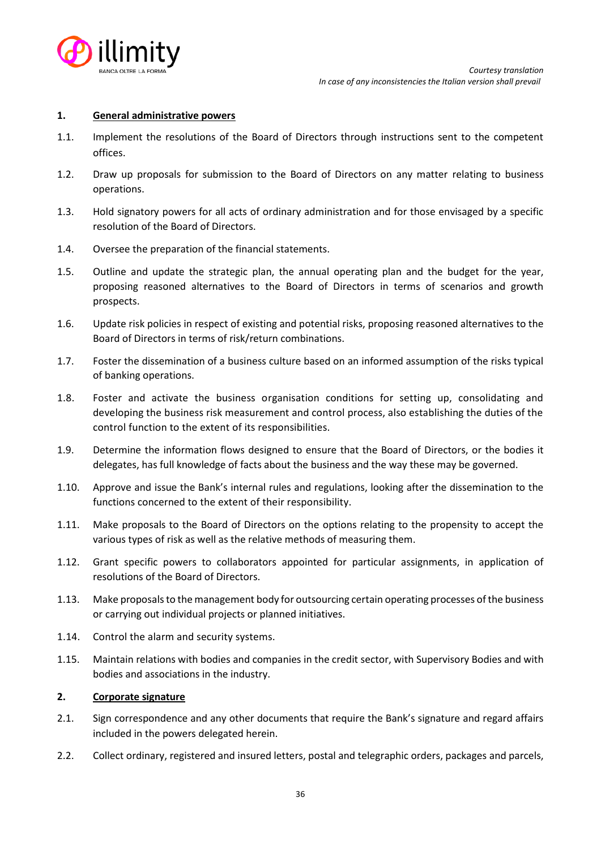

#### **1. General administrative powers**

- 1.1. Implement the resolutions of the Board of Directors through instructions sent to the competent offices.
- 1.2. Draw up proposals for submission to the Board of Directors on any matter relating to business operations.
- 1.3. Hold signatory powers for all acts of ordinary administration and for those envisaged by a specific resolution of the Board of Directors.
- 1.4. Oversee the preparation of the financial statements.
- 1.5. Outline and update the strategic plan, the annual operating plan and the budget for the year, proposing reasoned alternatives to the Board of Directors in terms of scenarios and growth prospects.
- 1.6. Update risk policies in respect of existing and potential risks, proposing reasoned alternatives to the Board of Directors in terms of risk/return combinations.
- 1.7. Foster the dissemination of a business culture based on an informed assumption of the risks typical of banking operations.
- 1.8. Foster and activate the business organisation conditions for setting up, consolidating and developing the business risk measurement and control process, also establishing the duties of the control function to the extent of its responsibilities.
- 1.9. Determine the information flows designed to ensure that the Board of Directors, or the bodies it delegates, has full knowledge of facts about the business and the way these may be governed.
- 1.10. Approve and issue the Bank's internal rules and regulations, looking after the dissemination to the functions concerned to the extent of their responsibility.
- 1.11. Make proposals to the Board of Directors on the options relating to the propensity to accept the various types of risk as well as the relative methods of measuring them.
- 1.12. Grant specific powers to collaborators appointed for particular assignments, in application of resolutions of the Board of Directors.
- 1.13. Make proposals to the management body for outsourcing certain operating processes of the business or carrying out individual projects or planned initiatives.
- 1.14. Control the alarm and security systems.
- 1.15. Maintain relations with bodies and companies in the credit sector, with Supervisory Bodies and with bodies and associations in the industry.

#### **2. Corporate signature**

- 2.1. Sign correspondence and any other documents that require the Bank's signature and regard affairs included in the powers delegated herein.
- 2.2. Collect ordinary, registered and insured letters, postal and telegraphic orders, packages and parcels,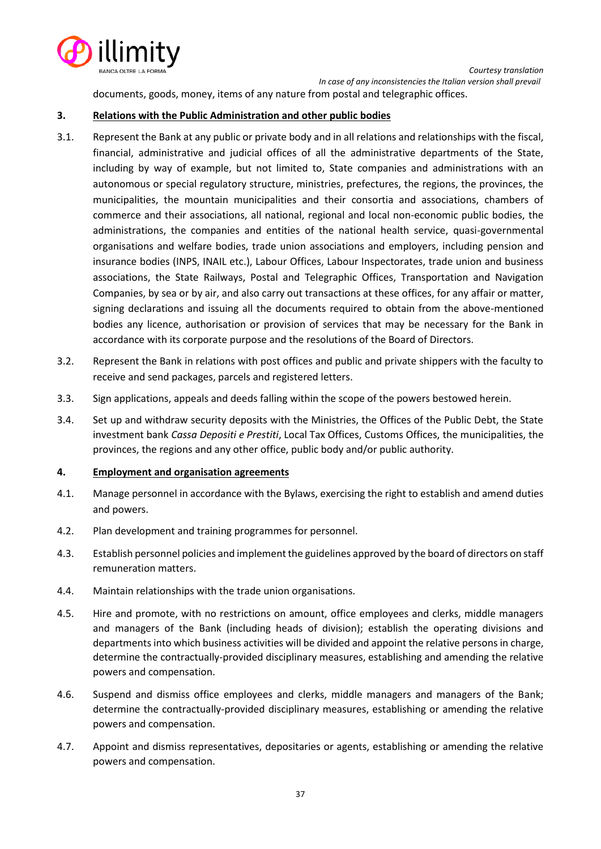

documents, goods, money, items of any nature from postal and telegraphic offices.

### **3. Relations with the Public Administration and other public bodies**

- 3.1. Represent the Bank at any public or private body and in all relations and relationships with the fiscal, financial, administrative and judicial offices of all the administrative departments of the State, including by way of example, but not limited to, State companies and administrations with an autonomous or special regulatory structure, ministries, prefectures, the regions, the provinces, the municipalities, the mountain municipalities and their consortia and associations, chambers of commerce and their associations, all national, regional and local non-economic public bodies, the administrations, the companies and entities of the national health service, quasi-governmental organisations and welfare bodies, trade union associations and employers, including pension and insurance bodies (INPS, INAIL etc.), Labour Offices, Labour Inspectorates, trade union and business associations, the State Railways, Postal and Telegraphic Offices, Transportation and Navigation Companies, by sea or by air, and also carry out transactions at these offices, for any affair or matter, signing declarations and issuing all the documents required to obtain from the above-mentioned bodies any licence, authorisation or provision of services that may be necessary for the Bank in accordance with its corporate purpose and the resolutions of the Board of Directors.
- 3.2. Represent the Bank in relations with post offices and public and private shippers with the faculty to receive and send packages, parcels and registered letters.
- 3.3. Sign applications, appeals and deeds falling within the scope of the powers bestowed herein.
- 3.4. Set up and withdraw security deposits with the Ministries, the Offices of the Public Debt, the State investment bank *Cassa Depositi e Prestiti*, Local Tax Offices, Customs Offices, the municipalities, the provinces, the regions and any other office, public body and/or public authority.

### **4. Employment and organisation agreements**

- 4.1. Manage personnel in accordance with the Bylaws, exercising the right to establish and amend duties and powers.
- 4.2. Plan development and training programmes for personnel.
- 4.3. Establish personnel policies and implement the guidelines approved by the board of directors on staff remuneration matters.
- 4.4. Maintain relationships with the trade union organisations.
- 4.5. Hire and promote, with no restrictions on amount, office employees and clerks, middle managers and managers of the Bank (including heads of division); establish the operating divisions and departments into which business activities will be divided and appoint the relative persons in charge, determine the contractually-provided disciplinary measures, establishing and amending the relative powers and compensation.
- 4.6. Suspend and dismiss office employees and clerks, middle managers and managers of the Bank; determine the contractually-provided disciplinary measures, establishing or amending the relative powers and compensation.
- 4.7. Appoint and dismiss representatives, depositaries or agents, establishing or amending the relative powers and compensation.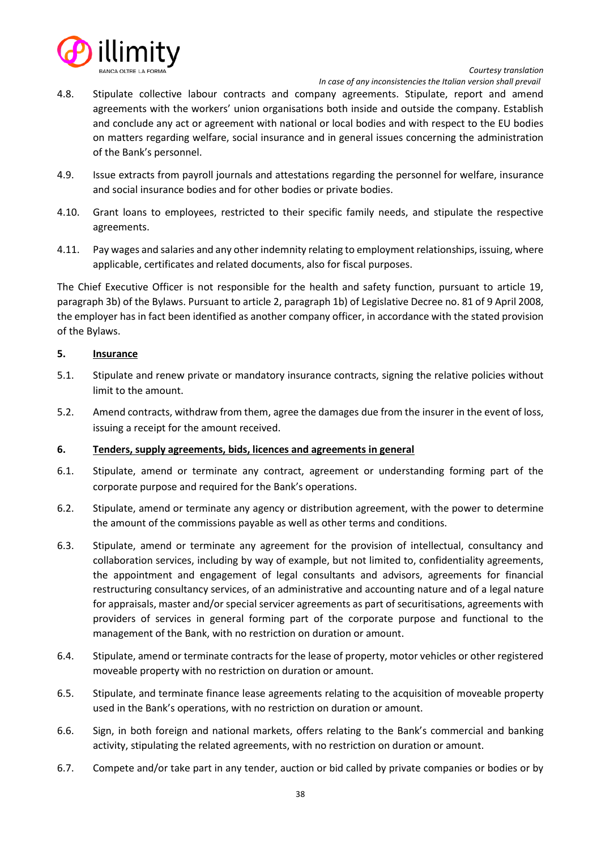

 *In case of any inconsistencies the Italian version shall prevail*

- 4.8. Stipulate collective labour contracts and company agreements. Stipulate, report and amend agreements with the workers' union organisations both inside and outside the company. Establish and conclude any act or agreement with national or local bodies and with respect to the EU bodies on matters regarding welfare, social insurance and in general issues concerning the administration of the Bank's personnel.
- 4.9. Issue extracts from payroll journals and attestations regarding the personnel for welfare, insurance and social insurance bodies and for other bodies or private bodies.
- 4.10. Grant loans to employees, restricted to their specific family needs, and stipulate the respective agreements.
- 4.11. Pay wages and salaries and any other indemnity relating to employment relationships, issuing, where applicable, certificates and related documents, also for fiscal purposes.

The Chief Executive Officer is not responsible for the health and safety function, pursuant to article 19, paragraph 3b) of the Bylaws. Pursuant to article 2, paragraph 1b) of Legislative Decree no. 81 of 9 April 2008, the employer has in fact been identified as another company officer, in accordance with the stated provision of the Bylaws.

### **5. Insurance**

- 5.1. Stipulate and renew private or mandatory insurance contracts, signing the relative policies without limit to the amount.
- 5.2. Amend contracts, withdraw from them, agree the damages due from the insurer in the event of loss, issuing a receipt for the amount received.

# **6. Tenders, supply agreements, bids, licences and agreements in general**

- 6.1. Stipulate, amend or terminate any contract, agreement or understanding forming part of the corporate purpose and required for the Bank's operations.
- 6.2. Stipulate, amend or terminate any agency or distribution agreement, with the power to determine the amount of the commissions payable as well as other terms and conditions.
- 6.3. Stipulate, amend or terminate any agreement for the provision of intellectual, consultancy and collaboration services, including by way of example, but not limited to, confidentiality agreements, the appointment and engagement of legal consultants and advisors, agreements for financial restructuring consultancy services, of an administrative and accounting nature and of a legal nature for appraisals, master and/or special servicer agreements as part of securitisations, agreements with providers of services in general forming part of the corporate purpose and functional to the management of the Bank, with no restriction on duration or amount.
- 6.4. Stipulate, amend or terminate contracts for the lease of property, motor vehicles or other registered moveable property with no restriction on duration or amount.
- 6.5. Stipulate, and terminate finance lease agreements relating to the acquisition of moveable property used in the Bank's operations, with no restriction on duration or amount.
- 6.6. Sign, in both foreign and national markets, offers relating to the Bank's commercial and banking activity, stipulating the related agreements, with no restriction on duration or amount.
- 6.7. Compete and/or take part in any tender, auction or bid called by private companies or bodies or by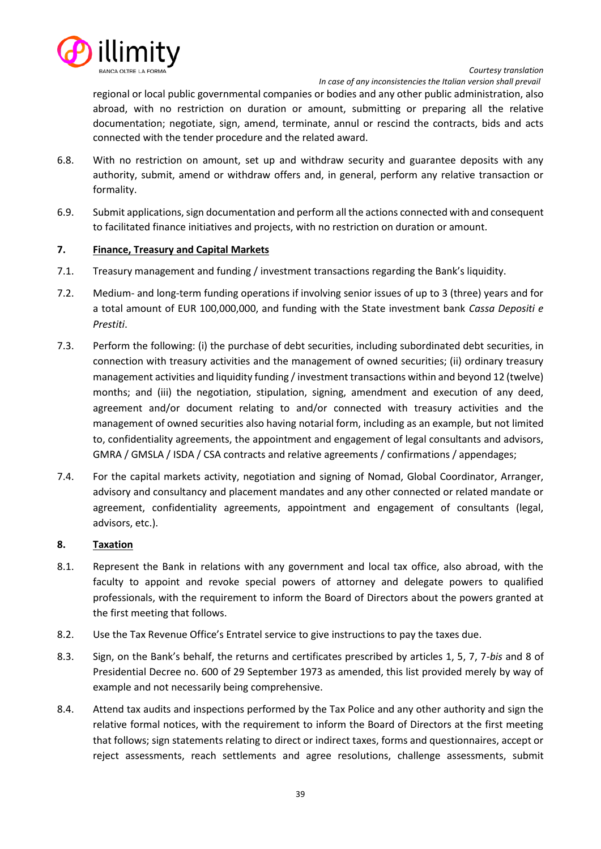

 *In case of any inconsistencies the Italian version shall prevail*

regional or local public governmental companies or bodies and any other public administration, also abroad, with no restriction on duration or amount, submitting or preparing all the relative documentation; negotiate, sign, amend, terminate, annul or rescind the contracts, bids and acts connected with the tender procedure and the related award.

- 6.8. With no restriction on amount, set up and withdraw security and guarantee deposits with any authority, submit, amend or withdraw offers and, in general, perform any relative transaction or formality.
- 6.9. Submit applications, sign documentation and perform all the actions connected with and consequent to facilitated finance initiatives and projects, with no restriction on duration or amount.

# **7. Finance, Treasury and Capital Markets**

- 7.1. Treasury management and funding / investment transactions regarding the Bank's liquidity.
- 7.2. Medium- and long-term funding operations if involving senior issues of up to 3 (three) years and for a total amount of EUR 100,000,000, and funding with the State investment bank *Cassa Depositi e Prestiti*.
- 7.3. Perform the following: (i) the purchase of debt securities, including subordinated debt securities, in connection with treasury activities and the management of owned securities; (ii) ordinary treasury management activities and liquidity funding / investment transactions within and beyond 12 (twelve) months; and (iii) the negotiation, stipulation, signing, amendment and execution of any deed, agreement and/or document relating to and/or connected with treasury activities and the management of owned securities also having notarial form, including as an example, but not limited to, confidentiality agreements, the appointment and engagement of legal consultants and advisors, GMRA / GMSLA / ISDA / CSA contracts and relative agreements / confirmations / appendages;
- 7.4. For the capital markets activity, negotiation and signing of Nomad, Global Coordinator, Arranger, advisory and consultancy and placement mandates and any other connected or related mandate or agreement, confidentiality agreements, appointment and engagement of consultants (legal, advisors, etc.).

### **8. Taxation**

- 8.1. Represent the Bank in relations with any government and local tax office, also abroad, with the faculty to appoint and revoke special powers of attorney and delegate powers to qualified professionals, with the requirement to inform the Board of Directors about the powers granted at the first meeting that follows.
- 8.2. Use the Tax Revenue Office's Entratel service to give instructions to pay the taxes due.
- 8.3. Sign, on the Bank's behalf, the returns and certificates prescribed by articles 1, 5, 7, 7-*bis* and 8 of Presidential Decree no. 600 of 29 September 1973 as amended, this list provided merely by way of example and not necessarily being comprehensive.
- 8.4. Attend tax audits and inspections performed by the Tax Police and any other authority and sign the relative formal notices, with the requirement to inform the Board of Directors at the first meeting that follows; sign statements relating to direct or indirect taxes, forms and questionnaires, accept or reject assessments, reach settlements and agree resolutions, challenge assessments, submit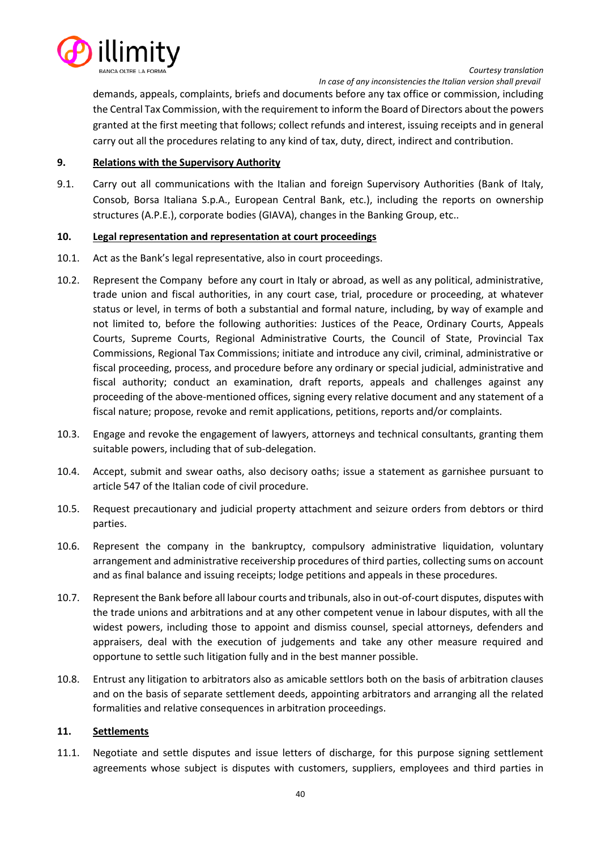

*Courtesy translation In case of any inconsistencies the Italian version shall prevail*

demands, appeals, complaints, briefs and documents before any tax office or commission, including the Central Tax Commission, with the requirement to inform the Board of Directors about the powers granted at the first meeting that follows; collect refunds and interest, issuing receipts and in general carry out all the procedures relating to any kind of tax, duty, direct, indirect and contribution.

# **9. Relations with the Supervisory Authority**

9.1. Carry out all communications with the Italian and foreign Supervisory Authorities (Bank of Italy, Consob, Borsa Italiana S.p.A., European Central Bank, etc.), including the reports on ownership structures (A.P.E.), corporate bodies (GIAVA), changes in the Banking Group, etc..

# **10. Legal representation and representation at court proceedings**

- 10.1. Act as the Bank's legal representative, also in court proceedings.
- 10.2. Represent the Company before any court in Italy or abroad, as well as any political, administrative, trade union and fiscal authorities, in any court case, trial, procedure or proceeding, at whatever status or level, in terms of both a substantial and formal nature, including, by way of example and not limited to, before the following authorities: Justices of the Peace, Ordinary Courts, Appeals Courts, Supreme Courts, Regional Administrative Courts, the Council of State, Provincial Tax Commissions, Regional Tax Commissions; initiate and introduce any civil, criminal, administrative or fiscal proceeding, process, and procedure before any ordinary or special judicial, administrative and fiscal authority; conduct an examination, draft reports, appeals and challenges against any proceeding of the above-mentioned offices, signing every relative document and any statement of a fiscal nature; propose, revoke and remit applications, petitions, reports and/or complaints.
- 10.3. Engage and revoke the engagement of lawyers, attorneys and technical consultants, granting them suitable powers, including that of sub-delegation.
- 10.4. Accept, submit and swear oaths, also decisory oaths; issue a statement as garnishee pursuant to article 547 of the Italian code of civil procedure.
- 10.5. Request precautionary and judicial property attachment and seizure orders from debtors or third parties.
- 10.6. Represent the company in the bankruptcy, compulsory administrative liquidation, voluntary arrangement and administrative receivership procedures of third parties, collecting sums on account and as final balance and issuing receipts; lodge petitions and appeals in these procedures.
- 10.7. Represent the Bank before all labour courts and tribunals, also in out-of-court disputes, disputes with the trade unions and arbitrations and at any other competent venue in labour disputes, with all the widest powers, including those to appoint and dismiss counsel, special attorneys, defenders and appraisers, deal with the execution of judgements and take any other measure required and opportune to settle such litigation fully and in the best manner possible.
- 10.8. Entrust any litigation to arbitrators also as amicable settlors both on the basis of arbitration clauses and on the basis of separate settlement deeds, appointing arbitrators and arranging all the related formalities and relative consequences in arbitration proceedings.

### **11. Settlements**

11.1. Negotiate and settle disputes and issue letters of discharge, for this purpose signing settlement agreements whose subject is disputes with customers, suppliers, employees and third parties in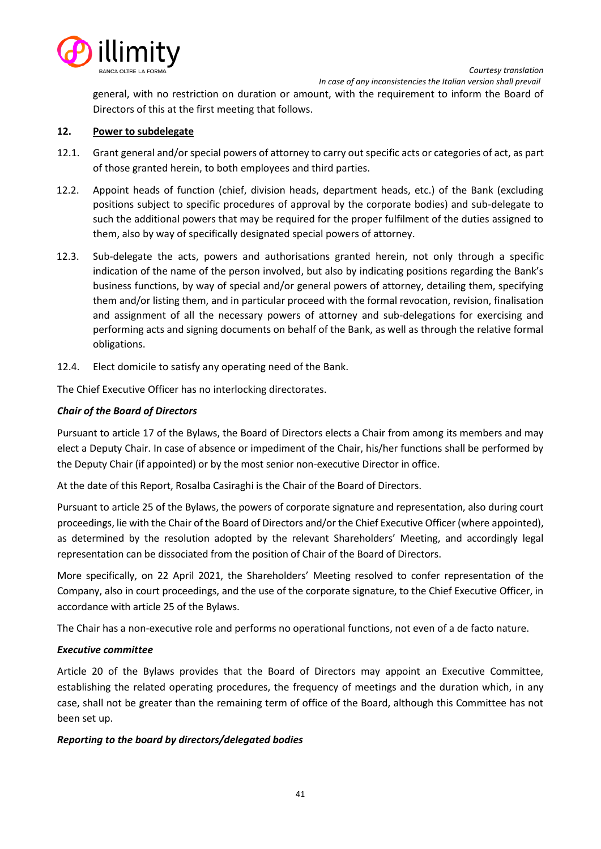

general, with no restriction on duration or amount, with the requirement to inform the Board of Directors of this at the first meeting that follows.

# **12. Power to subdelegate**

- 12.1. Grant general and/or special powers of attorney to carry out specific acts or categories of act, as part of those granted herein, to both employees and third parties.
- 12.2. Appoint heads of function (chief, division heads, department heads, etc.) of the Bank (excluding positions subject to specific procedures of approval by the corporate bodies) and sub-delegate to such the additional powers that may be required for the proper fulfilment of the duties assigned to them, also by way of specifically designated special powers of attorney.
- 12.3. Sub-delegate the acts, powers and authorisations granted herein, not only through a specific indication of the name of the person involved, but also by indicating positions regarding the Bank's business functions, by way of special and/or general powers of attorney, detailing them, specifying them and/or listing them, and in particular proceed with the formal revocation, revision, finalisation and assignment of all the necessary powers of attorney and sub-delegations for exercising and performing acts and signing documents on behalf of the Bank, as well as through the relative formal obligations.
- 12.4. Elect domicile to satisfy any operating need of the Bank.

The Chief Executive Officer has no interlocking directorates.

# *Chair of the Board of Directors*

Pursuant to article 17 of the Bylaws, the Board of Directors elects a Chair from among its members and may elect a Deputy Chair. In case of absence or impediment of the Chair, his/her functions shall be performed by the Deputy Chair (if appointed) or by the most senior non-executive Director in office.

At the date of this Report, Rosalba Casiraghi is the Chair of the Board of Directors.

Pursuant to article 25 of the Bylaws, the powers of corporate signature and representation, also during court proceedings, lie with the Chair of the Board of Directors and/or the Chief Executive Officer (where appointed), as determined by the resolution adopted by the relevant Shareholders' Meeting, and accordingly legal representation can be dissociated from the position of Chair of the Board of Directors.

More specifically, on 22 April 2021, the Shareholders' Meeting resolved to confer representation of the Company, also in court proceedings, and the use of the corporate signature, to the Chief Executive Officer, in accordance with article 25 of the Bylaws.

The Chair has a non-executive role and performs no operational functions, not even of a de facto nature.

### *Executive committee*

Article 20 of the Bylaws provides that the Board of Directors may appoint an Executive Committee, establishing the related operating procedures, the frequency of meetings and the duration which, in any case, shall not be greater than the remaining term of office of the Board, although this Committee has not been set up.

### *Reporting to the board by directors/delegated bodies*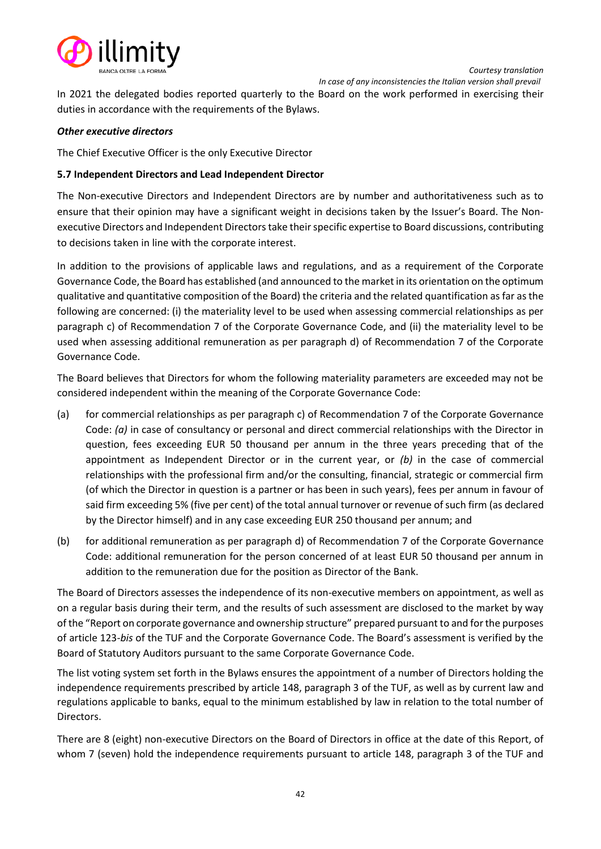

In 2021 the delegated bodies reported quarterly to the Board on the work performed in exercising their duties in accordance with the requirements of the Bylaws.

# *Other executive directors*

The Chief Executive Officer is the only Executive Director

# **5.7 Independent Directors and Lead Independent Director**

The Non-executive Directors and Independent Directors are by number and authoritativeness such as to ensure that their opinion may have a significant weight in decisions taken by the Issuer's Board. The Nonexecutive Directors and Independent Directors take their specific expertise to Board discussions, contributing to decisions taken in line with the corporate interest.

In addition to the provisions of applicable laws and regulations, and as a requirement of the Corporate Governance Code, the Board has established (and announced to the market in its orientation on the optimum qualitative and quantitative composition of the Board) the criteria and the related quantification as far as the following are concerned: (i) the materiality level to be used when assessing commercial relationships as per paragraph c) of Recommendation 7 of the Corporate Governance Code, and (ii) the materiality level to be used when assessing additional remuneration as per paragraph d) of Recommendation 7 of the Corporate Governance Code.

The Board believes that Directors for whom the following materiality parameters are exceeded may not be considered independent within the meaning of the Corporate Governance Code:

- (a) for commercial relationships as per paragraph c) of Recommendation 7 of the Corporate Governance Code: *(a)* in case of consultancy or personal and direct commercial relationships with the Director in question, fees exceeding EUR 50 thousand per annum in the three years preceding that of the appointment as Independent Director or in the current year, or *(b)* in the case of commercial relationships with the professional firm and/or the consulting, financial, strategic or commercial firm (of which the Director in question is a partner or has been in such years), fees per annum in favour of said firm exceeding 5% (five per cent) of the total annual turnover or revenue of such firm (as declared by the Director himself) and in any case exceeding EUR 250 thousand per annum; and
- (b) for additional remuneration as per paragraph d) of Recommendation 7 of the Corporate Governance Code: additional remuneration for the person concerned of at least EUR 50 thousand per annum in addition to the remuneration due for the position as Director of the Bank.

The Board of Directors assesses the independence of its non-executive members on appointment, as well as on a regular basis during their term, and the results of such assessment are disclosed to the market by way of the "Report on corporate governance and ownership structure" prepared pursuant to and for the purposes of article 123-*bis* of the TUF and the Corporate Governance Code. The Board's assessment is verified by the Board of Statutory Auditors pursuant to the same Corporate Governance Code.

The list voting system set forth in the Bylaws ensures the appointment of a number of Directors holding the independence requirements prescribed by article 148, paragraph 3 of the TUF, as well as by current law and regulations applicable to banks, equal to the minimum established by law in relation to the total number of Directors.

There are 8 (eight) non-executive Directors on the Board of Directors in office at the date of this Report, of whom 7 (seven) hold the independence requirements pursuant to article 148, paragraph 3 of the TUF and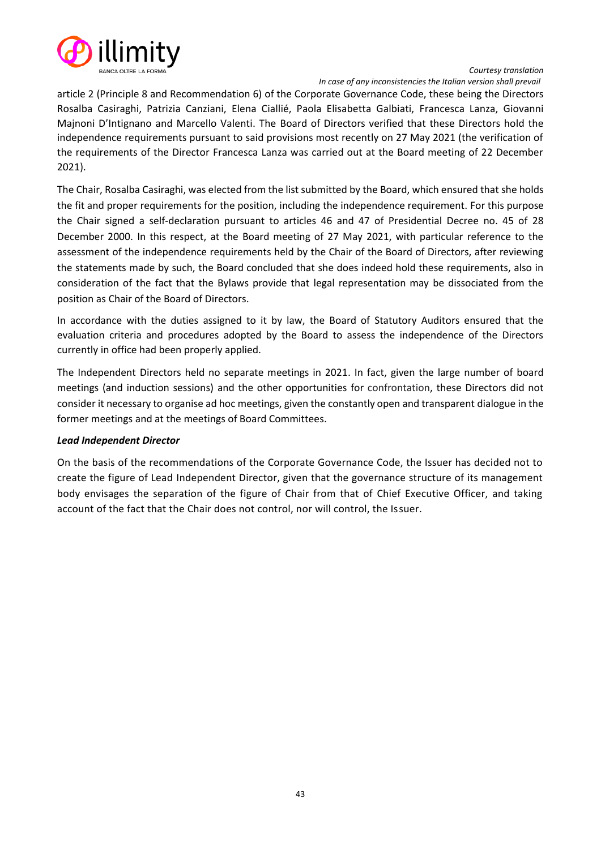

#### *Courtesy translation In case of any inconsistencies the Italian version shall prevail*

article 2 (Principle 8 and Recommendation 6) of the Corporate Governance Code, these being the Directors Rosalba Casiraghi, Patrizia Canziani, Elena Ciallié, Paola Elisabetta Galbiati, Francesca Lanza, Giovanni Majnoni D'Intignano and Marcello Valenti. The Board of Directors verified that these Directors hold the independence requirements pursuant to said provisions most recently on 27 May 2021 (the verification of the requirements of the Director Francesca Lanza was carried out at the Board meeting of 22 December 2021).

The Chair, Rosalba Casiraghi, was elected from the list submitted by the Board, which ensured that she holds the fit and proper requirements for the position, including the independence requirement. For this purpose the Chair signed a self-declaration pursuant to articles 46 and 47 of Presidential Decree no. 45 of 28 December 2000. In this respect, at the Board meeting of 27 May 2021, with particular reference to the assessment of the independence requirements held by the Chair of the Board of Directors, after reviewing the statements made by such, the Board concluded that she does indeed hold these requirements, also in consideration of the fact that the Bylaws provide that legal representation may be dissociated from the position as Chair of the Board of Directors.

In accordance with the duties assigned to it by law, the Board of Statutory Auditors ensured that the evaluation criteria and procedures adopted by the Board to assess the independence of the Directors currently in office had been properly applied.

The Independent Directors held no separate meetings in 2021. In fact, given the large number of board meetings (and induction sessions) and the other opportunities for confrontation, these Directors did not consider it necessary to organise ad hoc meetings, given the constantly open and transparent dialogue in the former meetings and at the meetings of Board Committees.

### *Lead Independent Director*

On the basis of the recommendations of the Corporate Governance Code, the Issuer has decided not to create the figure of Lead Independent Director, given that the governance structure of its management body envisages the separation of the figure of Chair from that of Chief Executive Officer, and taking account of the fact that the Chair does not control, nor will control, the Issuer.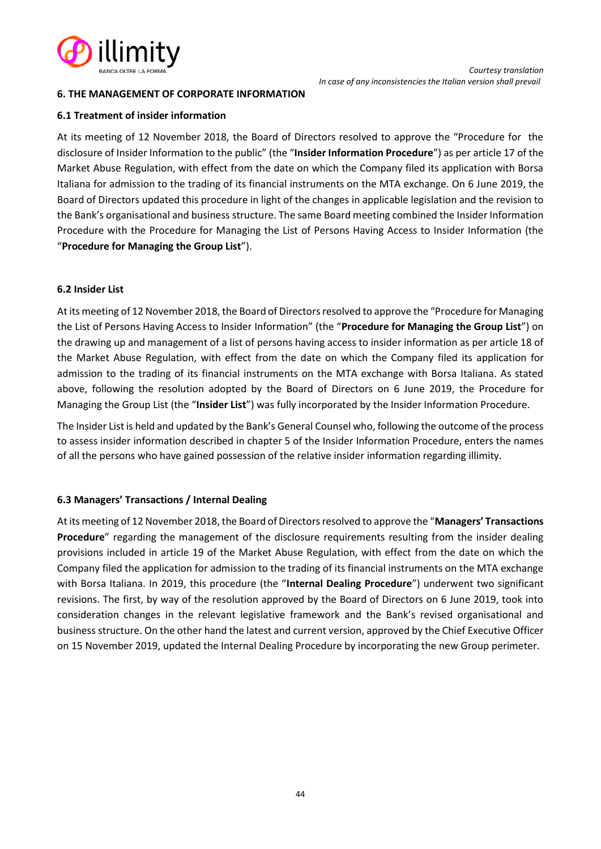

# **6. THE MANAGEMENT OF CORPORATE INFORMATION**

### **6.1 Treatment of insider information**

At its meeting of 12 November 2018, the Board of Directors resolved to approve the "Procedure for the disclosure of Insider Information to the public" (the "**Insider Information Procedure**") as per article 17 of the Market Abuse Regulation, with effect from the date on which the Company filed its application with Borsa Italiana for admission to the trading of its financial instruments on the MTA exchange. On 6 June 2019, the Board of Directors updated this procedure in light of the changes in applicable legislation and the revision to the Bank's organisational and business structure. The same Board meeting combined the Insider Information Procedure with the Procedure for Managing the List of Persons Having Access to Insider Information (the "**Procedure for Managing the Group List**").

# **6.2 Insider List**

At its meeting of 12 November 2018, the Board of Directors resolved to approve the "Procedure for Managing the List of Persons Having Access to Insider Information" (the "**Procedure for Managing the Group List**") on the drawing up and management of a list of persons having access to insider information as per article 18 of the Market Abuse Regulation, with effect from the date on which the Company filed its application for admission to the trading of its financial instruments on the MTA exchange with Borsa Italiana. As stated above, following the resolution adopted by the Board of Directors on 6 June 2019, the Procedure for Managing the Group List (the "**Insider List**") was fully incorporated by the Insider Information Procedure.

The Insider List is held and updated by the Bank's General Counsel who, following the outcome of the process to assess insider information described in chapter 5 of the Insider Information Procedure, enters the names of all the persons who have gained possession of the relative insider information regarding illimity.

# **6.3 Managers' Transactions / Internal Dealing**

At its meeting of 12 November 2018, the Board of Directors resolved to approve the "**Managers' Transactions Procedure**" regarding the management of the disclosure requirements resulting from the insider dealing provisions included in article 19 of the Market Abuse Regulation, with effect from the date on which the Company filed the application for admission to the trading of its financial instruments on the MTA exchange with Borsa Italiana. In 2019, this procedure (the "**Internal Dealing Procedure**") underwent two significant revisions. The first, by way of the resolution approved by the Board of Directors on 6 June 2019, took into consideration changes in the relevant legislative framework and the Bank's revised organisational and business structure. On the other hand the latest and current version, approved by the Chief Executive Officer on 15 November 2019, updated the Internal Dealing Procedure by incorporating the new Group perimeter.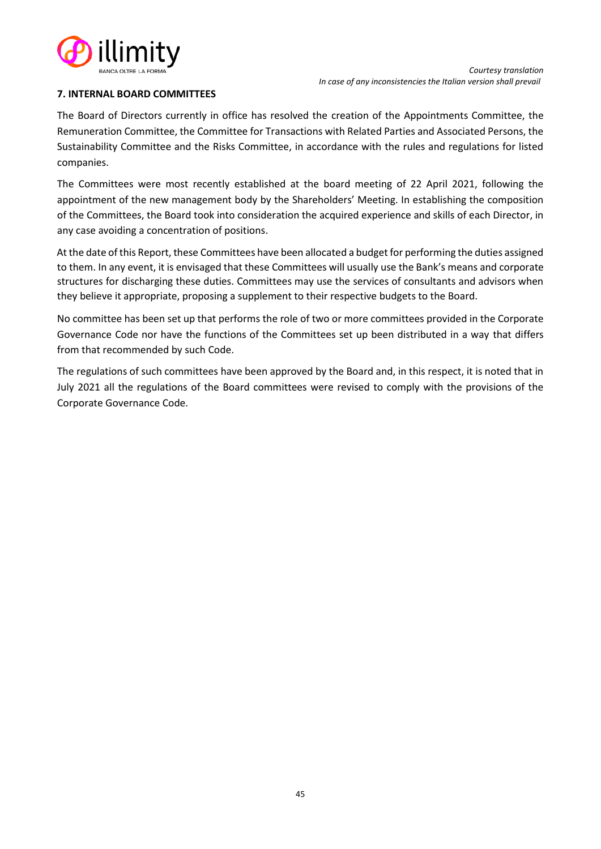

### **7. INTERNAL BOARD COMMITTEES**

The Board of Directors currently in office has resolved the creation of the Appointments Committee, the Remuneration Committee, the Committee for Transactions with Related Parties and Associated Persons, the Sustainability Committee and the Risks Committee, in accordance with the rules and regulations for listed companies.

The Committees were most recently established at the board meeting of 22 April 2021, following the appointment of the new management body by the Shareholders' Meeting. In establishing the composition of the Committees, the Board took into consideration the acquired experience and skills of each Director, in any case avoiding a concentration of positions.

At the date of this Report, these Committees have been allocated a budget for performing the duties assigned to them. In any event, it is envisaged that these Committees will usually use the Bank's means and corporate structures for discharging these duties. Committees may use the services of consultants and advisors when they believe it appropriate, proposing a supplement to their respective budgets to the Board.

No committee has been set up that performs the role of two or more committees provided in the Corporate Governance Code nor have the functions of the Committees set up been distributed in a way that differs from that recommended by such Code.

The regulations of such committees have been approved by the Board and, in this respect, it is noted that in July 2021 all the regulations of the Board committees were revised to comply with the provisions of the Corporate Governance Code.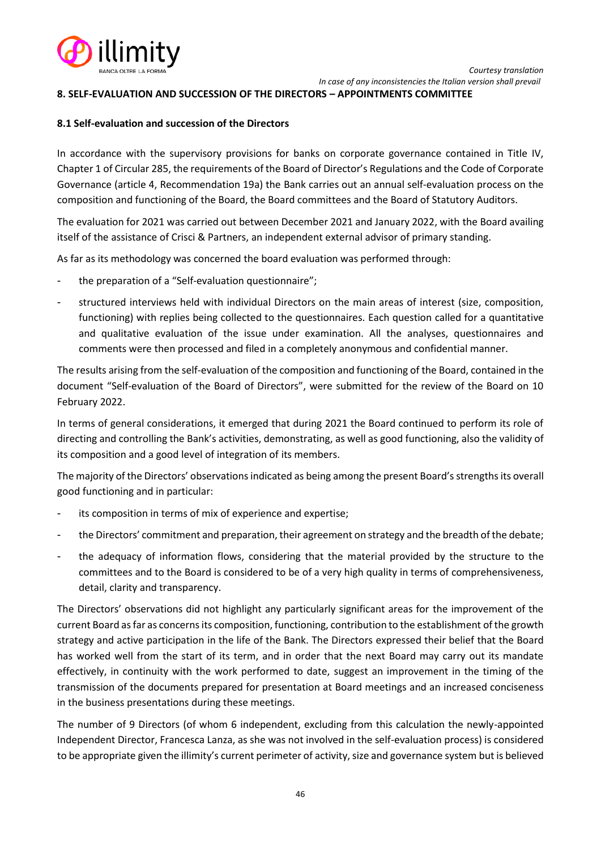

### **8. SELF-EVALUATION AND SUCCESSION OF THE DIRECTORS – APPOINTMENTS COMMITTEE**

### **8.1 Self-evaluation and succession of the Directors**

In accordance with the supervisory provisions for banks on corporate governance contained in Title IV, Chapter 1 of Circular 285, the requirements of the Board of Director's Regulations and the Code of Corporate Governance (article 4, Recommendation 19a) the Bank carries out an annual self-evaluation process on the composition and functioning of the Board, the Board committees and the Board of Statutory Auditors.

The evaluation for 2021 was carried out between December 2021 and January 2022, with the Board availing itself of the assistance of Crisci & Partners, an independent external advisor of primary standing.

As far as its methodology was concerned the board evaluation was performed through:

- the preparation of a "Self-evaluation questionnaire";
- structured interviews held with individual Directors on the main areas of interest (size, composition, functioning) with replies being collected to the questionnaires. Each question called for a quantitative and qualitative evaluation of the issue under examination. All the analyses, questionnaires and comments were then processed and filed in a completely anonymous and confidential manner.

The results arising from the self-evaluation of the composition and functioning of the Board, contained in the document "Self-evaluation of the Board of Directors", were submitted for the review of the Board on 10 February 2022.

In terms of general considerations, it emerged that during 2021 the Board continued to perform its role of directing and controlling the Bank's activities, demonstrating, as well as good functioning, also the validity of its composition and a good level of integration of its members.

The majority of the Directors' observations indicated as being among the present Board's strengths its overall good functioning and in particular:

- its composition in terms of mix of experience and expertise;
- the Directors' commitment and preparation, their agreement on strategy and the breadth of the debate;
- the adequacy of information flows, considering that the material provided by the structure to the committees and to the Board is considered to be of a very high quality in terms of comprehensiveness, detail, clarity and transparency.

The Directors' observations did not highlight any particularly significant areas for the improvement of the current Board as far as concerns its composition, functioning, contribution to the establishment of the growth strategy and active participation in the life of the Bank. The Directors expressed their belief that the Board has worked well from the start of its term, and in order that the next Board may carry out its mandate effectively, in continuity with the work performed to date, suggest an improvement in the timing of the transmission of the documents prepared for presentation at Board meetings and an increased conciseness in the business presentations during these meetings.

The number of 9 Directors (of whom 6 independent, excluding from this calculation the newly-appointed Independent Director, Francesca Lanza, as she was not involved in the self-evaluation process) is considered to be appropriate given the illimity's current perimeter of activity, size and governance system but is believed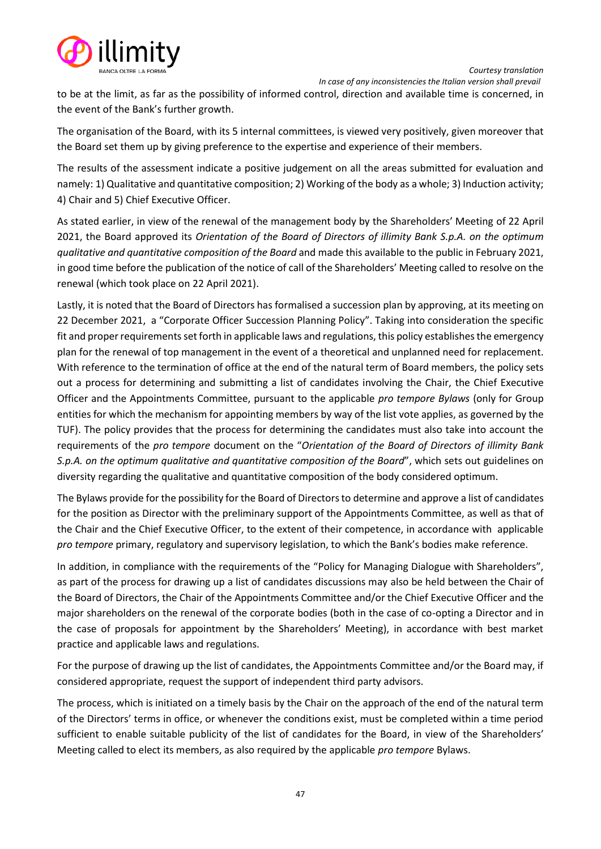



to be at the limit, as far as the possibility of informed control, direction and available time is concerned, in the event of the Bank's further growth.

The organisation of the Board, with its 5 internal committees, is viewed very positively, given moreover that the Board set them up by giving preference to the expertise and experience of their members.

The results of the assessment indicate a positive judgement on all the areas submitted for evaluation and namely: 1) Qualitative and quantitative composition; 2) Working of the body as a whole; 3) Induction activity; 4) Chair and 5) Chief Executive Officer.

As stated earlier, in view of the renewal of the management body by the Shareholders' Meeting of 22 April 2021, the Board approved its *Orientation of the Board of Directors of illimity Bank S.p.A. on the optimum qualitative and quantitative composition of the Board* and made this available to the public in February 2021, in good time before the publication of the notice of call of the Shareholders' Meeting called to resolve on the renewal (which took place on 22 April 2021).

Lastly, it is noted that the Board of Directors has formalised a succession plan by approving, at its meeting on 22 December 2021, a "Corporate Officer Succession Planning Policy". Taking into consideration the specific fit and proper requirements set forth in applicable laws and regulations, this policy establishes the emergency plan for the renewal of top management in the event of a theoretical and unplanned need for replacement. With reference to the termination of office at the end of the natural term of Board members, the policy sets out a process for determining and submitting a list of candidates involving the Chair, the Chief Executive Officer and the Appointments Committee, pursuant to the applicable *pro tempore Bylaws* (only for Group entities for which the mechanism for appointing members by way of the list vote applies, as governed by the TUF). The policy provides that the process for determining the candidates must also take into account the requirements of the *pro tempore* document on the "*Orientation of the Board of Directors of illimity Bank S.p.A. on the optimum qualitative and quantitative composition of the Board*", which sets out guidelines on diversity regarding the qualitative and quantitative composition of the body considered optimum.

The Bylaws provide for the possibility for the Board of Directors to determine and approve a list of candidates for the position as Director with the preliminary support of the Appointments Committee, as well as that of the Chair and the Chief Executive Officer, to the extent of their competence, in accordance with applicable *pro tempore* primary, regulatory and supervisory legislation, to which the Bank's bodies make reference.

In addition, in compliance with the requirements of the "Policy for Managing Dialogue with Shareholders", as part of the process for drawing up a list of candidates discussions may also be held between the Chair of the Board of Directors, the Chair of the Appointments Committee and/or the Chief Executive Officer and the major shareholders on the renewal of the corporate bodies (both in the case of co-opting a Director and in the case of proposals for appointment by the Shareholders' Meeting), in accordance with best market practice and applicable laws and regulations.

For the purpose of drawing up the list of candidates, the Appointments Committee and/or the Board may, if considered appropriate, request the support of independent third party advisors.

The process, which is initiated on a timely basis by the Chair on the approach of the end of the natural term of the Directors' terms in office, or whenever the conditions exist, must be completed within a time period sufficient to enable suitable publicity of the list of candidates for the Board, in view of the Shareholders' Meeting called to elect its members, as also required by the applicable *pro tempore* Bylaws.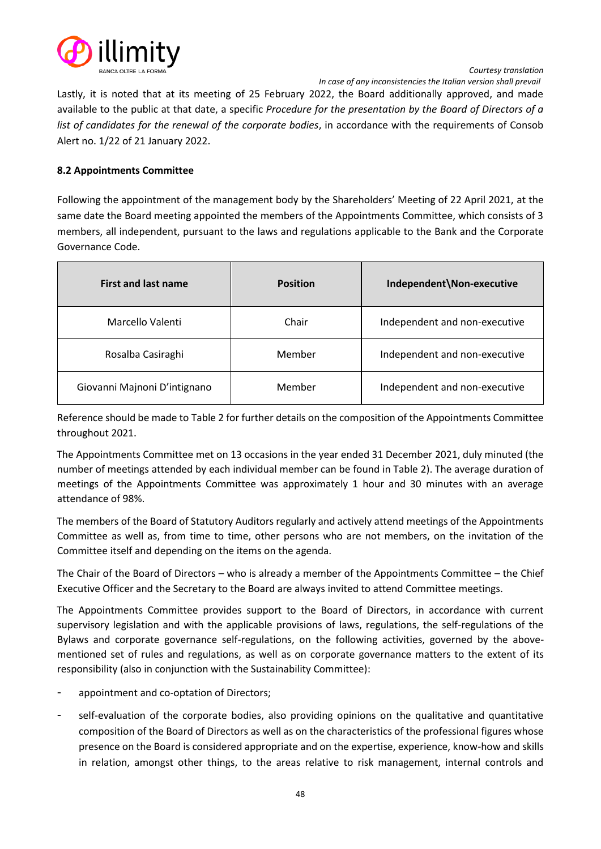

*Courtesy translation In case of any inconsistencies the Italian version shall prevail*

Lastly, it is noted that at its meeting of 25 February 2022, the Board additionally approved, and made available to the public at that date, a specific *Procedure for the presentation by the Board of Directors of a list of candidates for the renewal of the corporate bodies*, in accordance with the requirements of Consob Alert no. 1/22 of 21 January 2022.

# **8.2 Appointments Committee**

Following the appointment of the management body by the Shareholders' Meeting of 22 April 2021, at the same date the Board meeting appointed the members of the Appointments Committee, which consists of 3 members, all independent, pursuant to the laws and regulations applicable to the Bank and the Corporate Governance Code.

| <b>First and last name</b>   | <b>Position</b> | Independent\Non-executive     |
|------------------------------|-----------------|-------------------------------|
| Marcello Valenti             | Chair           | Independent and non-executive |
| Rosalba Casiraghi            | Member          | Independent and non-executive |
| Giovanni Majnoni D'intignano | Member          | Independent and non-executive |

Reference should be made to Table 2 for further details on the composition of the Appointments Committee throughout 2021.

The Appointments Committee met on 13 occasions in the year ended 31 December 2021, duly minuted (the number of meetings attended by each individual member can be found in Table 2). The average duration of meetings of the Appointments Committee was approximately 1 hour and 30 minutes with an average attendance of 98%.

The members of the Board of Statutory Auditors regularly and actively attend meetings of the Appointments Committee as well as, from time to time, other persons who are not members, on the invitation of the Committee itself and depending on the items on the agenda.

The Chair of the Board of Directors – who is already a member of the Appointments Committee – the Chief Executive Officer and the Secretary to the Board are always invited to attend Committee meetings.

The Appointments Committee provides support to the Board of Directors, in accordance with current supervisory legislation and with the applicable provisions of laws, regulations, the self-regulations of the Bylaws and corporate governance self-regulations, on the following activities, governed by the abovementioned set of rules and regulations, as well as on corporate governance matters to the extent of its responsibility (also in conjunction with the Sustainability Committee):

- appointment and co-optation of Directors;
- self-evaluation of the corporate bodies, also providing opinions on the qualitative and quantitative composition of the Board of Directors as well as on the characteristics of the professional figures whose presence on the Board is considered appropriate and on the expertise, experience, know-how and skills in relation, amongst other things, to the areas relative to risk management, internal controls and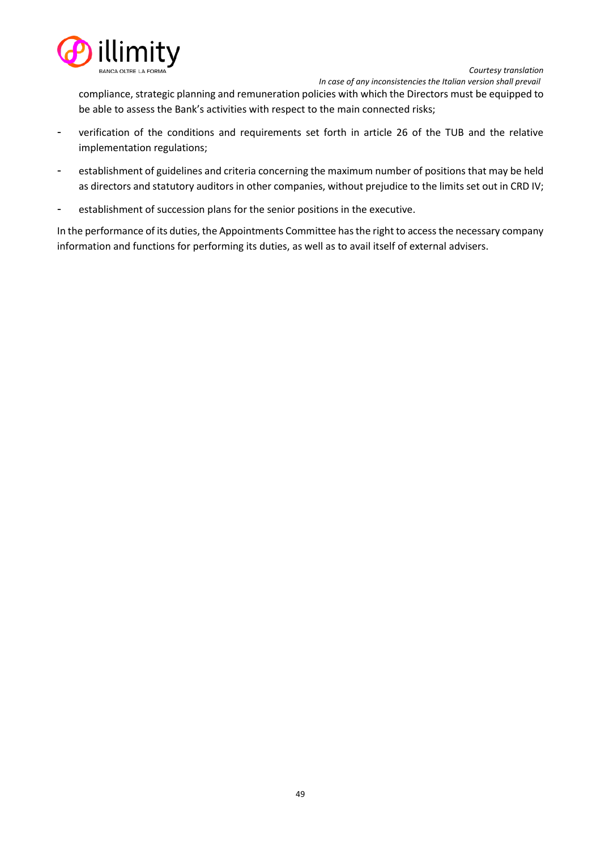

 *In case of any inconsistencies the Italian version shall prevail* compliance, strategic planning and remuneration policies with which the Directors must be equipped to be able to assess the Bank's activities with respect to the main connected risks;

- verification of the conditions and requirements set forth in article 26 of the TUB and the relative implementation regulations;
- establishment of guidelines and criteria concerning the maximum number of positions that may be held as directors and statutory auditors in other companies, without prejudice to the limits set out in CRD IV;
- establishment of succession plans for the senior positions in the executive.

In the performance of its duties, the Appointments Committee has the right to access the necessary company information and functions for performing its duties, as well as to avail itself of external advisers.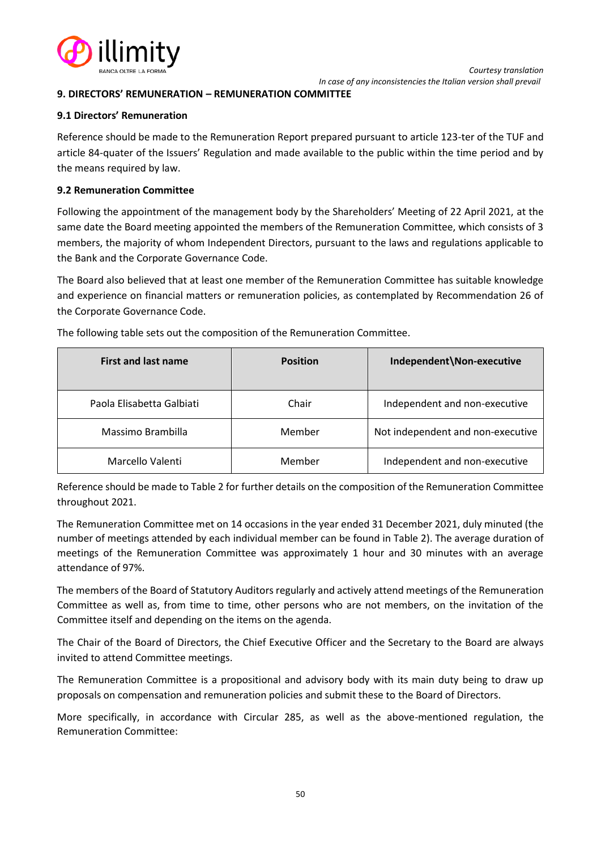

### **9. DIRECTORS' REMUNERATION – REMUNERATION COMMITTEE**

#### **9.1 Directors' Remuneration**

Reference should be made to the Remuneration Report prepared pursuant to article 123-ter of the TUF and article 84-quater of the Issuers' Regulation and made available to the public within the time period and by the means required by law.

#### **9.2 Remuneration Committee**

Following the appointment of the management body by the Shareholders' Meeting of 22 April 2021, at the same date the Board meeting appointed the members of the Remuneration Committee, which consists of 3 members, the majority of whom Independent Directors, pursuant to the laws and regulations applicable to the Bank and the Corporate Governance Code.

The Board also believed that at least one member of the Remuneration Committee has suitable knowledge and experience on financial matters or remuneration policies, as contemplated by Recommendation 26 of the Corporate Governance Code.

| <b>First and last name</b> | <b>Position</b> | Independent\Non-executive         |
|----------------------------|-----------------|-----------------------------------|
| Paola Elisabetta Galbiati  | Chair           | Independent and non-executive     |
| Massimo Brambilla          | Member          | Not independent and non-executive |
| Marcello Valenti           | Member          | Independent and non-executive     |

The following table sets out the composition of the Remuneration Committee.

Reference should be made to Table 2 for further details on the composition of the Remuneration Committee throughout 2021.

The Remuneration Committee met on 14 occasions in the year ended 31 December 2021, duly minuted (the number of meetings attended by each individual member can be found in Table 2). The average duration of meetings of the Remuneration Committee was approximately 1 hour and 30 minutes with an average attendance of 97%.

The members of the Board of Statutory Auditors regularly and actively attend meetings of the Remuneration Committee as well as, from time to time, other persons who are not members, on the invitation of the Committee itself and depending on the items on the agenda.

The Chair of the Board of Directors, the Chief Executive Officer and the Secretary to the Board are always invited to attend Committee meetings.

The Remuneration Committee is a propositional and advisory body with its main duty being to draw up proposals on compensation and remuneration policies and submit these to the Board of Directors.

More specifically, in accordance with Circular 285, as well as the above-mentioned regulation, the Remuneration Committee: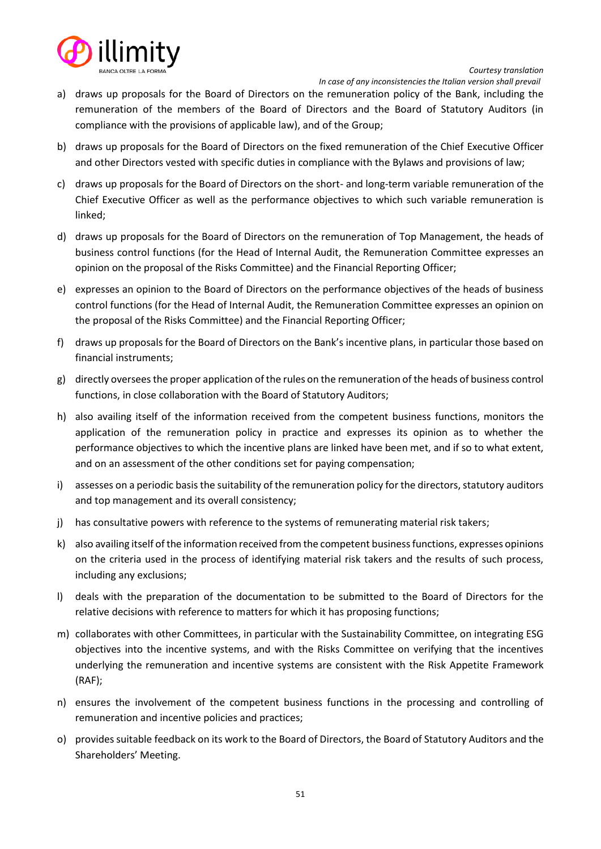

- *In case of any inconsistencies the Italian version shall prevail*
- a) draws up proposals for the Board of Directors on the remuneration policy of the Bank, including the remuneration of the members of the Board of Directors and the Board of Statutory Auditors (in compliance with the provisions of applicable law), and of the Group;
- b) draws up proposals for the Board of Directors on the fixed remuneration of the Chief Executive Officer and other Directors vested with specific duties in compliance with the Bylaws and provisions of law;
- c) draws up proposals for the Board of Directors on the short- and long-term variable remuneration of the Chief Executive Officer as well as the performance objectives to which such variable remuneration is linked;
- d) draws up proposals for the Board of Directors on the remuneration of Top Management, the heads of business control functions (for the Head of Internal Audit, the Remuneration Committee expresses an opinion on the proposal of the Risks Committee) and the Financial Reporting Officer;
- e) expresses an opinion to the Board of Directors on the performance objectives of the heads of business control functions (for the Head of Internal Audit, the Remuneration Committee expresses an opinion on the proposal of the Risks Committee) and the Financial Reporting Officer;
- f) draws up proposals for the Board of Directors on the Bank's incentive plans, in particular those based on financial instruments;
- g) directly oversees the proper application of the rules on the remuneration of the heads of business control functions, in close collaboration with the Board of Statutory Auditors;
- h) also availing itself of the information received from the competent business functions, monitors the application of the remuneration policy in practice and expresses its opinion as to whether the performance objectives to which the incentive plans are linked have been met, and if so to what extent, and on an assessment of the other conditions set for paying compensation;
- i) assesses on a periodic basis the suitability of the remuneration policy for the directors, statutory auditors and top management and its overall consistency;
- j) has consultative powers with reference to the systems of remunerating material risk takers;
- k) also availing itself of the information received from the competent business functions, expresses opinions on the criteria used in the process of identifying material risk takers and the results of such process, including any exclusions;
- l) deals with the preparation of the documentation to be submitted to the Board of Directors for the relative decisions with reference to matters for which it has proposing functions;
- m) collaborates with other Committees, in particular with the Sustainability Committee, on integrating ESG objectives into the incentive systems, and with the Risks Committee on verifying that the incentives underlying the remuneration and incentive systems are consistent with the Risk Appetite Framework (RAF);
- n) ensures the involvement of the competent business functions in the processing and controlling of remuneration and incentive policies and practices;
- o) provides suitable feedback on its work to the Board of Directors, the Board of Statutory Auditors and the Shareholders' Meeting.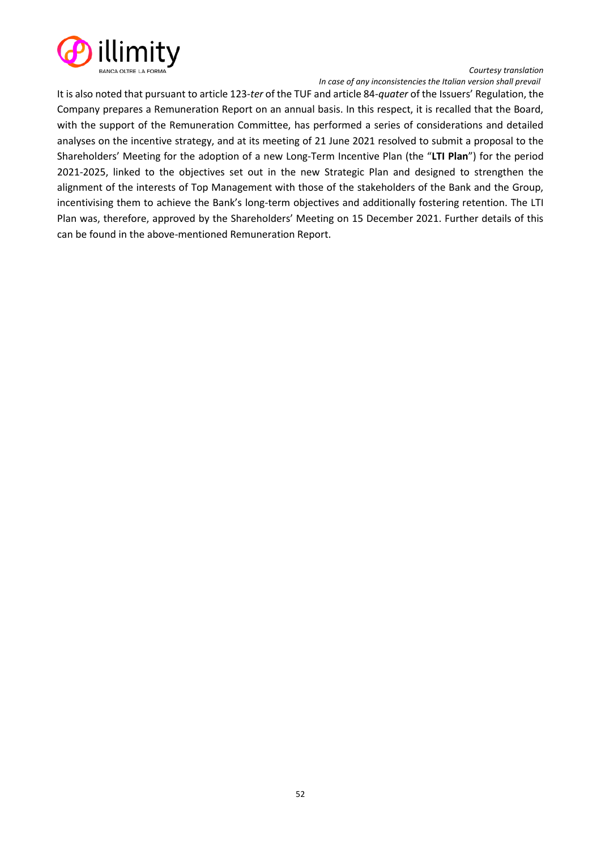

*Courtesy translation In case of any inconsistencies the Italian version shall prevail*

It is also noted that pursuant to article 123-*ter* of the TUF and article 84-*quater* of the Issuers' Regulation, the Company prepares a Remuneration Report on an annual basis. In this respect, it is recalled that the Board, with the support of the Remuneration Committee, has performed a series of considerations and detailed analyses on the incentive strategy, and at its meeting of 21 June 2021 resolved to submit a proposal to the Shareholders' Meeting for the adoption of a new Long-Term Incentive Plan (the "**LTI Plan**") for the period 2021-2025, linked to the objectives set out in the new Strategic Plan and designed to strengthen the alignment of the interests of Top Management with those of the stakeholders of the Bank and the Group, incentivising them to achieve the Bank's long-term objectives and additionally fostering retention. The LTI Plan was, therefore, approved by the Shareholders' Meeting on 15 December 2021. Further details of this can be found in the above-mentioned Remuneration Report.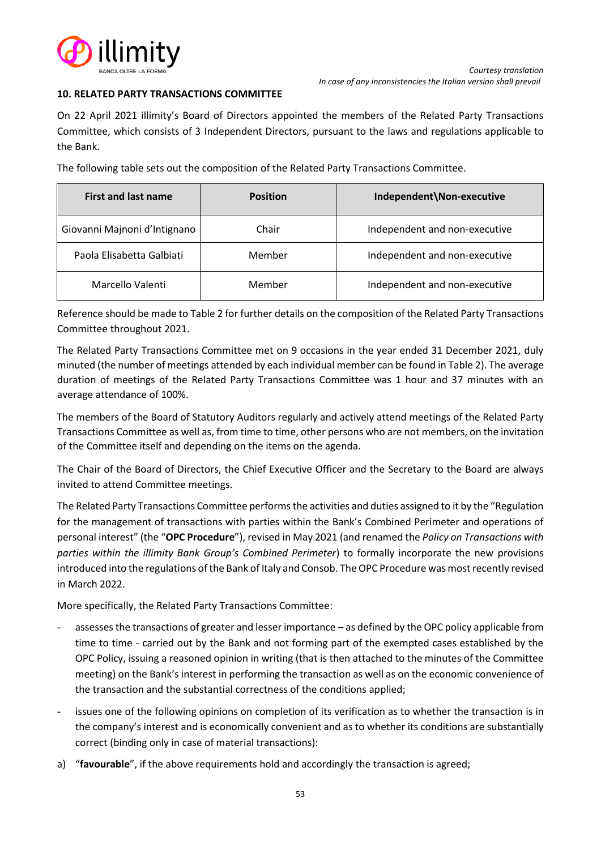

### **10. RELATED PARTY TRANSACTIONS COMMITTEE**

On 22 April 2021 illimity's Board of Directors appointed the members of the Related Party Transactions Committee, which consists of 3 Independent Directors, pursuant to the laws and regulations applicable to the Bank.

The following table sets out the composition of the Related Party Transactions Committee.

| <b>First and last name</b>   | <b>Position</b> | Independent\Non-executive     |
|------------------------------|-----------------|-------------------------------|
| Giovanni Majnoni d'Intignano | Chair           | Independent and non-executive |
| Paola Elisabetta Galbiati    | Member          | Independent and non-executive |
| Marcello Valenti             | Member          | Independent and non-executive |

Reference should be made to Table 2 for further details on the composition of the Related Party Transactions Committee throughout 2021.

The Related Party Transactions Committee met on 9 occasions in the year ended 31 December 2021, duly minuted (the number of meetings attended by each individual member can be found in Table 2). The average duration of meetings of the Related Party Transactions Committee was 1 hour and 37 minutes with an average attendance of 100%.

The members of the Board of Statutory Auditors regularly and actively attend meetings of the Related Party Transactions Committee as well as, from time to time, other persons who are not members, on the invitation of the Committee itself and depending on the items on the agenda.

The Chair of the Board of Directors, the Chief Executive Officer and the Secretary to the Board are always invited to attend Committee meetings.

The Related Party Transactions Committee performs the activities and duties assigned to it by the "Regulation for the management of transactions with parties within the Bank's Combined Perimeter and operations of personal interest" (the "**OPC Procedure**"), revised in May 2021 (and renamed the *Policy on Transactions with parties within the illimity Bank Group's Combined Perimeter*) to formally incorporate the new provisions introduced into the regulations of the Bank of Italy and Consob. The OPC Procedure was most recently revised in March 2022.

More specifically, the Related Party Transactions Committee:

- assesses the transactions of greater and lesser importance as defined by the OPC policy applicable from time to time - carried out by the Bank and not forming part of the exempted cases established by the OPC Policy, issuing a reasoned opinion in writing (that is then attached to the minutes of the Committee meeting) on the Bank's interest in performing the transaction as well as on the economic convenience of the transaction and the substantial correctness of the conditions applied;
- issues one of the following opinions on completion of its verification as to whether the transaction is in the company's interest and is economically convenient and as to whether its conditions are substantially correct (binding only in case of material transactions):
- a) "**favourable**", if the above requirements hold and accordingly the transaction is agreed;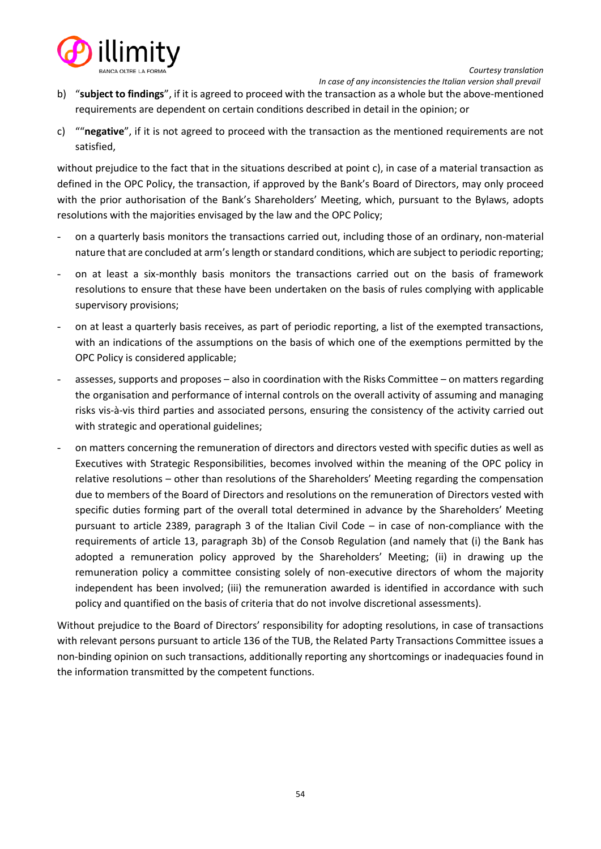

- b) "**subject to findings**", if it is agreed to proceed with the transaction as a whole but the above-mentioned requirements are dependent on certain conditions described in detail in the opinion; or
- c) ""**negative**", if it is not agreed to proceed with the transaction as the mentioned requirements are not satisfied,

without prejudice to the fact that in the situations described at point c), in case of a material transaction as defined in the OPC Policy, the transaction, if approved by the Bank's Board of Directors, may only proceed with the prior authorisation of the Bank's Shareholders' Meeting, which, pursuant to the Bylaws, adopts resolutions with the majorities envisaged by the law and the OPC Policy;

- on a quarterly basis monitors the transactions carried out, including those of an ordinary, non-material nature that are concluded at arm's length or standard conditions, which are subject to periodic reporting;
- on at least a six-monthly basis monitors the transactions carried out on the basis of framework resolutions to ensure that these have been undertaken on the basis of rules complying with applicable supervisory provisions;
- on at least a quarterly basis receives, as part of periodic reporting, a list of the exempted transactions, with an indications of the assumptions on the basis of which one of the exemptions permitted by the OPC Policy is considered applicable;
- assesses, supports and proposes also in coordination with the Risks Committee on matters regarding the organisation and performance of internal controls on the overall activity of assuming and managing risks vis-à-vis third parties and associated persons, ensuring the consistency of the activity carried out with strategic and operational guidelines;
- on matters concerning the remuneration of directors and directors vested with specific duties as well as Executives with Strategic Responsibilities, becomes involved within the meaning of the OPC policy in relative resolutions – other than resolutions of the Shareholders' Meeting regarding the compensation due to members of the Board of Directors and resolutions on the remuneration of Directors vested with specific duties forming part of the overall total determined in advance by the Shareholders' Meeting pursuant to article 2389, paragraph 3 of the Italian Civil Code – in case of non-compliance with the requirements of article 13, paragraph 3b) of the Consob Regulation (and namely that (i) the Bank has adopted a remuneration policy approved by the Shareholders' Meeting; (ii) in drawing up the remuneration policy a committee consisting solely of non-executive directors of whom the majority independent has been involved; (iii) the remuneration awarded is identified in accordance with such policy and quantified on the basis of criteria that do not involve discretional assessments).

Without prejudice to the Board of Directors' responsibility for adopting resolutions, in case of transactions with relevant persons pursuant to article 136 of the TUB, the Related Party Transactions Committee issues a non-binding opinion on such transactions, additionally reporting any shortcomings or inadequacies found in the information transmitted by the competent functions.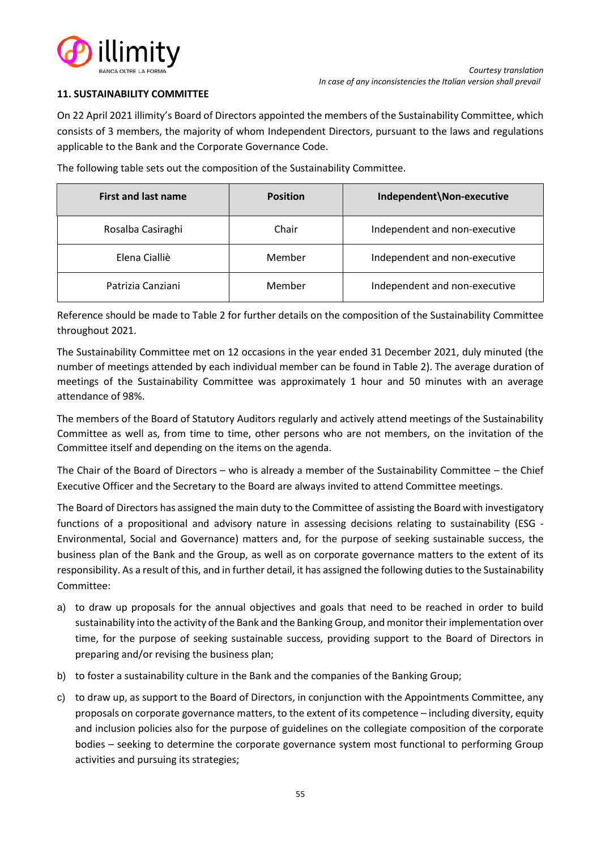

# **11. SUSTAINABILITY COMMITTEE**

On 22 April 2021 illimity's Board of Directors appointed the members of the Sustainability Committee, which consists of 3 members, the majority of whom Independent Directors, pursuant to the laws and regulations applicable to the Bank and the Corporate Governance Code.

The following table sets out the composition of the Sustainability Committee.

| <b>First and last name</b> | <b>Position</b> | Independent\Non-executive     |
|----------------------------|-----------------|-------------------------------|
| Rosalba Casiraghi          | Chair           | Independent and non-executive |
| Elena Cialliè              | Member          | Independent and non-executive |
| Patrizia Canziani          | Member          | Independent and non-executive |

Reference should be made to Table 2 for further details on the composition of the Sustainability Committee throughout 2021.

The Sustainability Committee met on 12 occasions in the year ended 31 December 2021, duly minuted (the number of meetings attended by each individual member can be found in Table 2). The average duration of meetings of the Sustainability Committee was approximately 1 hour and 50 minutes with an average attendance of 98%.

The members of the Board of Statutory Auditors regularly and actively attend meetings of the Sustainability Committee as well as, from time to time, other persons who are not members, on the invitation of the Committee itself and depending on the items on the agenda.

The Chair of the Board of Directors – who is already a member of the Sustainability Committee – the Chief Executive Officer and the Secretary to the Board are always invited to attend Committee meetings.

The Board of Directors has assigned the main duty to the Committee of assisting the Board with investigatory functions of a propositional and advisory nature in assessing decisions relating to sustainability (ESG - Environmental, Social and Governance) matters and, for the purpose of seeking sustainable success, the business plan of the Bank and the Group, as well as on corporate governance matters to the extent of its responsibility. As a result of this, and in further detail, it has assigned the following duties to the Sustainability Committee:

- a) to draw up proposals for the annual objectives and goals that need to be reached in order to build sustainability into the activity of the Bank and the Banking Group, and monitor their implementation over time, for the purpose of seeking sustainable success, providing support to the Board of Directors in preparing and/or revising the business plan;
- b) to foster a sustainability culture in the Bank and the companies of the Banking Group;
- c) to draw up, as support to the Board of Directors, in conjunction with the Appointments Committee, any proposals on corporate governance matters, to the extent of its competence – including diversity, equity and inclusion policies also for the purpose of guidelines on the collegiate composition of the corporate bodies – seeking to determine the corporate governance system most functional to performing Group activities and pursuing its strategies;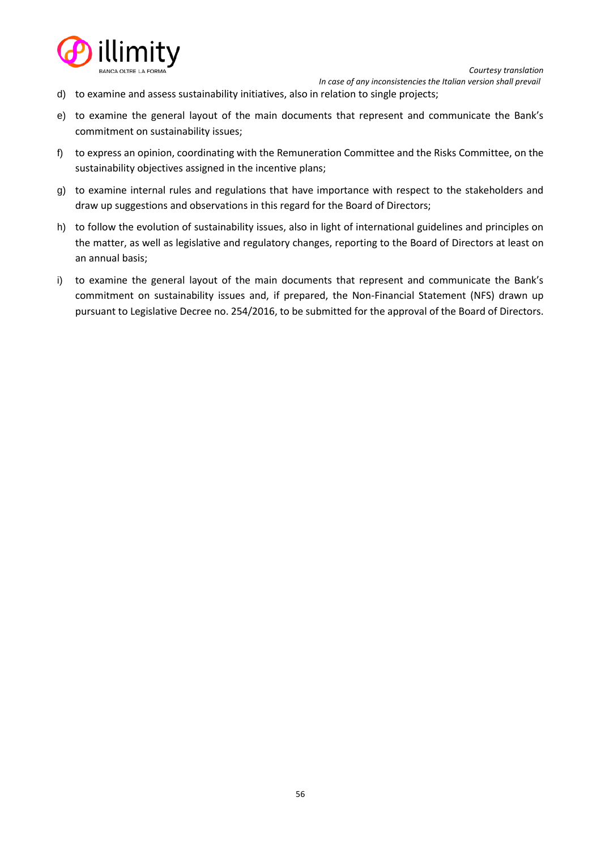

- d) to examine and assess sustainability initiatives, also in relation to single projects;
- e) to examine the general layout of the main documents that represent and communicate the Bank's commitment on sustainability issues;
- f) to express an opinion, coordinating with the Remuneration Committee and the Risks Committee, on the sustainability objectives assigned in the incentive plans;
- g) to examine internal rules and regulations that have importance with respect to the stakeholders and draw up suggestions and observations in this regard for the Board of Directors;
- h) to follow the evolution of sustainability issues, also in light of international guidelines and principles on the matter, as well as legislative and regulatory changes, reporting to the Board of Directors at least on an annual basis;
- i) to examine the general layout of the main documents that represent and communicate the Bank's commitment on sustainability issues and, if prepared, the Non-Financial Statement (NFS) drawn up pursuant to Legislative Decree no. 254/2016, to be submitted for the approval of the Board of Directors.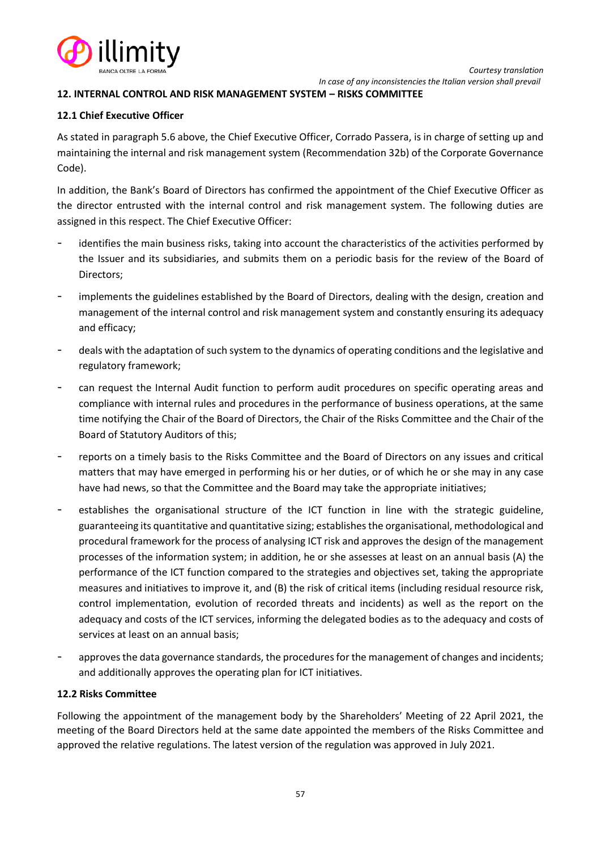

### **12. INTERNAL CONTROL AND RISK MANAGEMENT SYSTEM – RISKS COMMITTEE**

#### **12.1 Chief Executive Officer**

As stated in paragraph 5.6 above, the Chief Executive Officer, Corrado Passera, is in charge of setting up and maintaining the internal and risk management system (Recommendation 32b) of the Corporate Governance Code).

In addition, the Bank's Board of Directors has confirmed the appointment of the Chief Executive Officer as the director entrusted with the internal control and risk management system. The following duties are assigned in this respect. The Chief Executive Officer:

- identifies the main business risks, taking into account the characteristics of the activities performed by the Issuer and its subsidiaries, and submits them on a periodic basis for the review of the Board of Directors;
- implements the guidelines established by the Board of Directors, dealing with the design, creation and management of the internal control and risk management system and constantly ensuring its adequacy and efficacy;
- deals with the adaptation of such system to the dynamics of operating conditions and the legislative and regulatory framework;
- can request the Internal Audit function to perform audit procedures on specific operating areas and compliance with internal rules and procedures in the performance of business operations, at the same time notifying the Chair of the Board of Directors, the Chair of the Risks Committee and the Chair of the Board of Statutory Auditors of this;
- reports on a timely basis to the Risks Committee and the Board of Directors on any issues and critical matters that may have emerged in performing his or her duties, or of which he or she may in any case have had news, so that the Committee and the Board may take the appropriate initiatives;
- establishes the organisational structure of the ICT function in line with the strategic guideline, guaranteeing its quantitative and quantitative sizing; establishes the organisational, methodological and procedural framework for the process of analysing ICT risk and approves the design of the management processes of the information system; in addition, he or she assesses at least on an annual basis (A) the performance of the ICT function compared to the strategies and objectives set, taking the appropriate measures and initiatives to improve it, and (B) the risk of critical items (including residual resource risk, control implementation, evolution of recorded threats and incidents) as well as the report on the adequacy and costs of the ICT services, informing the delegated bodies as to the adequacy and costs of services at least on an annual basis;
- approves the data governance standards, the procedures for the management of changes and incidents; and additionally approves the operating plan for ICT initiatives.

### **12.2 Risks Committee**

Following the appointment of the management body by the Shareholders' Meeting of 22 April 2021, the meeting of the Board Directors held at the same date appointed the members of the Risks Committee and approved the relative regulations. The latest version of the regulation was approved in July 2021.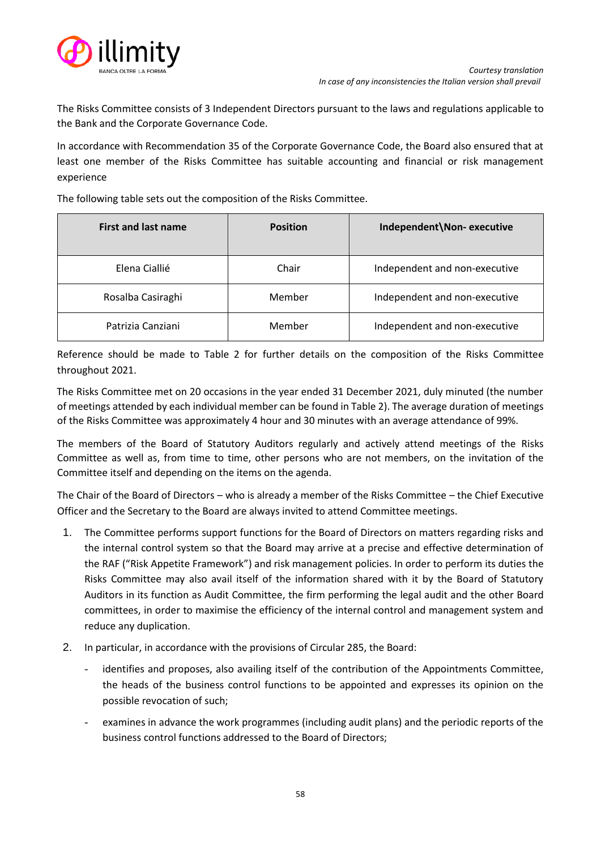

The Risks Committee consists of 3 Independent Directors pursuant to the laws and regulations applicable to the Bank and the Corporate Governance Code.

In accordance with Recommendation 35 of the Corporate Governance Code, the Board also ensured that at least one member of the Risks Committee has suitable accounting and financial or risk management experience

The following table sets out the composition of the Risks Committee.

| <b>First and last name</b> | <b>Position</b> | Independent\Non-executive     |
|----------------------------|-----------------|-------------------------------|
| Elena Ciallié              | Chair           | Independent and non-executive |
| Rosalba Casiraghi          | Member          | Independent and non-executive |
| Patrizia Canziani          | Member          | Independent and non-executive |

Reference should be made to Table 2 for further details on the composition of the Risks Committee throughout 2021.

The Risks Committee met on 20 occasions in the year ended 31 December 2021, duly minuted (the number of meetings attended by each individual member can be found in Table 2). The average duration of meetings of the Risks Committee was approximately 4 hour and 30 minutes with an average attendance of 99%.

The members of the Board of Statutory Auditors regularly and actively attend meetings of the Risks Committee as well as, from time to time, other persons who are not members, on the invitation of the Committee itself and depending on the items on the agenda.

The Chair of the Board of Directors – who is already a member of the Risks Committee – the Chief Executive Officer and the Secretary to the Board are always invited to attend Committee meetings.

- 1. The Committee performs support functions for the Board of Directors on matters regarding risks and the internal control system so that the Board may arrive at a precise and effective determination of the RAF ("Risk Appetite Framework") and risk management policies. In order to perform its duties the Risks Committee may also avail itself of the information shared with it by the Board of Statutory Auditors in its function as Audit Committee, the firm performing the legal audit and the other Board committees, in order to maximise the efficiency of the internal control and management system and reduce any duplication.
- 2. In particular, in accordance with the provisions of Circular 285, the Board:
	- identifies and proposes, also availing itself of the contribution of the Appointments Committee, the heads of the business control functions to be appointed and expresses its opinion on the possible revocation of such;
	- examines in advance the work programmes (including audit plans) and the periodic reports of the business control functions addressed to the Board of Directors;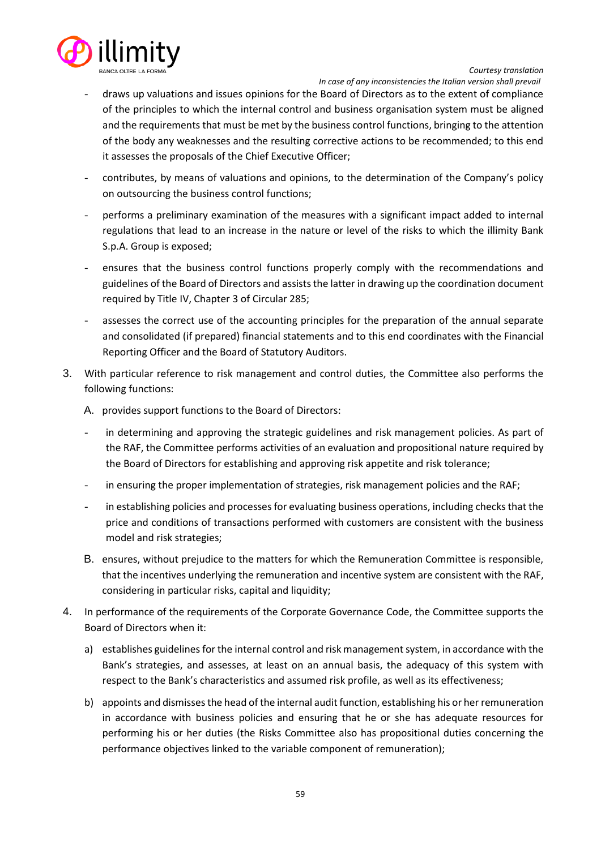

 *In case of any inconsistencies the Italian version shall prevail*

- draws up valuations and issues opinions for the Board of Directors as to the extent of compliance of the principles to which the internal control and business organisation system must be aligned and the requirements that must be met by the business control functions, bringing to the attention of the body any weaknesses and the resulting corrective actions to be recommended; to this end it assesses the proposals of the Chief Executive Officer;
- contributes, by means of valuations and opinions, to the determination of the Company's policy on outsourcing the business control functions;
- performs a preliminary examination of the measures with a significant impact added to internal regulations that lead to an increase in the nature or level of the risks to which the illimity Bank S.p.A. Group is exposed;
- ensures that the business control functions properly comply with the recommendations and guidelines of the Board of Directors and assists the latter in drawing up the coordination document required by Title IV, Chapter 3 of Circular 285;
- assesses the correct use of the accounting principles for the preparation of the annual separate and consolidated (if prepared) financial statements and to this end coordinates with the Financial Reporting Officer and the Board of Statutory Auditors.
- 3. With particular reference to risk management and control duties, the Committee also performs the following functions:
	- A. provides support functions to the Board of Directors:
	- in determining and approving the strategic guidelines and risk management policies. As part of the RAF, the Committee performs activities of an evaluation and propositional nature required by the Board of Directors for establishing and approving risk appetite and risk tolerance;
	- in ensuring the proper implementation of strategies, risk management policies and the RAF;
	- in establishing policies and processes for evaluating business operations, including checks that the price and conditions of transactions performed with customers are consistent with the business model and risk strategies;
	- B. ensures, without prejudice to the matters for which the Remuneration Committee is responsible, that the incentives underlying the remuneration and incentive system are consistent with the RAF, considering in particular risks, capital and liquidity;
- 4. In performance of the requirements of the Corporate Governance Code, the Committee supports the Board of Directors when it:
	- a) establishes guidelines for the internal control and risk management system, in accordance with the Bank's strategies, and assesses, at least on an annual basis, the adequacy of this system with respect to the Bank's characteristics and assumed risk profile, as well as its effectiveness;
	- b) appoints and dismisses the head of the internal audit function, establishing his or her remuneration in accordance with business policies and ensuring that he or she has adequate resources for performing his or her duties (the Risks Committee also has propositional duties concerning the performance objectives linked to the variable component of remuneration);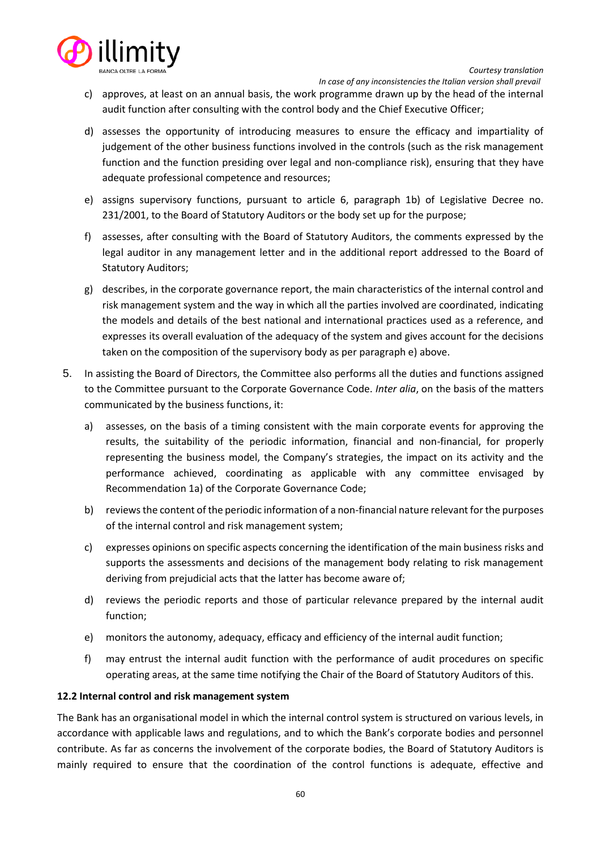

- c) approves, at least on an annual basis, the work programme drawn up by the head of the internal audit function after consulting with the control body and the Chief Executive Officer;
- d) assesses the opportunity of introducing measures to ensure the efficacy and impartiality of judgement of the other business functions involved in the controls (such as the risk management function and the function presiding over legal and non-compliance risk), ensuring that they have adequate professional competence and resources;
- e) assigns supervisory functions, pursuant to article 6, paragraph 1b) of Legislative Decree no. 231/2001, to the Board of Statutory Auditors or the body set up for the purpose;
- f) assesses, after consulting with the Board of Statutory Auditors, the comments expressed by the legal auditor in any management letter and in the additional report addressed to the Board of Statutory Auditors;
- g) describes, in the corporate governance report, the main characteristics of the internal control and risk management system and the way in which all the parties involved are coordinated, indicating the models and details of the best national and international practices used as a reference, and expresses its overall evaluation of the adequacy of the system and gives account for the decisions taken on the composition of the supervisory body as per paragraph e) above.
- 5. In assisting the Board of Directors, the Committee also performs all the duties and functions assigned to the Committee pursuant to the Corporate Governance Code. *Inter alia*, on the basis of the matters communicated by the business functions, it:
	- a) assesses, on the basis of a timing consistent with the main corporate events for approving the results, the suitability of the periodic information, financial and non-financial, for properly representing the business model, the Company's strategies, the impact on its activity and the performance achieved, coordinating as applicable with any committee envisaged by Recommendation 1a) of the Corporate Governance Code;
	- b) reviews the content of the periodic information of a non-financial nature relevant for the purposes of the internal control and risk management system;
	- c) expresses opinions on specific aspects concerning the identification of the main business risks and supports the assessments and decisions of the management body relating to risk management deriving from prejudicial acts that the latter has become aware of;
	- d) reviews the periodic reports and those of particular relevance prepared by the internal audit function;
	- e) monitors the autonomy, adequacy, efficacy and efficiency of the internal audit function;
	- f) may entrust the internal audit function with the performance of audit procedures on specific operating areas, at the same time notifying the Chair of the Board of Statutory Auditors of this.

# **12.2 Internal control and risk management system**

The Bank has an organisational model in which the internal control system is structured on various levels, in accordance with applicable laws and regulations, and to which the Bank's corporate bodies and personnel contribute. As far as concerns the involvement of the corporate bodies, the Board of Statutory Auditors is mainly required to ensure that the coordination of the control functions is adequate, effective and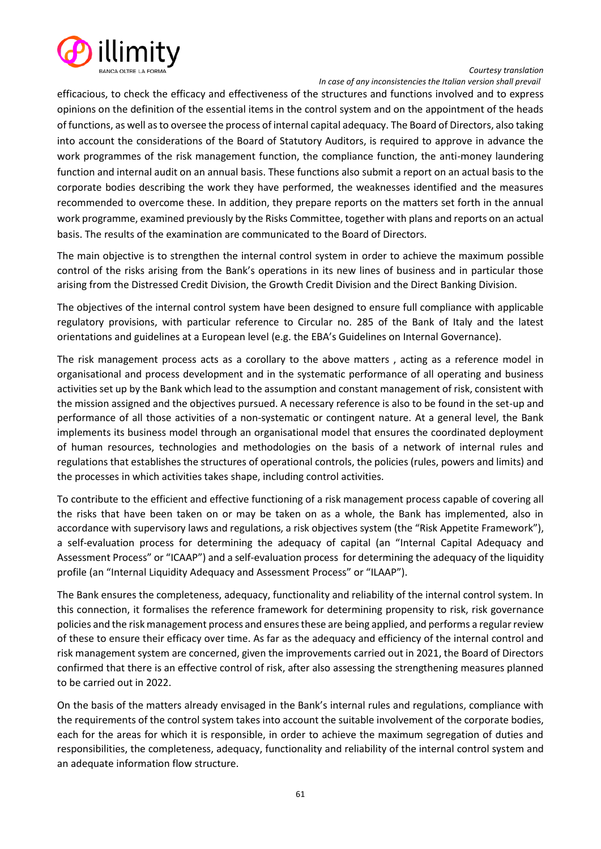

 *In case of any inconsistencies the Italian version shall prevail*

efficacious, to check the efficacy and effectiveness of the structures and functions involved and to express opinions on the definition of the essential items in the control system and on the appointment of the heads of functions, as well as to oversee the process of internal capital adequacy. The Board of Directors, also taking into account the considerations of the Board of Statutory Auditors, is required to approve in advance the work programmes of the risk management function, the compliance function, the anti-money laundering function and internal audit on an annual basis. These functions also submit a report on an actual basis to the corporate bodies describing the work they have performed, the weaknesses identified and the measures recommended to overcome these. In addition, they prepare reports on the matters set forth in the annual work programme, examined previously by the Risks Committee, together with plans and reports on an actual basis. The results of the examination are communicated to the Board of Directors.

The main objective is to strengthen the internal control system in order to achieve the maximum possible control of the risks arising from the Bank's operations in its new lines of business and in particular those arising from the Distressed Credit Division, the Growth Credit Division and the Direct Banking Division.

The objectives of the internal control system have been designed to ensure full compliance with applicable regulatory provisions, with particular reference to Circular no. 285 of the Bank of Italy and the latest orientations and guidelines at a European level (e.g. the EBA's Guidelines on Internal Governance).

The risk management process acts as a corollary to the above matters , acting as a reference model in organisational and process development and in the systematic performance of all operating and business activities set up by the Bank which lead to the assumption and constant management of risk, consistent with the mission assigned and the objectives pursued. A necessary reference is also to be found in the set-up and performance of all those activities of a non-systematic or contingent nature. At a general level, the Bank implements its business model through an organisational model that ensures the coordinated deployment of human resources, technologies and methodologies on the basis of a network of internal rules and regulations that establishes the structures of operational controls, the policies (rules, powers and limits) and the processes in which activities takes shape, including control activities.

To contribute to the efficient and effective functioning of a risk management process capable of covering all the risks that have been taken on or may be taken on as a whole, the Bank has implemented, also in accordance with supervisory laws and regulations, a risk objectives system (the "Risk Appetite Framework"), a self-evaluation process for determining the adequacy of capital (an "Internal Capital Adequacy and Assessment Process" or "ICAAP") and a self-evaluation process for determining the adequacy of the liquidity profile (an "Internal Liquidity Adequacy and Assessment Process" or "ILAAP").

The Bank ensures the completeness, adequacy, functionality and reliability of the internal control system. In this connection, it formalises the reference framework for determining propensity to risk, risk governance policies and the risk management process and ensures these are being applied, and performs a regular review of these to ensure their efficacy over time. As far as the adequacy and efficiency of the internal control and risk management system are concerned, given the improvements carried out in 2021, the Board of Directors confirmed that there is an effective control of risk, after also assessing the strengthening measures planned to be carried out in 2022.

On the basis of the matters already envisaged in the Bank's internal rules and regulations, compliance with the requirements of the control system takes into account the suitable involvement of the corporate bodies, each for the areas for which it is responsible, in order to achieve the maximum segregation of duties and responsibilities, the completeness, adequacy, functionality and reliability of the internal control system and an adequate information flow structure.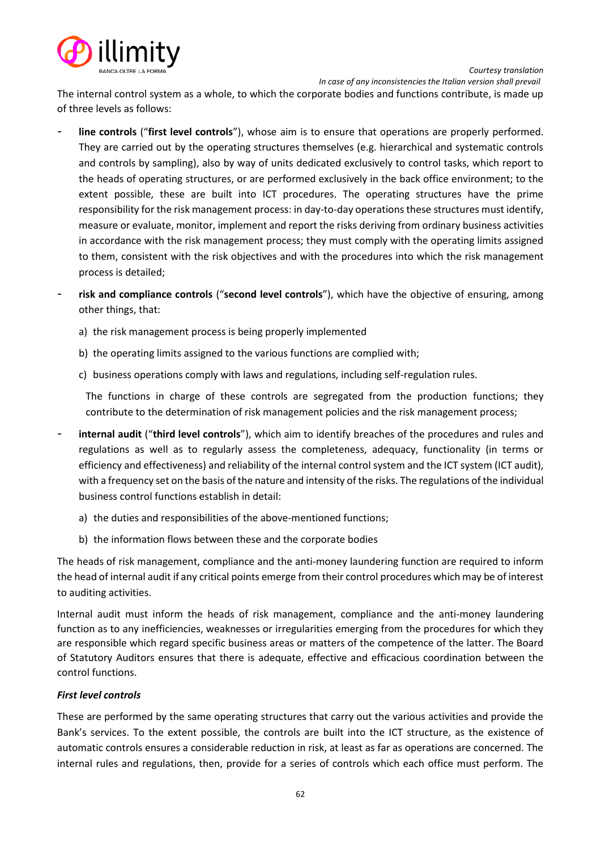



The internal control system as a whole, to which the corporate bodies and functions contribute, is made up of three levels as follows:

- **line controls** ("**first level controls**"), whose aim is to ensure that operations are properly performed. They are carried out by the operating structures themselves (e.g. hierarchical and systematic controls and controls by sampling), also by way of units dedicated exclusively to control tasks, which report to the heads of operating structures, or are performed exclusively in the back office environment; to the extent possible, these are built into ICT procedures. The operating structures have the prime responsibility for the risk management process: in day-to-day operations these structures must identify, measure or evaluate, monitor, implement and report the risks deriving from ordinary business activities in accordance with the risk management process; they must comply with the operating limits assigned to them, consistent with the risk objectives and with the procedures into which the risk management process is detailed;
- **risk and compliance controls** ("**second level controls**"), which have the objective of ensuring, among other things, that:
	- a) the risk management process is being properly implemented
	- b) the operating limits assigned to the various functions are complied with;
	- c) business operations comply with laws and regulations, including self-regulation rules.

The functions in charge of these controls are segregated from the production functions; they contribute to the determination of risk management policies and the risk management process;

- **internal audit** ("**third level controls**"), which aim to identify breaches of the procedures and rules and regulations as well as to regularly assess the completeness, adequacy, functionality (in terms or efficiency and effectiveness) and reliability of the internal control system and the ICT system (ICT audit), with a frequency set on the basis of the nature and intensity of the risks. The regulations of the individual business control functions establish in detail:
	- a) the duties and responsibilities of the above-mentioned functions;
	- b) the information flows between these and the corporate bodies

The heads of risk management, compliance and the anti-money laundering function are required to inform the head of internal audit if any critical points emerge from their control procedures which may be of interest to auditing activities.

Internal audit must inform the heads of risk management, compliance and the anti-money laundering function as to any inefficiencies, weaknesses or irregularities emerging from the procedures for which they are responsible which regard specific business areas or matters of the competence of the latter. The Board of Statutory Auditors ensures that there is adequate, effective and efficacious coordination between the control functions.

# *First level controls*

These are performed by the same operating structures that carry out the various activities and provide the Bank's services. To the extent possible, the controls are built into the ICT structure, as the existence of automatic controls ensures a considerable reduction in risk, at least as far as operations are concerned. The internal rules and regulations, then, provide for a series of controls which each office must perform. The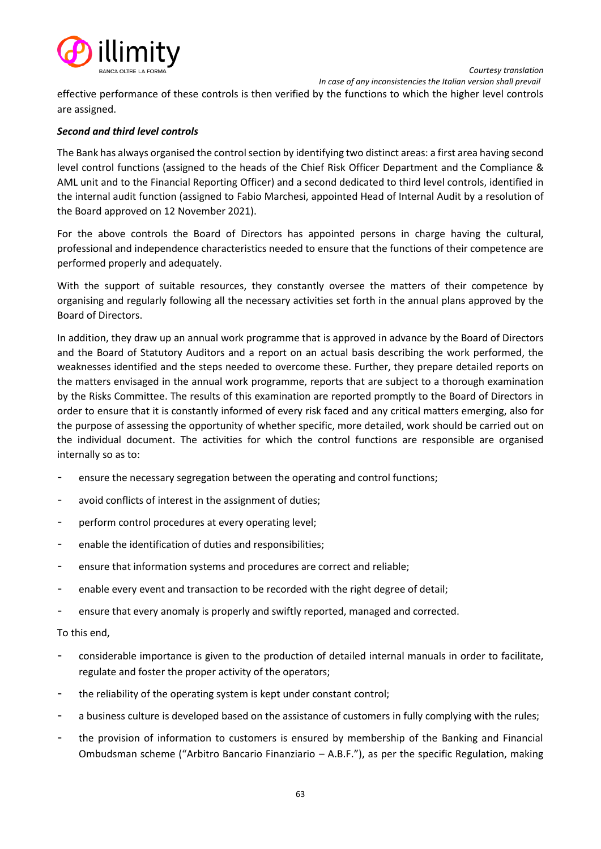



effective performance of these controls is then verified by the functions to which the higher level controls are assigned.

# *Second and third level controls*

The Bank has always organised the control section by identifying two distinct areas: a first area having second level control functions (assigned to the heads of the Chief Risk Officer Department and the Compliance & AML unit and to the Financial Reporting Officer) and a second dedicated to third level controls, identified in the internal audit function (assigned to Fabio Marchesi, appointed Head of Internal Audit by a resolution of the Board approved on 12 November 2021).

For the above controls the Board of Directors has appointed persons in charge having the cultural, professional and independence characteristics needed to ensure that the functions of their competence are performed properly and adequately.

With the support of suitable resources, they constantly oversee the matters of their competence by organising and regularly following all the necessary activities set forth in the annual plans approved by the Board of Directors.

In addition, they draw up an annual work programme that is approved in advance by the Board of Directors and the Board of Statutory Auditors and a report on an actual basis describing the work performed, the weaknesses identified and the steps needed to overcome these. Further, they prepare detailed reports on the matters envisaged in the annual work programme, reports that are subject to a thorough examination by the Risks Committee. The results of this examination are reported promptly to the Board of Directors in order to ensure that it is constantly informed of every risk faced and any critical matters emerging, also for the purpose of assessing the opportunity of whether specific, more detailed, work should be carried out on the individual document. The activities for which the control functions are responsible are organised internally so as to:

- ensure the necessary segregation between the operating and control functions;
- avoid conflicts of interest in the assignment of duties;
- perform control procedures at every operating level;
- enable the identification of duties and responsibilities;
- ensure that information systems and procedures are correct and reliable;
- enable every event and transaction to be recorded with the right degree of detail;
- ensure that every anomaly is properly and swiftly reported, managed and corrected.

# To this end,

- considerable importance is given to the production of detailed internal manuals in order to facilitate, regulate and foster the proper activity of the operators;
- the reliability of the operating system is kept under constant control;
- a business culture is developed based on the assistance of customers in fully complying with the rules;
- the provision of information to customers is ensured by membership of the Banking and Financial Ombudsman scheme ("Arbitro Bancario Finanziario – A.B.F."), as per the specific Regulation, making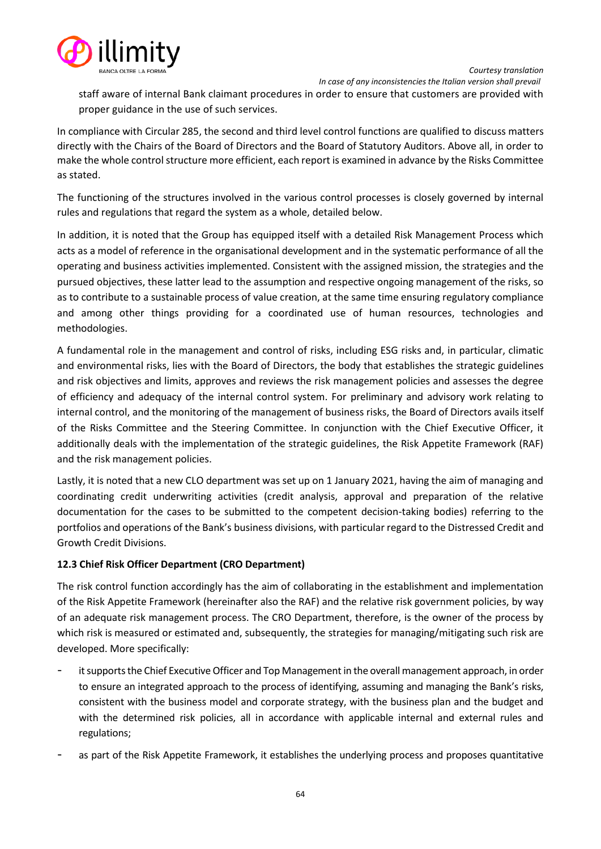

staff aware of internal Bank claimant procedures in order to ensure that customers are provided with proper guidance in the use of such services.

In compliance with Circular 285, the second and third level control functions are qualified to discuss matters directly with the Chairs of the Board of Directors and the Board of Statutory Auditors. Above all, in order to make the whole control structure more efficient, each report is examined in advance by the Risks Committee as stated.

The functioning of the structures involved in the various control processes is closely governed by internal rules and regulations that regard the system as a whole, detailed below.

In addition, it is noted that the Group has equipped itself with a detailed Risk Management Process which acts as a model of reference in the organisational development and in the systematic performance of all the operating and business activities implemented. Consistent with the assigned mission, the strategies and the pursued objectives, these latter lead to the assumption and respective ongoing management of the risks, so as to contribute to a sustainable process of value creation, at the same time ensuring regulatory compliance and among other things providing for a coordinated use of human resources, technologies and methodologies.

A fundamental role in the management and control of risks, including ESG risks and, in particular, climatic and environmental risks, lies with the Board of Directors, the body that establishes the strategic guidelines and risk objectives and limits, approves and reviews the risk management policies and assesses the degree of efficiency and adequacy of the internal control system. For preliminary and advisory work relating to internal control, and the monitoring of the management of business risks, the Board of Directors avails itself of the Risks Committee and the Steering Committee. In conjunction with the Chief Executive Officer, it additionally deals with the implementation of the strategic guidelines, the Risk Appetite Framework (RAF) and the risk management policies.

Lastly, it is noted that a new CLO department was set up on 1 January 2021, having the aim of managing and coordinating credit underwriting activities (credit analysis, approval and preparation of the relative documentation for the cases to be submitted to the competent decision-taking bodies) referring to the portfolios and operations of the Bank's business divisions, with particular regard to the Distressed Credit and Growth Credit Divisions.

# **12.3 Chief Risk Officer Department (CRO Department)**

The risk control function accordingly has the aim of collaborating in the establishment and implementation of the Risk Appetite Framework (hereinafter also the RAF) and the relative risk government policies, by way of an adequate risk management process. The CRO Department, therefore, is the owner of the process by which risk is measured or estimated and, subsequently, the strategies for managing/mitigating such risk are developed. More specifically:

- it supports the Chief Executive Officer and Top Management in the overall management approach, in order to ensure an integrated approach to the process of identifying, assuming and managing the Bank's risks, consistent with the business model and corporate strategy, with the business plan and the budget and with the determined risk policies, all in accordance with applicable internal and external rules and regulations;
- as part of the Risk Appetite Framework, it establishes the underlying process and proposes quantitative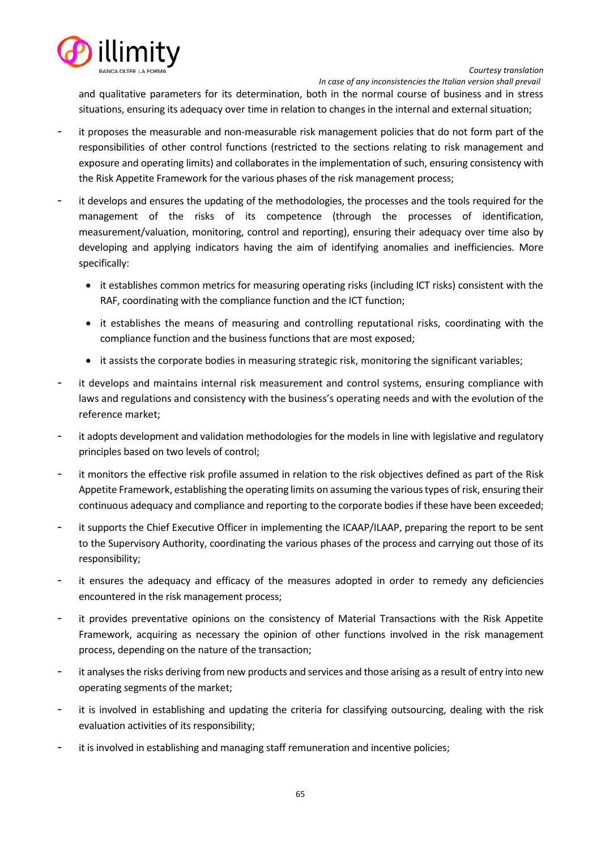



and qualitative parameters for its determination, both in the normal course of business and in stress situations, ensuring its adequacy over time in relation to changes in the internal and external situation;

- it proposes the measurable and non-measurable risk management policies that do not form part of the responsibilities of other control functions (restricted to the sections relating to risk management and exposure and operating limits) and collaborates in the implementation of such, ensuring consistency with the Risk Appetite Framework for the various phases of the risk management process;
- it develops and ensures the updating of the methodologies, the processes and the tools required for the management of the risks of its competence (through the processes of identification, measurement/valuation, monitoring, control and reporting), ensuring their adequacy over time also by developing and applying indicators having the aim of identifying anomalies and inefficiencies. More specifically:
	- it establishes common metrics for measuring operating risks (including ICT risks) consistent with the RAF, coordinating with the compliance function and the ICT function;
	- it establishes the means of measuring and controlling reputational risks, coordinating with the compliance function and the business functions that are most exposed;
	- it assists the corporate bodies in measuring strategic risk, monitoring the significant variables;
- it develops and maintains internal risk measurement and control systems, ensuring compliance with laws and regulations and consistency with the business's operating needs and with the evolution of the reference market;
- it adopts development and validation methodologies for the models in line with legislative and regulatory principles based on two levels of control;
- it monitors the effective risk profile assumed in relation to the risk objectives defined as part of the Risk Appetite Framework, establishing the operating limits on assuming the various types of risk, ensuring their continuous adequacy and compliance and reporting to the corporate bodies if these have been exceeded;
- it supports the Chief Executive Officer in implementing the ICAAP/ILAAP, preparing the report to be sent to the Supervisory Authority, coordinating the various phases of the process and carrying out those of its responsibility;
- it ensures the adequacy and efficacy of the measures adopted in order to remedy any deficiencies encountered in the risk management process;
- it provides preventative opinions on the consistency of Material Transactions with the Risk Appetite Framework, acquiring as necessary the opinion of other functions involved in the risk management process, depending on the nature of the transaction;
- it analyses the risks deriving from new products and services and those arising as a result of entry into new operating segments of the market;
- it is involved in establishing and updating the criteria for classifying outsourcing, dealing with the risk evaluation activities of its responsibility;
- it is involved in establishing and managing staff remuneration and incentive policies;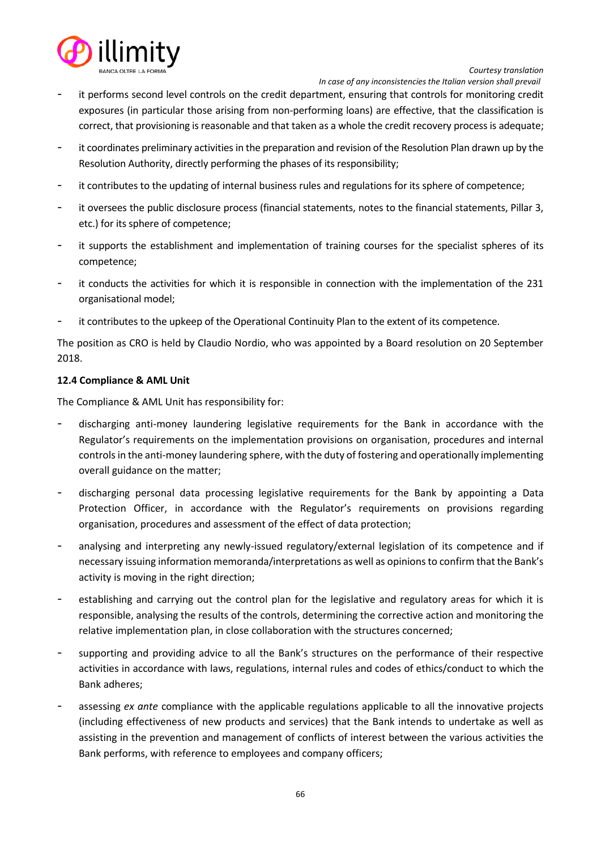

 *In case of any inconsistencies the Italian version shall prevail*

- it performs second level controls on the credit department, ensuring that controls for monitoring credit exposures (in particular those arising from non-performing loans) are effective, that the classification is correct, that provisioning is reasonable and that taken as a whole the credit recovery process is adequate;
- it coordinates preliminary activities in the preparation and revision of the Resolution Plan drawn up by the Resolution Authority, directly performing the phases of its responsibility;
- it contributes to the updating of internal business rules and regulations for its sphere of competence;
- it oversees the public disclosure process (financial statements, notes to the financial statements, Pillar 3, etc.) for its sphere of competence;
- it supports the establishment and implementation of training courses for the specialist spheres of its competence;
- it conducts the activities for which it is responsible in connection with the implementation of the 231 organisational model;
- it contributes to the upkeep of the Operational Continuity Plan to the extent of its competence.

The position as CRO is held by Claudio Nordio, who was appointed by a Board resolution on 20 September 2018.

# **12.4 Compliance & AML Unit**

The Compliance & AML Unit has responsibility for:

- discharging anti-money laundering legislative requirements for the Bank in accordance with the Regulator's requirements on the implementation provisions on organisation, procedures and internal controls in the anti-money laundering sphere, with the duty of fostering and operationally implementing overall guidance on the matter;
- discharging personal data processing legislative requirements for the Bank by appointing a Data Protection Officer, in accordance with the Regulator's requirements on provisions regarding organisation, procedures and assessment of the effect of data protection;
- analysing and interpreting any newly-issued regulatory/external legislation of its competence and if necessary issuing information memoranda/interpretations as well as opinions to confirm that the Bank's activity is moving in the right direction;
- establishing and carrying out the control plan for the legislative and regulatory areas for which it is responsible, analysing the results of the controls, determining the corrective action and monitoring the relative implementation plan, in close collaboration with the structures concerned;
- supporting and providing advice to all the Bank's structures on the performance of their respective activities in accordance with laws, regulations, internal rules and codes of ethics/conduct to which the Bank adheres;
- assessing *ex ante* compliance with the applicable regulations applicable to all the innovative projects (including effectiveness of new products and services) that the Bank intends to undertake as well as assisting in the prevention and management of conflicts of interest between the various activities the Bank performs, with reference to employees and company officers;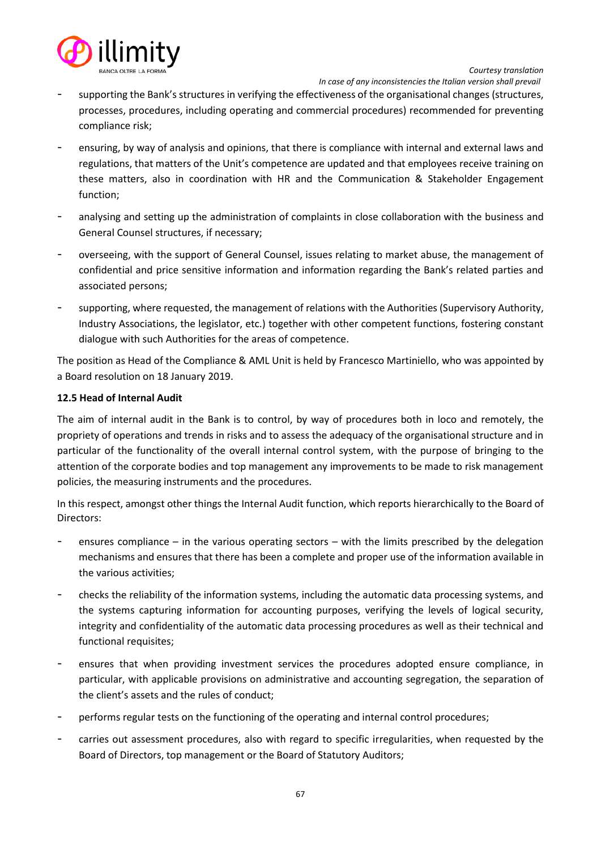

 *In case of any inconsistencies the Italian version shall prevail*

- supporting the Bank's structures in verifying the effectiveness of the organisational changes (structures, processes, procedures, including operating and commercial procedures) recommended for preventing compliance risk;
- ensuring, by way of analysis and opinions, that there is compliance with internal and external laws and regulations, that matters of the Unit's competence are updated and that employees receive training on these matters, also in coordination with HR and the Communication & Stakeholder Engagement function;
- analysing and setting up the administration of complaints in close collaboration with the business and General Counsel structures, if necessary;
- overseeing, with the support of General Counsel, issues relating to market abuse, the management of confidential and price sensitive information and information regarding the Bank's related parties and associated persons;
- supporting, where requested, the management of relations with the Authorities (Supervisory Authority, Industry Associations, the legislator, etc.) together with other competent functions, fostering constant dialogue with such Authorities for the areas of competence.

The position as Head of the Compliance & AML Unit is held by Francesco Martiniello, who was appointed by a Board resolution on 18 January 2019.

# **12.5 Head of Internal Audit**

The aim of internal audit in the Bank is to control, by way of procedures both in loco and remotely, the propriety of operations and trends in risks and to assess the adequacy of the organisational structure and in particular of the functionality of the overall internal control system, with the purpose of bringing to the attention of the corporate bodies and top management any improvements to be made to risk management policies, the measuring instruments and the procedures.

In this respect, amongst other things the Internal Audit function, which reports hierarchically to the Board of Directors:

- ensures compliance in the various operating sectors with the limits prescribed by the delegation mechanisms and ensures that there has been a complete and proper use of the information available in the various activities;
- checks the reliability of the information systems, including the automatic data processing systems, and the systems capturing information for accounting purposes, verifying the levels of logical security, integrity and confidentiality of the automatic data processing procedures as well as their technical and functional requisites;
- ensures that when providing investment services the procedures adopted ensure compliance, in particular, with applicable provisions on administrative and accounting segregation, the separation of the client's assets and the rules of conduct;
- performs regular tests on the functioning of the operating and internal control procedures;
- carries out assessment procedures, also with regard to specific irregularities, when requested by the Board of Directors, top management or the Board of Statutory Auditors;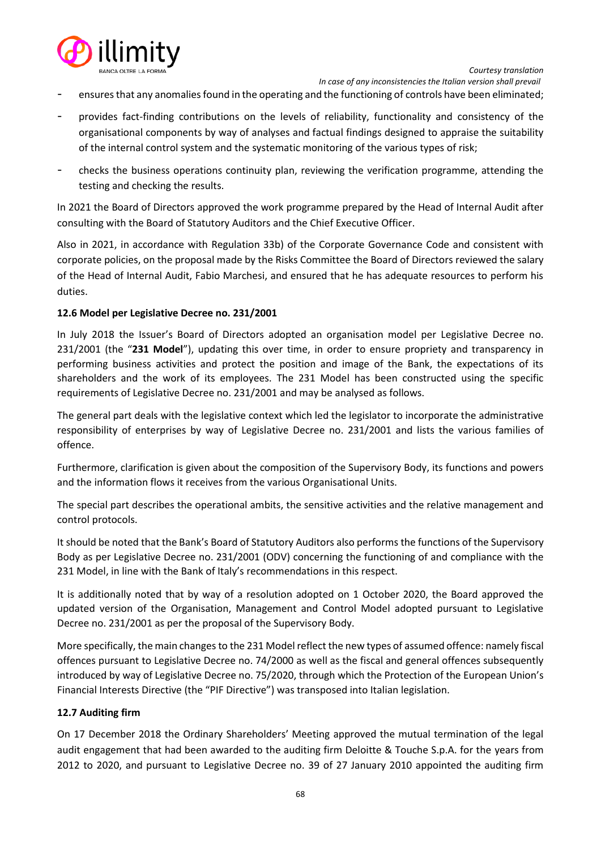

- ensures that any anomalies found in the operating and the functioning of controls have been eliminated;
- provides fact-finding contributions on the levels of reliability, functionality and consistency of the organisational components by way of analyses and factual findings designed to appraise the suitability of the internal control system and the systematic monitoring of the various types of risk;
- checks the business operations continuity plan, reviewing the verification programme, attending the testing and checking the results.

In 2021 the Board of Directors approved the work programme prepared by the Head of Internal Audit after consulting with the Board of Statutory Auditors and the Chief Executive Officer.

Also in 2021, in accordance with Regulation 33b) of the Corporate Governance Code and consistent with corporate policies, on the proposal made by the Risks Committee the Board of Directors reviewed the salary of the Head of Internal Audit, Fabio Marchesi, and ensured that he has adequate resources to perform his duties.

# **12.6 Model per Legislative Decree no. 231/2001**

In July 2018 the Issuer's Board of Directors adopted an organisation model per Legislative Decree no. 231/2001 (the "**231 Model**"), updating this over time, in order to ensure propriety and transparency in performing business activities and protect the position and image of the Bank, the expectations of its shareholders and the work of its employees. The 231 Model has been constructed using the specific requirements of Legislative Decree no. 231/2001 and may be analysed as follows.

The general part deals with the legislative context which led the legislator to incorporate the administrative responsibility of enterprises by way of Legislative Decree no. 231/2001 and lists the various families of offence.

Furthermore, clarification is given about the composition of the Supervisory Body, its functions and powers and the information flows it receives from the various Organisational Units.

The special part describes the operational ambits, the sensitive activities and the relative management and control protocols.

It should be noted that the Bank's Board of Statutory Auditors also performs the functions of the Supervisory Body as per Legislative Decree no. 231/2001 (ODV) concerning the functioning of and compliance with the 231 Model, in line with the Bank of Italy's recommendations in this respect.

It is additionally noted that by way of a resolution adopted on 1 October 2020, the Board approved the updated version of the Organisation, Management and Control Model adopted pursuant to Legislative Decree no. 231/2001 as per the proposal of the Supervisory Body.

More specifically, the main changes to the 231 Model reflect the new types of assumed offence: namely fiscal offences pursuant to Legislative Decree no. 74/2000 as well as the fiscal and general offences subsequently introduced by way of Legislative Decree no. 75/2020, through which the Protection of the European Union's Financial Interests Directive (the "PIF Directive") was transposed into Italian legislation.

### **12.7 Auditing firm**

On 17 December 2018 the Ordinary Shareholders' Meeting approved the mutual termination of the legal audit engagement that had been awarded to the auditing firm Deloitte & Touche S.p.A. for the years from 2012 to 2020, and pursuant to Legislative Decree no. 39 of 27 January 2010 appointed the auditing firm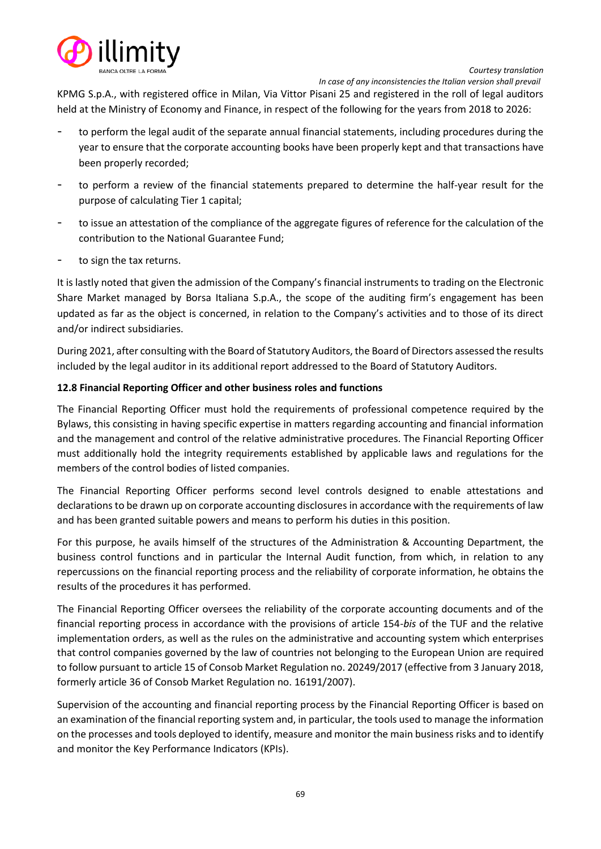

 *In case of any inconsistencies the Italian version shall prevail*

KPMG S.p.A., with registered office in Milan, Via Vittor Pisani 25 and registered in the roll of legal auditors held at the Ministry of Economy and Finance, in respect of the following for the years from 2018 to 2026:

- to perform the legal audit of the separate annual financial statements, including procedures during the year to ensure that the corporate accounting books have been properly kept and that transactions have been properly recorded;
- to perform a review of the financial statements prepared to determine the half-year result for the purpose of calculating Tier 1 capital;
- to issue an attestation of the compliance of the aggregate figures of reference for the calculation of the contribution to the National Guarantee Fund;
- to sign the tax returns.

It is lastly noted that given the admission of the Company's financial instruments to trading on the Electronic Share Market managed by Borsa Italiana S.p.A., the scope of the auditing firm's engagement has been updated as far as the object is concerned, in relation to the Company's activities and to those of its direct and/or indirect subsidiaries.

During 2021, after consulting with the Board of Statutory Auditors, the Board of Directors assessed the results included by the legal auditor in its additional report addressed to the Board of Statutory Auditors.

# **12.8 Financial Reporting Officer and other business roles and functions**

The Financial Reporting Officer must hold the requirements of professional competence required by the Bylaws, this consisting in having specific expertise in matters regarding accounting and financial information and the management and control of the relative administrative procedures. The Financial Reporting Officer must additionally hold the integrity requirements established by applicable laws and regulations for the members of the control bodies of listed companies.

The Financial Reporting Officer performs second level controls designed to enable attestations and declarations to be drawn up on corporate accounting disclosures in accordance with the requirements of law and has been granted suitable powers and means to perform his duties in this position.

For this purpose, he avails himself of the structures of the Administration & Accounting Department, the business control functions and in particular the Internal Audit function, from which, in relation to any repercussions on the financial reporting process and the reliability of corporate information, he obtains the results of the procedures it has performed.

The Financial Reporting Officer oversees the reliability of the corporate accounting documents and of the financial reporting process in accordance with the provisions of article 154-*bis* of the TUF and the relative implementation orders, as well as the rules on the administrative and accounting system which enterprises that control companies governed by the law of countries not belonging to the European Union are required to follow pursuant to article 15 of Consob Market Regulation no. 20249/2017 (effective from 3 January 2018, formerly article 36 of Consob Market Regulation no. 16191/2007).

Supervision of the accounting and financial reporting process by the Financial Reporting Officer is based on an examination of the financial reporting system and, in particular, the tools used to manage the information on the processes and tools deployed to identify, measure and monitor the main business risks and to identify and monitor the Key Performance Indicators (KPIs).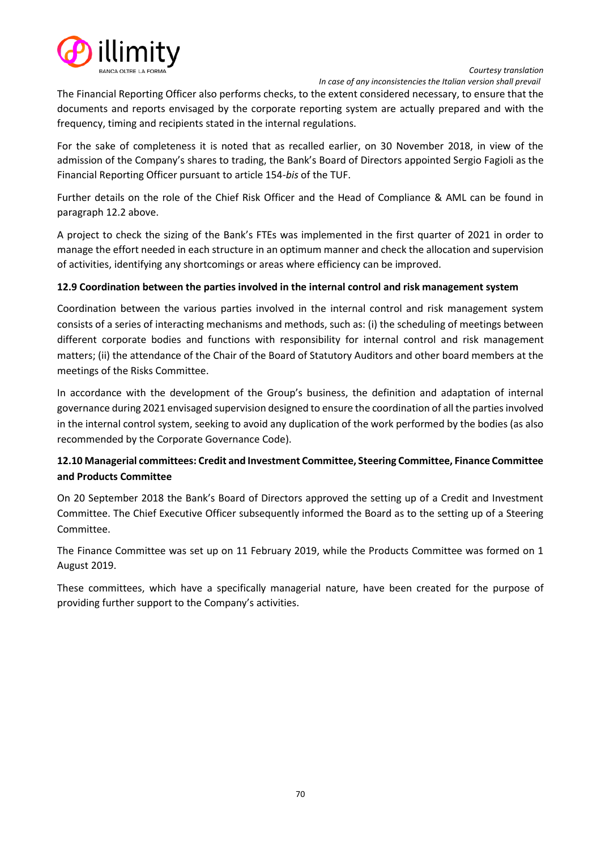

 *In case of any inconsistencies the Italian version shall prevail*

The Financial Reporting Officer also performs checks, to the extent considered necessary, to ensure that the documents and reports envisaged by the corporate reporting system are actually prepared and with the frequency, timing and recipients stated in the internal regulations.

For the sake of completeness it is noted that as recalled earlier, on 30 November 2018, in view of the admission of the Company's shares to trading, the Bank's Board of Directors appointed Sergio Fagioli as the Financial Reporting Officer pursuant to article 154-*bis* of the TUF.

Further details on the role of the Chief Risk Officer and the Head of Compliance & AML can be found in paragraph 12.2 above.

A project to check the sizing of the Bank's FTEs was implemented in the first quarter of 2021 in order to manage the effort needed in each structure in an optimum manner and check the allocation and supervision of activities, identifying any shortcomings or areas where efficiency can be improved.

# **12.9 Coordination between the parties involved in the internal control and risk management system**

Coordination between the various parties involved in the internal control and risk management system consists of a series of interacting mechanisms and methods, such as: (i) the scheduling of meetings between different corporate bodies and functions with responsibility for internal control and risk management matters; (ii) the attendance of the Chair of the Board of Statutory Auditors and other board members at the meetings of the Risks Committee.

In accordance with the development of the Group's business, the definition and adaptation of internal governance during 2021 envisaged supervision designed to ensure the coordination of all the parties involved in the internal control system, seeking to avoid any duplication of the work performed by the bodies (as also recommended by the Corporate Governance Code).

# **12.10 Managerial committees: Credit and Investment Committee, Steering Committee, Finance Committee and Products Committee**

On 20 September 2018 the Bank's Board of Directors approved the setting up of a Credit and Investment Committee. The Chief Executive Officer subsequently informed the Board as to the setting up of a Steering Committee.

The Finance Committee was set up on 11 February 2019, while the Products Committee was formed on 1 August 2019.

These committees, which have a specifically managerial nature, have been created for the purpose of providing further support to the Company's activities.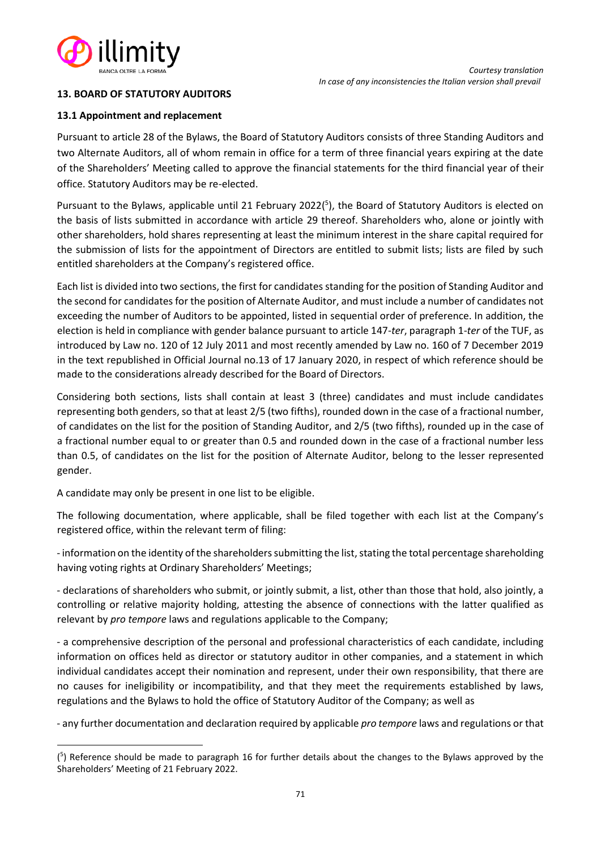

# **13. BOARD OF STATUTORY AUDITORS**

### **13.1 Appointment and replacement**

Pursuant to article 28 of the Bylaws, the Board of Statutory Auditors consists of three Standing Auditors and two Alternate Auditors, all of whom remain in office for a term of three financial years expiring at the date of the Shareholders' Meeting called to approve the financial statements for the third financial year of their office. Statutory Auditors may be re-elected.

Pursuant to the Bylaws, applicable until 21 February 2022(<sup>5</sup>), the Board of Statutory Auditors is elected on the basis of lists submitted in accordance with article 29 thereof. Shareholders who, alone or jointly with other shareholders, hold shares representing at least the minimum interest in the share capital required for the submission of lists for the appointment of Directors are entitled to submit lists; lists are filed by such entitled shareholders at the Company's registered office.

Each list is divided into two sections, the first for candidates standing for the position of Standing Auditor and the second for candidates for the position of Alternate Auditor, and must include a number of candidates not exceeding the number of Auditors to be appointed, listed in sequential order of preference. In addition, the election is held in compliance with gender balance pursuant to article 147-*ter*, paragraph 1-*ter* of the TUF, as introduced by Law no. 120 of 12 July 2011 and most recently amended by Law no. 160 of 7 December 2019 in the text republished in Official Journal no.13 of 17 January 2020, in respect of which reference should be made to the considerations already described for the Board of Directors.

Considering both sections, lists shall contain at least 3 (three) candidates and must include candidates representing both genders, so that at least 2/5 (two fifths), rounded down in the case of a fractional number, of candidates on the list for the position of Standing Auditor, and 2/5 (two fifths), rounded up in the case of a fractional number equal to or greater than 0.5 and rounded down in the case of a fractional number less than 0.5, of candidates on the list for the position of Alternate Auditor, belong to the lesser represented gender.

A candidate may only be present in one list to be eligible.

The following documentation, where applicable, shall be filed together with each list at the Company's registered office, within the relevant term of filing:

- information on the identity of the shareholders submitting the list, stating the total percentage shareholding having voting rights at Ordinary Shareholders' Meetings;

- declarations of shareholders who submit, or jointly submit, a list, other than those that hold, also jointly, a controlling or relative majority holding, attesting the absence of connections with the latter qualified as relevant by *pro tempore* laws and regulations applicable to the Company;

- a comprehensive description of the personal and professional characteristics of each candidate, including information on offices held as director or statutory auditor in other companies, and a statement in which individual candidates accept their nomination and represent, under their own responsibility, that there are no causes for ineligibility or incompatibility, and that they meet the requirements established by laws, regulations and the Bylaws to hold the office of Statutory Auditor of the Company; as well as

- any further documentation and declaration required by applicable *pro tempore* laws and regulations or that

<sup>(</sup> 5 ) Reference should be made to paragraph 16 for further details about the changes to the Bylaws approved by the Shareholders' Meeting of 21 February 2022.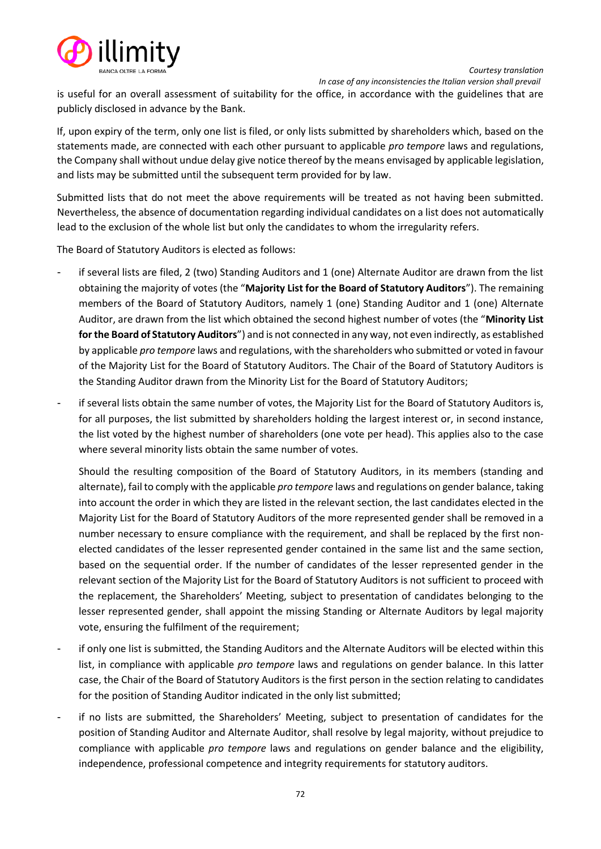

is useful for an overall assessment of suitability for the office, in accordance with the guidelines that are publicly disclosed in advance by the Bank.

If, upon expiry of the term, only one list is filed, or only lists submitted by shareholders which, based on the statements made, are connected with each other pursuant to applicable *pro tempore* laws and regulations, the Company shall without undue delay give notice thereof by the means envisaged by applicable legislation, and lists may be submitted until the subsequent term provided for by law.

Submitted lists that do not meet the above requirements will be treated as not having been submitted. Nevertheless, the absence of documentation regarding individual candidates on a list does not automatically lead to the exclusion of the whole list but only the candidates to whom the irregularity refers.

The Board of Statutory Auditors is elected as follows:

- if several lists are filed, 2 (two) Standing Auditors and 1 (one) Alternate Auditor are drawn from the list obtaining the majority of votes (the "**Majority List for the Board of Statutory Auditors**"). The remaining members of the Board of Statutory Auditors, namely 1 (one) Standing Auditor and 1 (one) Alternate Auditor, are drawn from the list which obtained the second highest number of votes (the "**Minority List for the Board of Statutory Auditors**") and is not connected in any way, not even indirectly, as established by applicable *pro tempore* laws and regulations, with the shareholders who submitted or voted in favour of the Majority List for the Board of Statutory Auditors. The Chair of the Board of Statutory Auditors is the Standing Auditor drawn from the Minority List for the Board of Statutory Auditors;
- if several lists obtain the same number of votes, the Majority List for the Board of Statutory Auditors is, for all purposes, the list submitted by shareholders holding the largest interest or, in second instance, the list voted by the highest number of shareholders (one vote per head). This applies also to the case where several minority lists obtain the same number of votes.

Should the resulting composition of the Board of Statutory Auditors, in its members (standing and alternate), fail to comply with the applicable *pro tempore* laws and regulations on gender balance, taking into account the order in which they are listed in the relevant section, the last candidates elected in the Majority List for the Board of Statutory Auditors of the more represented gender shall be removed in a number necessary to ensure compliance with the requirement, and shall be replaced by the first nonelected candidates of the lesser represented gender contained in the same list and the same section, based on the sequential order. If the number of candidates of the lesser represented gender in the relevant section of the Majority List for the Board of Statutory Auditors is not sufficient to proceed with the replacement, the Shareholders' Meeting, subject to presentation of candidates belonging to the lesser represented gender, shall appoint the missing Standing or Alternate Auditors by legal majority vote, ensuring the fulfilment of the requirement;

- if only one list is submitted, the Standing Auditors and the Alternate Auditors will be elected within this list, in compliance with applicable *pro tempore* laws and regulations on gender balance. In this latter case, the Chair of the Board of Statutory Auditors is the first person in the section relating to candidates for the position of Standing Auditor indicated in the only list submitted;
- if no lists are submitted, the Shareholders' Meeting, subject to presentation of candidates for the position of Standing Auditor and Alternate Auditor, shall resolve by legal majority, without prejudice to compliance with applicable *pro tempore* laws and regulations on gender balance and the eligibility, independence, professional competence and integrity requirements for statutory auditors.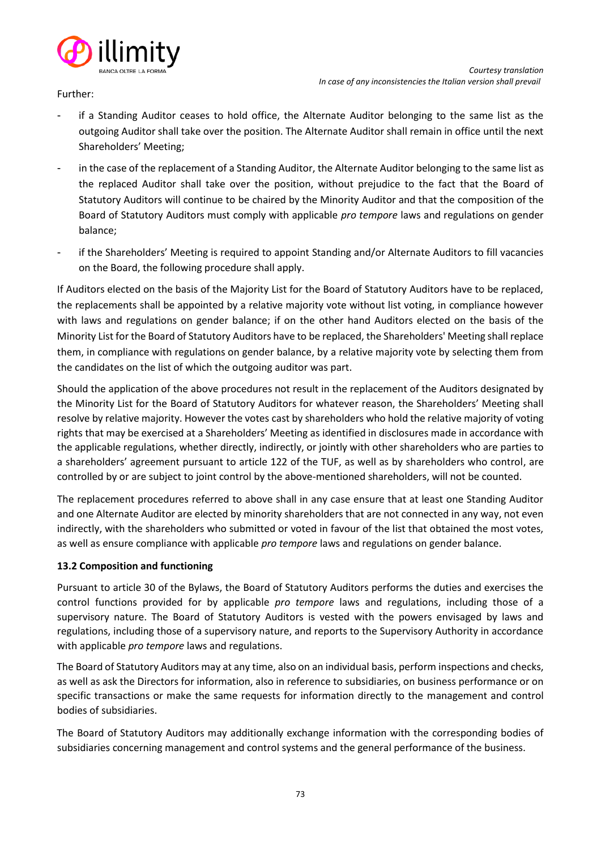

Further:

- if a Standing Auditor ceases to hold office, the Alternate Auditor belonging to the same list as the outgoing Auditor shall take over the position. The Alternate Auditor shall remain in office until the next Shareholders' Meeting;
- in the case of the replacement of a Standing Auditor, the Alternate Auditor belonging to the same list as the replaced Auditor shall take over the position, without prejudice to the fact that the Board of Statutory Auditors will continue to be chaired by the Minority Auditor and that the composition of the Board of Statutory Auditors must comply with applicable *pro tempore* laws and regulations on gender balance;
- if the Shareholders' Meeting is required to appoint Standing and/or Alternate Auditors to fill vacancies on the Board, the following procedure shall apply.

If Auditors elected on the basis of the Majority List for the Board of Statutory Auditors have to be replaced, the replacements shall be appointed by a relative majority vote without list voting, in compliance however with laws and regulations on gender balance; if on the other hand Auditors elected on the basis of the Minority List for the Board of Statutory Auditors have to be replaced, the Shareholders' Meeting shall replace them, in compliance with regulations on gender balance, by a relative majority vote by selecting them from the candidates on the list of which the outgoing auditor was part.

Should the application of the above procedures not result in the replacement of the Auditors designated by the Minority List for the Board of Statutory Auditors for whatever reason, the Shareholders' Meeting shall resolve by relative majority. However the votes cast by shareholders who hold the relative majority of voting rights that may be exercised at a Shareholders' Meeting as identified in disclosures made in accordance with the applicable regulations, whether directly, indirectly, or jointly with other shareholders who are parties to a shareholders' agreement pursuant to article 122 of the TUF, as well as by shareholders who control, are controlled by or are subject to joint control by the above-mentioned shareholders, will not be counted.

The replacement procedures referred to above shall in any case ensure that at least one Standing Auditor and one Alternate Auditor are elected by minority shareholders that are not connected in any way, not even indirectly, with the shareholders who submitted or voted in favour of the list that obtained the most votes, as well as ensure compliance with applicable *pro tempore* laws and regulations on gender balance.

## **13.2 Composition and functioning**

Pursuant to article 30 of the Bylaws, the Board of Statutory Auditors performs the duties and exercises the control functions provided for by applicable *pro tempore* laws and regulations, including those of a supervisory nature. The Board of Statutory Auditors is vested with the powers envisaged by laws and regulations, including those of a supervisory nature, and reports to the Supervisory Authority in accordance with applicable *pro tempore* laws and regulations.

The Board of Statutory Auditors may at any time, also on an individual basis, perform inspections and checks, as well as ask the Directors for information, also in reference to subsidiaries, on business performance or on specific transactions or make the same requests for information directly to the management and control bodies of subsidiaries.

The Board of Statutory Auditors may additionally exchange information with the corresponding bodies of subsidiaries concerning management and control systems and the general performance of the business.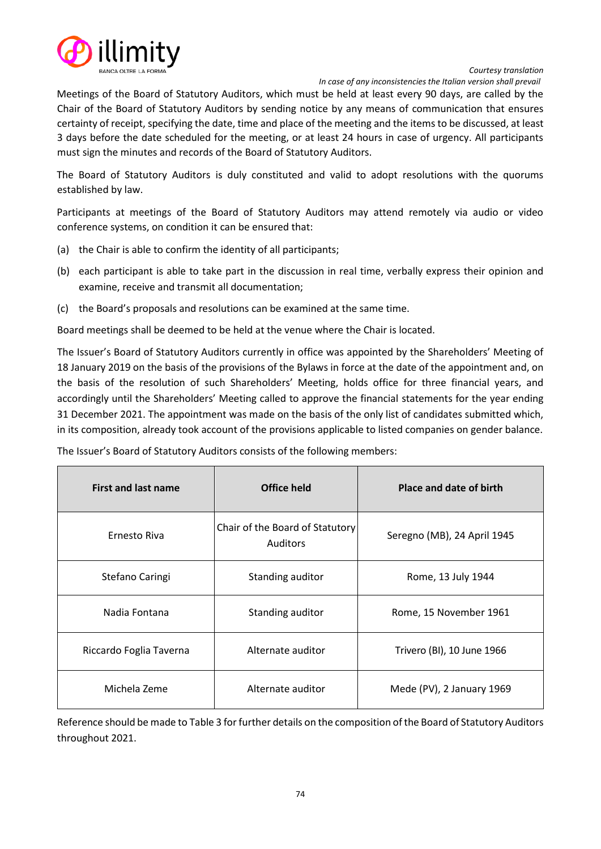

 *In case of any inconsistencies the Italian version shall prevail*

Meetings of the Board of Statutory Auditors, which must be held at least every 90 days, are called by the Chair of the Board of Statutory Auditors by sending notice by any means of communication that ensures certainty of receipt, specifying the date, time and place of the meeting and the items to be discussed, at least 3 days before the date scheduled for the meeting, or at least 24 hours in case of urgency. All participants must sign the minutes and records of the Board of Statutory Auditors.

The Board of Statutory Auditors is duly constituted and valid to adopt resolutions with the quorums established by law.

Participants at meetings of the Board of Statutory Auditors may attend remotely via audio or video conference systems, on condition it can be ensured that:

- (a) the Chair is able to confirm the identity of all participants;
- (b) each participant is able to take part in the discussion in real time, verbally express their opinion and examine, receive and transmit all documentation;
- (c) the Board's proposals and resolutions can be examined at the same time.

Board meetings shall be deemed to be held at the venue where the Chair is located.

The Issuer's Board of Statutory Auditors currently in office was appointed by the Shareholders' Meeting of 18 January 2019 on the basis of the provisions of the Bylaws in force at the date of the appointment and, on the basis of the resolution of such Shareholders' Meeting, holds office for three financial years, and accordingly until the Shareholders' Meeting called to approve the financial statements for the year ending 31 December 2021. The appointment was made on the basis of the only list of candidates submitted which, in its composition, already took account of the provisions applicable to listed companies on gender balance.

| <b>First and last name</b> | Office held                                        | Place and date of birth     |  |  |  |  |
|----------------------------|----------------------------------------------------|-----------------------------|--|--|--|--|
| Ernesto Riva               | Chair of the Board of Statutory<br><b>Auditors</b> | Seregno (MB), 24 April 1945 |  |  |  |  |
| Stefano Caringi            | Standing auditor                                   | Rome, 13 July 1944          |  |  |  |  |
| Nadia Fontana              | Standing auditor                                   | Rome, 15 November 1961      |  |  |  |  |
| Riccardo Foglia Taverna    | Alternate auditor                                  | Trivero (BI), 10 June 1966  |  |  |  |  |
| Michela Zeme               | Alternate auditor                                  | Mede (PV), 2 January 1969   |  |  |  |  |

The Issuer's Board of Statutory Auditors consists of the following members:

Reference should be made to Table 3 for further details on the composition of the Board of Statutory Auditors throughout 2021.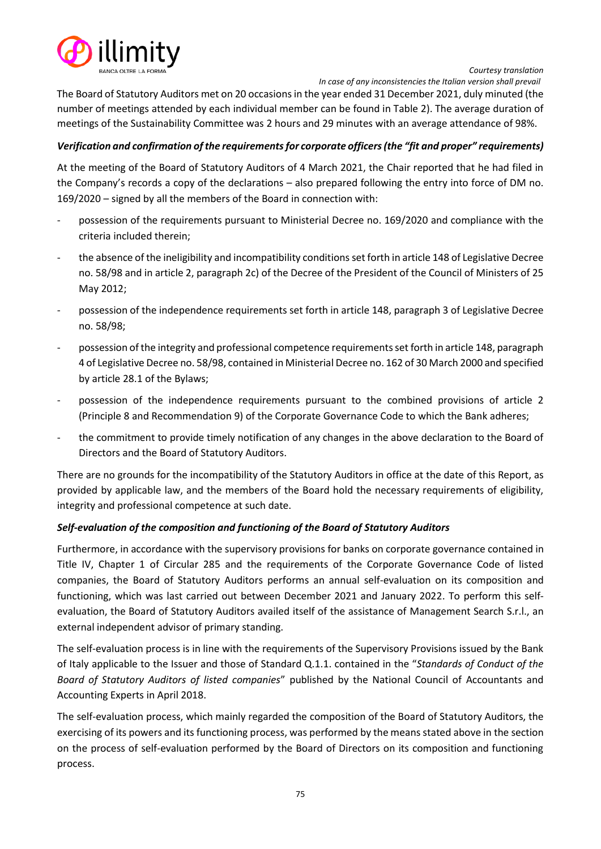

The Board of Statutory Auditors met on 20 occasions in the year ended 31 December 2021, duly minuted (the number of meetings attended by each individual member can be found in Table 2). The average duration of meetings of the Sustainability Committee was 2 hours and 29 minutes with an average attendance of 98%.

## *Verification and confirmation of the requirements for corporate officers (the "fit and proper" requirements)*

At the meeting of the Board of Statutory Auditors of 4 March 2021, the Chair reported that he had filed in the Company's records a copy of the declarations – also prepared following the entry into force of DM no. 169/2020 – signed by all the members of the Board in connection with:

- possession of the requirements pursuant to Ministerial Decree no. 169/2020 and compliance with the criteria included therein;
- the absence of the ineligibility and incompatibility conditions set forth in article 148 of Legislative Decree no. 58/98 and in article 2, paragraph 2c) of the Decree of the President of the Council of Ministers of 25 May 2012;
- possession of the independence requirements set forth in article 148, paragraph 3 of Legislative Decree no. 58/98;
- possession of the integrity and professional competence requirements set forth in article 148, paragraph 4 of Legislative Decree no. 58/98, contained in Ministerial Decree no. 162 of 30 March 2000 and specified by article 28.1 of the Bylaws;
- possession of the independence requirements pursuant to the combined provisions of article 2 (Principle 8 and Recommendation 9) of the Corporate Governance Code to which the Bank adheres;
- the commitment to provide timely notification of any changes in the above declaration to the Board of Directors and the Board of Statutory Auditors.

There are no grounds for the incompatibility of the Statutory Auditors in office at the date of this Report, as provided by applicable law, and the members of the Board hold the necessary requirements of eligibility, integrity and professional competence at such date.

## *Self-evaluation of the composition and functioning of the Board of Statutory Auditors*

Furthermore, in accordance with the supervisory provisions for banks on corporate governance contained in Title IV, Chapter 1 of Circular 285 and the requirements of the Corporate Governance Code of listed companies, the Board of Statutory Auditors performs an annual self-evaluation on its composition and functioning, which was last carried out between December 2021 and January 2022. To perform this selfevaluation, the Board of Statutory Auditors availed itself of the assistance of Management Search S.r.l., an external independent advisor of primary standing.

The self-evaluation process is in line with the requirements of the Supervisory Provisions issued by the Bank of Italy applicable to the Issuer and those of Standard Q.1.1. contained in the "*Standards of Conduct of the Board of Statutory Auditors of listed companies*" published by the National Council of Accountants and Accounting Experts in April 2018.

The self-evaluation process, which mainly regarded the composition of the Board of Statutory Auditors, the exercising of its powers and its functioning process, was performed by the means stated above in the section on the process of self-evaluation performed by the Board of Directors on its composition and functioning process.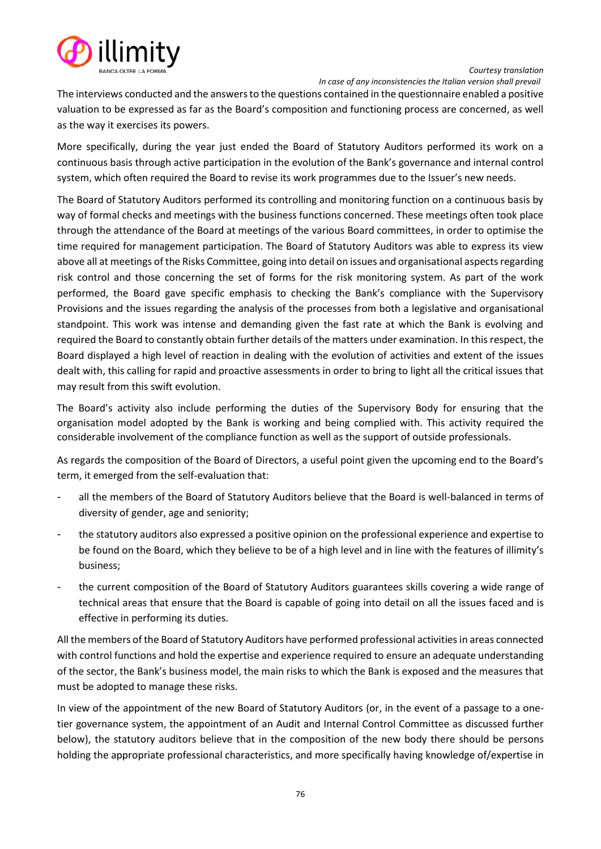

 *In case of any inconsistencies the Italian version shall prevail*

The interviews conducted and the answers to the questions contained in the questionnaire enabled a positive valuation to be expressed as far as the Board's composition and functioning process are concerned, as well as the way it exercises its powers.

More specifically, during the year just ended the Board of Statutory Auditors performed its work on a continuous basis through active participation in the evolution of the Bank's governance and internal control system, which often required the Board to revise its work programmes due to the Issuer's new needs.

The Board of Statutory Auditors performed its controlling and monitoring function on a continuous basis by way of formal checks and meetings with the business functions concerned. These meetings often took place through the attendance of the Board at meetings of the various Board committees, in order to optimise the time required for management participation. The Board of Statutory Auditors was able to express its view above all at meetings of the Risks Committee, going into detail on issues and organisational aspects regarding risk control and those concerning the set of forms for the risk monitoring system. As part of the work performed, the Board gave specific emphasis to checking the Bank's compliance with the Supervisory Provisions and the issues regarding the analysis of the processes from both a legislative and organisational standpoint. This work was intense and demanding given the fast rate at which the Bank is evolving and required the Board to constantly obtain further details of the matters under examination. In this respect, the Board displayed a high level of reaction in dealing with the evolution of activities and extent of the issues dealt with, this calling for rapid and proactive assessments in order to bring to light all the critical issues that may result from this swift evolution.

The Board's activity also include performing the duties of the Supervisory Body for ensuring that the organisation model adopted by the Bank is working and being complied with. This activity required the considerable involvement of the compliance function as well as the support of outside professionals.

As regards the composition of the Board of Directors, a useful point given the upcoming end to the Board's term, it emerged from the self-evaluation that:

- all the members of the Board of Statutory Auditors believe that the Board is well-balanced in terms of diversity of gender, age and seniority;
- the statutory auditors also expressed a positive opinion on the professional experience and expertise to be found on the Board, which they believe to be of a high level and in line with the features of illimity's business;
- the current composition of the Board of Statutory Auditors guarantees skills covering a wide range of technical areas that ensure that the Board is capable of going into detail on all the issues faced and is effective in performing its duties.

All the members of the Board of Statutory Auditors have performed professional activities in areas connected with control functions and hold the expertise and experience required to ensure an adequate understanding of the sector, the Bank's business model, the main risks to which the Bank is exposed and the measures that must be adopted to manage these risks.

In view of the appointment of the new Board of Statutory Auditors (or, in the event of a passage to a onetier governance system, the appointment of an Audit and Internal Control Committee as discussed further below), the statutory auditors believe that in the composition of the new body there should be persons holding the appropriate professional characteristics, and more specifically having knowledge of/expertise in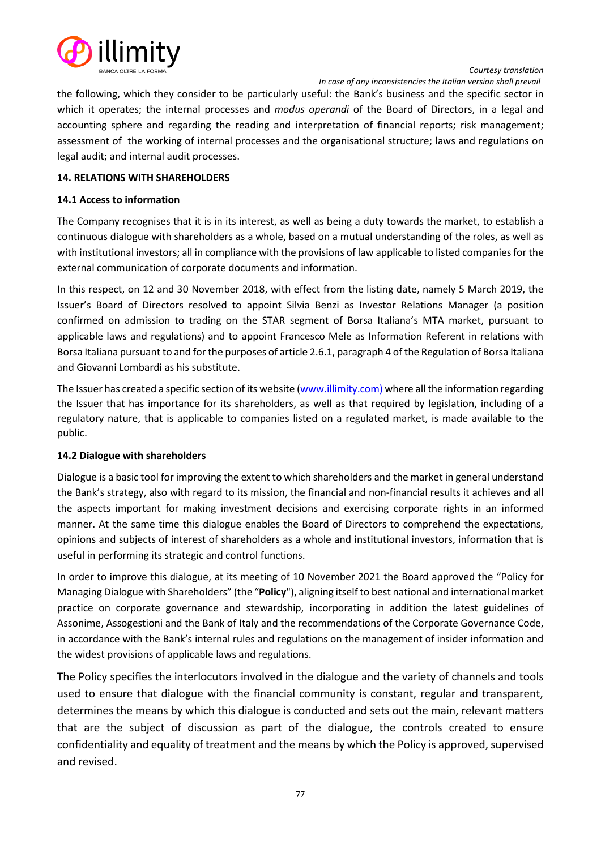

the following, which they consider to be particularly useful: the Bank's business and the specific sector in which it operates; the internal processes and *modus operandi* of the Board of Directors, in a legal and accounting sphere and regarding the reading and interpretation of financial reports; risk management; assessment of the working of internal processes and the organisational structure; laws and regulations on legal audit; and internal audit processes.

## **14. RELATIONS WITH SHAREHOLDERS**

## **14.1 Access to information**

The Company recognises that it is in its interest, as well as being a duty towards the market, to establish a continuous dialogue with shareholders as a whole, based on a mutual understanding of the roles, as well as with institutional investors; all in compliance with the provisions of law applicable to listed companies for the external communication of corporate documents and information.

In this respect, on 12 and 30 November 2018, with effect from the listing date, namely 5 March 2019, the Issuer's Board of Directors resolved to appoint Silvia Benzi as Investor Relations Manager (a position confirmed on admission to trading on the STAR segment of Borsa Italiana's MTA market, pursuant to applicable laws and regulations) and to appoint Francesco Mele as Information Referent in relations with Borsa Italiana pursuant to and for the purposes of article 2.6.1, paragraph 4 of the Regulation of Borsa Italiana and Giovanni Lombardi as his substitute.

The Issuer has created a specific section of its websit[e \(www.illimity.com\)](http://www.illimity.com/) where all the information regarding the Issuer that has importance for its shareholders, as well as that required by legislation, including of a regulatory nature, that is applicable to companies listed on a regulated market, is made available to the public.

## **14.2 Dialogue with shareholders**

Dialogue is a basic tool for improving the extent to which shareholders and the market in general understand the Bank's strategy, also with regard to its mission, the financial and non-financial results it achieves and all the aspects important for making investment decisions and exercising corporate rights in an informed manner. At the same time this dialogue enables the Board of Directors to comprehend the expectations, opinions and subjects of interest of shareholders as a whole and institutional investors, information that is useful in performing its strategic and control functions.

In order to improve this dialogue, at its meeting of 10 November 2021 the Board approved the "Policy for Managing Dialogue with Shareholders" (the "**Policy**"), aligning itself to best national and international market practice on corporate governance and stewardship, incorporating in addition the latest guidelines of Assonime, Assogestioni and the Bank of Italy and the recommendations of the Corporate Governance Code, in accordance with the Bank's internal rules and regulations on the management of insider information and the widest provisions of applicable laws and regulations.

The Policy specifies the interlocutors involved in the dialogue and the variety of channels and tools used to ensure that dialogue with the financial community is constant, regular and transparent, determines the means by which this dialogue is conducted and sets out the main, relevant matters that are the subject of discussion as part of the dialogue, the controls created to ensure confidentiality and equality of treatment and the means by which the Policy is approved, supervised and revised.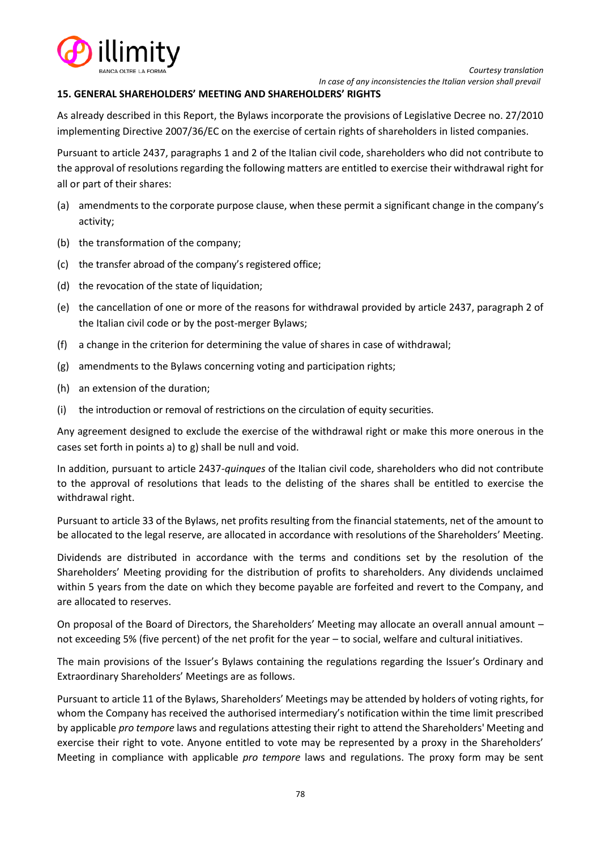

## **15. GENERAL SHAREHOLDERS' MEETING AND SHAREHOLDERS' RIGHTS**

As already described in this Report, the Bylaws incorporate the provisions of Legislative Decree no. 27/2010 implementing Directive 2007/36/EC on the exercise of certain rights of shareholders in listed companies.

Pursuant to article 2437, paragraphs 1 and 2 of the Italian civil code, shareholders who did not contribute to the approval of resolutions regarding the following matters are entitled to exercise their withdrawal right for all or part of their shares:

- (a) amendments to the corporate purpose clause, when these permit a significant change in the company's activity;
- (b) the transformation of the company;
- (c) the transfer abroad of the company's registered office;
- (d) the revocation of the state of liquidation;
- (e) the cancellation of one or more of the reasons for withdrawal provided by article 2437, paragraph 2 of the Italian civil code or by the post-merger Bylaws;
- (f) a change in the criterion for determining the value of shares in case of withdrawal;
- (g) amendments to the Bylaws concerning voting and participation rights;
- (h) an extension of the duration;
- (i) the introduction or removal of restrictions on the circulation of equity securities.

Any agreement designed to exclude the exercise of the withdrawal right or make this more onerous in the cases set forth in points a) to g) shall be null and void.

In addition, pursuant to article 2437-*quinques* of the Italian civil code, shareholders who did not contribute to the approval of resolutions that leads to the delisting of the shares shall be entitled to exercise the withdrawal right.

Pursuant to article 33 of the Bylaws, net profits resulting from the financial statements, net of the amount to be allocated to the legal reserve, are allocated in accordance with resolutions of the Shareholders' Meeting.

Dividends are distributed in accordance with the terms and conditions set by the resolution of the Shareholders' Meeting providing for the distribution of profits to shareholders. Any dividends unclaimed within 5 years from the date on which they become payable are forfeited and revert to the Company, and are allocated to reserves.

On proposal of the Board of Directors, the Shareholders' Meeting may allocate an overall annual amount – not exceeding 5% (five percent) of the net profit for the year – to social, welfare and cultural initiatives.

The main provisions of the Issuer's Bylaws containing the regulations regarding the Issuer's Ordinary and Extraordinary Shareholders' Meetings are as follows.

Pursuant to article 11 of the Bylaws, Shareholders' Meetings may be attended by holders of voting rights, for whom the Company has received the authorised intermediary's notification within the time limit prescribed by applicable *pro tempore* laws and regulations attesting their right to attend the Shareholders' Meeting and exercise their right to vote. Anyone entitled to vote may be represented by a proxy in the Shareholders' Meeting in compliance with applicable *pro tempore* laws and regulations. The proxy form may be sent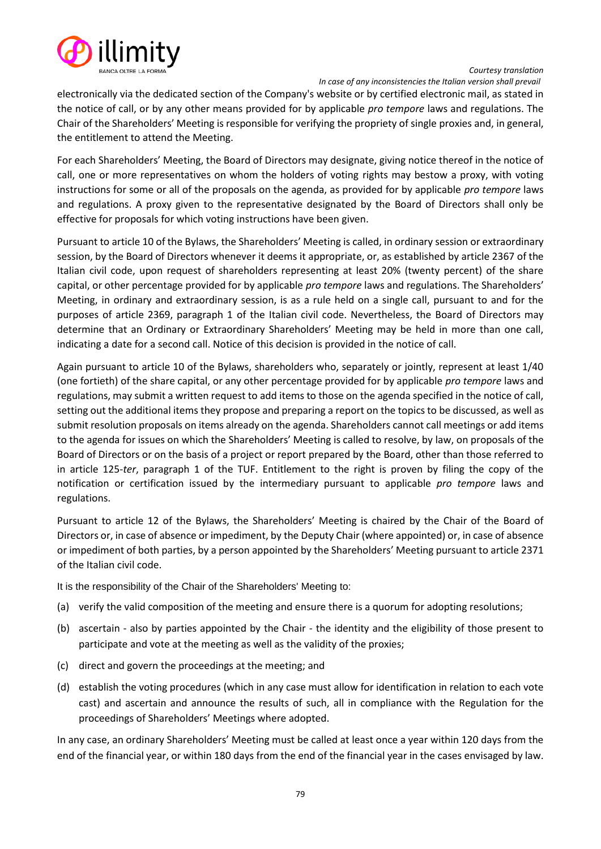

electronically via the dedicated section of the Company's website or by certified electronic mail, as stated in the notice of call, or by any other means provided for by applicable *pro tempore* laws and regulations. The Chair of the Shareholders' Meeting is responsible for verifying the propriety of single proxies and, in general, the entitlement to attend the Meeting.

For each Shareholders' Meeting, the Board of Directors may designate, giving notice thereof in the notice of call, one or more representatives on whom the holders of voting rights may bestow a proxy, with voting instructions for some or all of the proposals on the agenda, as provided for by applicable *pro tempore* laws and regulations. A proxy given to the representative designated by the Board of Directors shall only be effective for proposals for which voting instructions have been given.

Pursuant to article 10 of the Bylaws, the Shareholders' Meeting is called, in ordinary session or extraordinary session, by the Board of Directors whenever it deems it appropriate, or, as established by article 2367 of the Italian civil code, upon request of shareholders representing at least 20% (twenty percent) of the share capital, or other percentage provided for by applicable *pro tempore* laws and regulations. The Shareholders' Meeting, in ordinary and extraordinary session, is as a rule held on a single call, pursuant to and for the purposes of article 2369, paragraph 1 of the Italian civil code. Nevertheless, the Board of Directors may determine that an Ordinary or Extraordinary Shareholders' Meeting may be held in more than one call, indicating a date for a second call. Notice of this decision is provided in the notice of call.

Again pursuant to article 10 of the Bylaws, shareholders who, separately or jointly, represent at least 1/40 (one fortieth) of the share capital, or any other percentage provided for by applicable *pro tempore* laws and regulations, may submit a written request to add items to those on the agenda specified in the notice of call, setting out the additional items they propose and preparing a report on the topics to be discussed, as well as submit resolution proposals on items already on the agenda. Shareholders cannot call meetings or add items to the agenda for issues on which the Shareholders' Meeting is called to resolve, by law, on proposals of the Board of Directors or on the basis of a project or report prepared by the Board, other than those referred to in article 125-*ter*, paragraph 1 of the TUF. Entitlement to the right is proven by filing the copy of the notification or certification issued by the intermediary pursuant to applicable *pro tempore* laws and regulations.

Pursuant to article 12 of the Bylaws, the Shareholders' Meeting is chaired by the Chair of the Board of Directors or, in case of absence or impediment, by the Deputy Chair (where appointed) or, in case of absence or impediment of both parties, by a person appointed by the Shareholders' Meeting pursuant to article 2371 of the Italian civil code.

It is the responsibility of the Chair of the Shareholders' Meeting to:

- (a) verify the valid composition of the meeting and ensure there is a quorum for adopting resolutions;
- (b) ascertain also by parties appointed by the Chair the identity and the eligibility of those present to participate and vote at the meeting as well as the validity of the proxies;
- (c) direct and govern the proceedings at the meeting; and
- (d) establish the voting procedures (which in any case must allow for identification in relation to each vote cast) and ascertain and announce the results of such, all in compliance with the Regulation for the proceedings of Shareholders' Meetings where adopted.

In any case, an ordinary Shareholders' Meeting must be called at least once a year within 120 days from the end of the financial year, or within 180 days from the end of the financial year in the cases envisaged by law.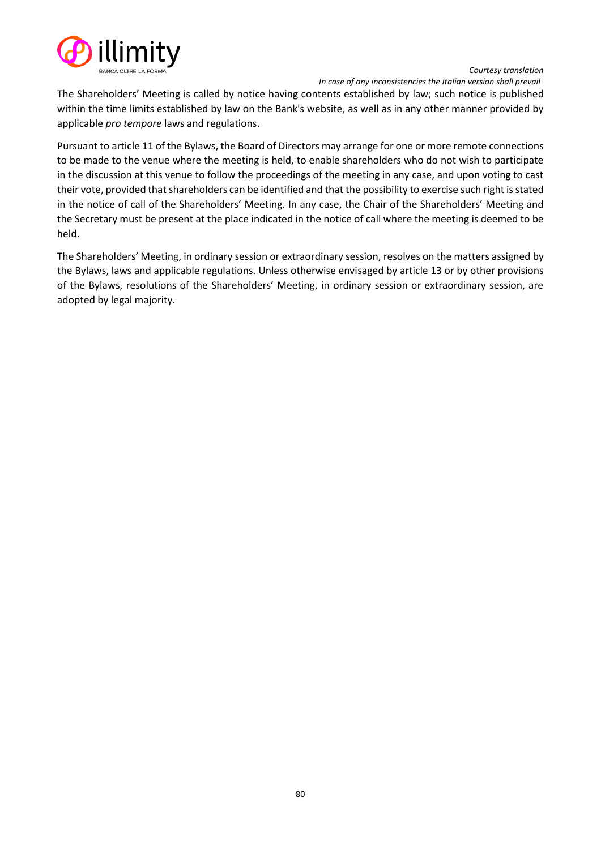

 *In case of any inconsistencies the Italian version shall prevail*

The Shareholders' Meeting is called by notice having contents established by law; such notice is published within the time limits established by law on the Bank's website, as well as in any other manner provided by applicable *pro tempore* laws and regulations.

Pursuant to article 11 of the Bylaws, the Board of Directors may arrange for one or more remote connections to be made to the venue where the meeting is held, to enable shareholders who do not wish to participate in the discussion at this venue to follow the proceedings of the meeting in any case, and upon voting to cast their vote, provided that shareholders can be identified and that the possibility to exercise such right is stated in the notice of call of the Shareholders' Meeting. In any case, the Chair of the Shareholders' Meeting and the Secretary must be present at the place indicated in the notice of call where the meeting is deemed to be held.

The Shareholders' Meeting, in ordinary session or extraordinary session, resolves on the matters assigned by the Bylaws, laws and applicable regulations. Unless otherwise envisaged by article 13 or by other provisions of the Bylaws, resolutions of the Shareholders' Meeting, in ordinary session or extraordinary session, are adopted by legal majority.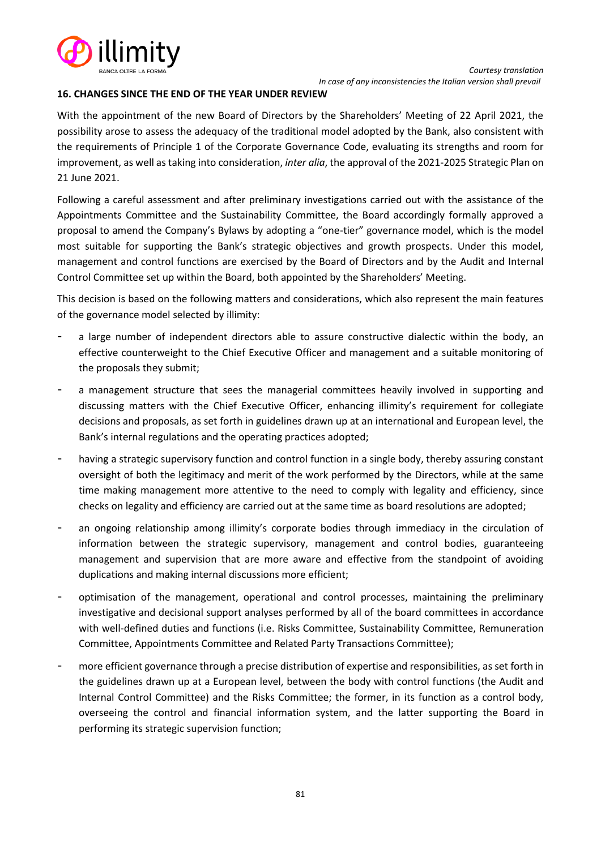

## **16. CHANGES SINCE THE END OF THE YEAR UNDER REVIEW**

With the appointment of the new Board of Directors by the Shareholders' Meeting of 22 April 2021, the possibility arose to assess the adequacy of the traditional model adopted by the Bank, also consistent with the requirements of Principle 1 of the Corporate Governance Code, evaluating its strengths and room for improvement, as well as taking into consideration, *inter alia*, the approval of the 2021-2025 Strategic Plan on 21 June 2021.

Following a careful assessment and after preliminary investigations carried out with the assistance of the Appointments Committee and the Sustainability Committee, the Board accordingly formally approved a proposal to amend the Company's Bylaws by adopting a "one-tier" governance model, which is the model most suitable for supporting the Bank's strategic objectives and growth prospects. Under this model, management and control functions are exercised by the Board of Directors and by the Audit and Internal Control Committee set up within the Board, both appointed by the Shareholders' Meeting.

This decision is based on the following matters and considerations, which also represent the main features of the governance model selected by illimity:

- a large number of independent directors able to assure constructive dialectic within the body, an effective counterweight to the Chief Executive Officer and management and a suitable monitoring of the proposals they submit;
- a management structure that sees the managerial committees heavily involved in supporting and discussing matters with the Chief Executive Officer, enhancing illimity's requirement for collegiate decisions and proposals, as set forth in guidelines drawn up at an international and European level, the Bank's internal regulations and the operating practices adopted;
- having a strategic supervisory function and control function in a single body, thereby assuring constant oversight of both the legitimacy and merit of the work performed by the Directors, while at the same time making management more attentive to the need to comply with legality and efficiency, since checks on legality and efficiency are carried out at the same time as board resolutions are adopted;
- an ongoing relationship among illimity's corporate bodies through immediacy in the circulation of information between the strategic supervisory, management and control bodies, guaranteeing management and supervision that are more aware and effective from the standpoint of avoiding duplications and making internal discussions more efficient;
- optimisation of the management, operational and control processes, maintaining the preliminary investigative and decisional support analyses performed by all of the board committees in accordance with well-defined duties and functions (i.e. Risks Committee, Sustainability Committee, Remuneration Committee, Appointments Committee and Related Party Transactions Committee);
- more efficient governance through a precise distribution of expertise and responsibilities, as set forth in the guidelines drawn up at a European level, between the body with control functions (the Audit and Internal Control Committee) and the Risks Committee; the former, in its function as a control body, overseeing the control and financial information system, and the latter supporting the Board in performing its strategic supervision function;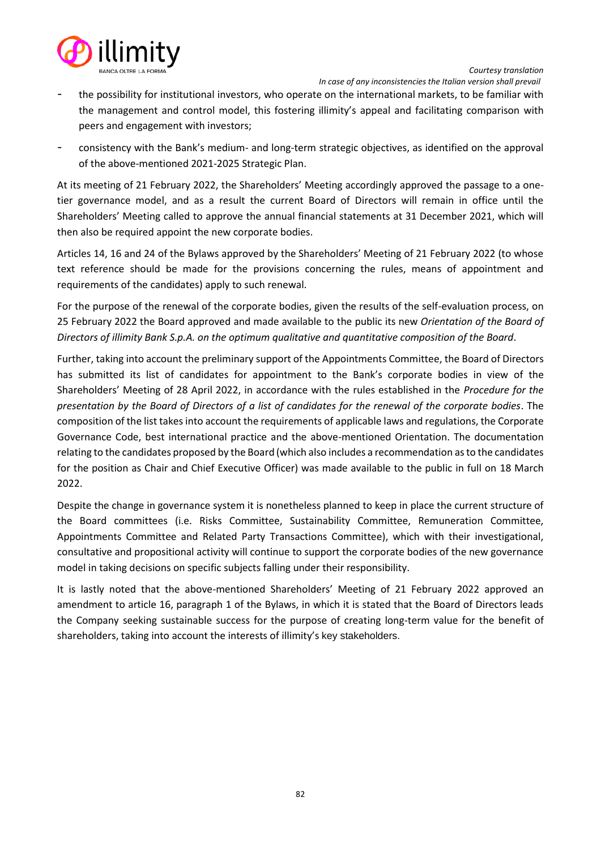



 *In case of any inconsistencies the Italian version shall prevail*

- the possibility for institutional investors, who operate on the international markets, to be familiar with the management and control model, this fostering illimity's appeal and facilitating comparison with peers and engagement with investors;
- consistency with the Bank's medium- and long-term strategic objectives, as identified on the approval of the above-mentioned 2021-2025 Strategic Plan.

At its meeting of 21 February 2022, the Shareholders' Meeting accordingly approved the passage to a onetier governance model, and as a result the current Board of Directors will remain in office until the Shareholders' Meeting called to approve the annual financial statements at 31 December 2021, which will then also be required appoint the new corporate bodies.

Articles 14, 16 and 24 of the Bylaws approved by the Shareholders' Meeting of 21 February 2022 (to whose text reference should be made for the provisions concerning the rules, means of appointment and requirements of the candidates) apply to such renewal.

For the purpose of the renewal of the corporate bodies, given the results of the self-evaluation process, on 25 February 2022 the Board approved and made available to the public its new *Orientation of the Board of Directors of illimity Bank S.p.A. on the optimum qualitative and quantitative composition of the Board*.

Further, taking into account the preliminary support of the Appointments Committee, the Board of Directors has submitted its list of candidates for appointment to the Bank's corporate bodies in view of the Shareholders' Meeting of 28 April 2022, in accordance with the rules established in the *Procedure for the presentation by the Board of Directors of a list of candidates for the renewal of the corporate bodies*. The composition of the list takes into account the requirements of applicable laws and regulations, the Corporate Governance Code, best international practice and the above-mentioned Orientation. The documentation relating to the candidates proposed by the Board (which also includes a recommendation as to the candidates for the position as Chair and Chief Executive Officer) was made available to the public in full on 18 March 2022.

Despite the change in governance system it is nonetheless planned to keep in place the current structure of the Board committees (i.e. Risks Committee, Sustainability Committee, Remuneration Committee, Appointments Committee and Related Party Transactions Committee), which with their investigational, consultative and propositional activity will continue to support the corporate bodies of the new governance model in taking decisions on specific subjects falling under their responsibility.

It is lastly noted that the above-mentioned Shareholders' Meeting of 21 February 2022 approved an amendment to article 16, paragraph 1 of the Bylaws, in which it is stated that the Board of Directors leads the Company seeking sustainable success for the purpose of creating long-term value for the benefit of shareholders, taking into account the interests of illimity's key stakeholders.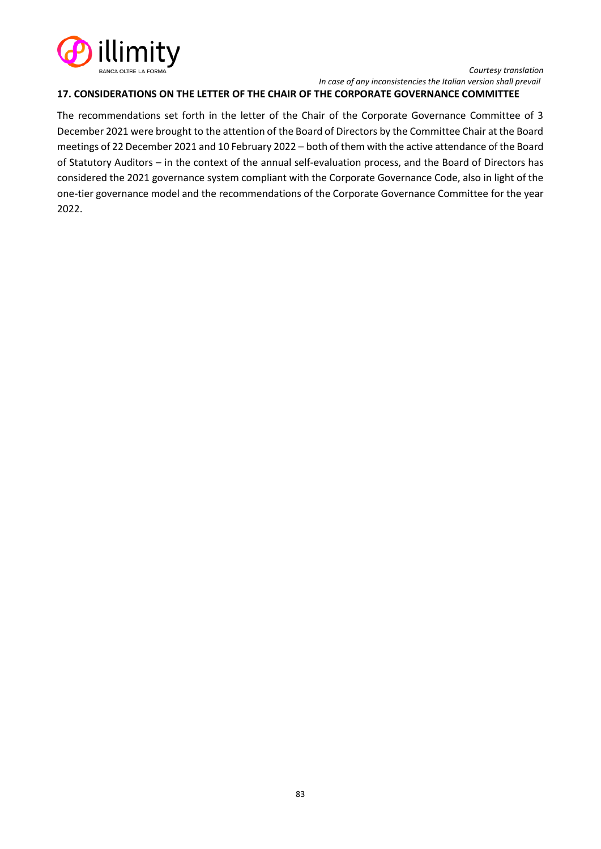

## **17. CONSIDERATIONS ON THE LETTER OF THE CHAIR OF THE CORPORATE GOVERNANCE COMMITTEE**

The recommendations set forth in the letter of the Chair of the Corporate Governance Committee of 3 December 2021 were brought to the attention of the Board of Directors by the Committee Chair at the Board meetings of 22 December 2021 and 10 February 2022 – both of them with the active attendance of the Board of Statutory Auditors – in the context of the annual self-evaluation process, and the Board of Directors has considered the 2021 governance system compliant with the Corporate Governance Code, also in light of the one-tier governance model and the recommendations of the Corporate Governance Committee for the year 2022.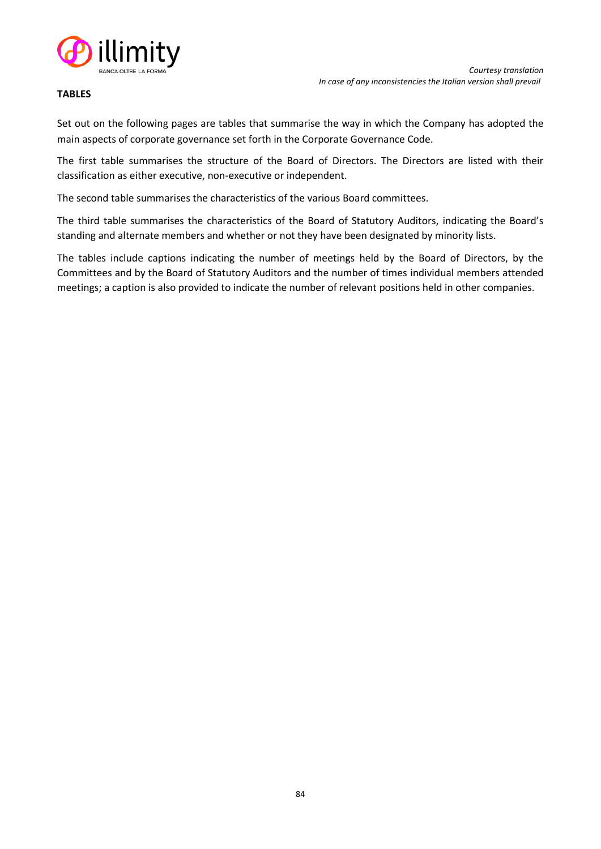

## **TABLES**

Set out on the following pages are tables that summarise the way in which the Company has adopted the main aspects of corporate governance set forth in the Corporate Governance Code.

The first table summarises the structure of the Board of Directors. The Directors are listed with their classification as either executive, non-executive or independent.

The second table summarises the characteristics of the various Board committees.

The third table summarises the characteristics of the Board of Statutory Auditors, indicating the Board's standing and alternate members and whether or not they have been designated by minority lists.

The tables include captions indicating the number of meetings held by the Board of Directors, by the Committees and by the Board of Statutory Auditors and the number of times individual members attended meetings; a caption is also provided to indicate the number of relevant positions held in other companies.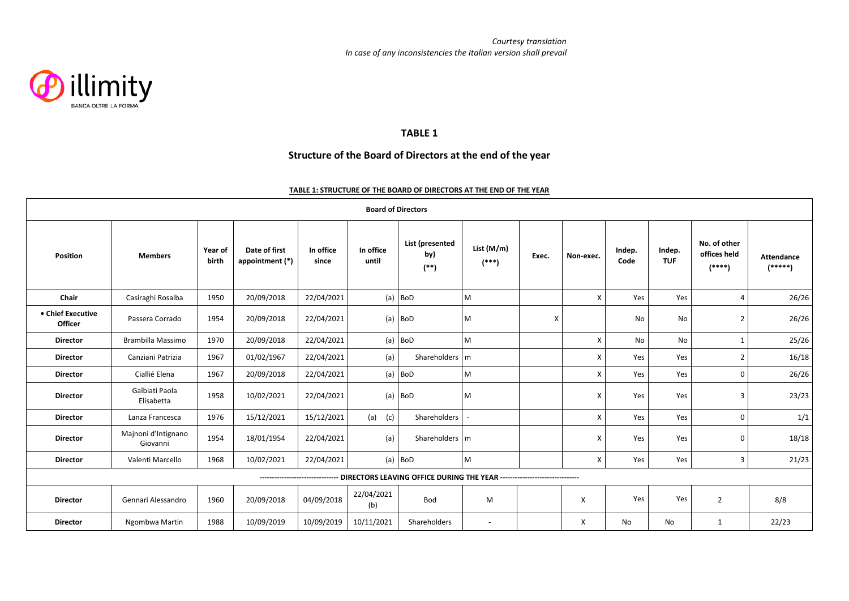

#### **TABLE 1**

## **Structure of the Board of Directors at the end of the year**

#### **TABLE 1: STRUCTURE OF THE BOARD OF DIRECTORS AT THE END OF THE YEAR**

| <b>Board of Directors</b>    |                                 |                  |                                  |                    |                    |                                                                           |                       |       |           |                |                      |                                          |                                |
|------------------------------|---------------------------------|------------------|----------------------------------|--------------------|--------------------|---------------------------------------------------------------------------|-----------------------|-------|-----------|----------------|----------------------|------------------------------------------|--------------------------------|
| <b>Position</b>              | <b>Members</b>                  | Year of<br>birth | Date of first<br>appointment (*) | In office<br>since | In office<br>until | List (presented<br>by)<br>$\left( ^{\ast \ast }\right)$                   | List (M/m)<br>$(***)$ | Exec. | Non-exec. | Indep.<br>Code | Indep.<br><b>TUF</b> | No. of other<br>offices held<br>$(****)$ | <b>Attendance</b><br>$(****")$ |
| Chair                        | Casiraghi Rosalba               | 1950             | 20/09/2018                       | 22/04/2021         | (a)                | <b>BoD</b>                                                                | M                     |       | X         | Yes            | Yes                  | $\overline{4}$                           | 26/26                          |
| • Chief Executive<br>Officer | Passera Corrado                 | 1954             | 20/09/2018                       | 22/04/2021         |                    | $(a)$ BoD                                                                 | M                     | X     |           | No             | No                   | $\overline{2}$                           | 26/26                          |
| <b>Director</b>              | Brambilla Massimo               | 1970             | 20/09/2018                       | 22/04/2021         |                    | $(a)$ BoD                                                                 | M                     |       | X         | No             | No                   | 1                                        | 25/26                          |
| <b>Director</b>              | Canziani Patrizia               | 1967             | 01/02/1967                       | 22/04/2021         | (a)                | Shareholders   m                                                          |                       |       | X         | Yes            | Yes                  | $\overline{2}$                           | 16/18                          |
| <b>Director</b>              | Ciallié Elena                   | 1967             | 20/09/2018                       | 22/04/2021         |                    | $(a)$ BoD                                                                 | M                     |       | X         | Yes            | Yes                  | $\mathsf{o}$                             | 26/26                          |
| <b>Director</b>              | Galbiati Paola<br>Elisabetta    | 1958             | 10/02/2021                       | 22/04/2021         |                    | $(a)$ BoD                                                                 | M                     |       | X         | Yes            | Yes                  | $\overline{3}$                           | 23/23                          |
| <b>Director</b>              | Lanza Francesca                 | 1976             | 15/12/2021                       | 15/12/2021         | $(a)$ (c)          | Shareholders                                                              |                       |       | X         | Yes            | Yes                  | 0                                        | 1/1                            |
| <b>Director</b>              | Majnoni d'Intignano<br>Giovanni | 1954             | 18/01/1954                       | 22/04/2021         | (a)                | Shareholders   m                                                          |                       |       | X         | Yes            | Yes                  | 0                                        | 18/18                          |
| <b>Director</b>              | Valenti Marcello                | 1968             | 10/02/2021                       | 22/04/2021         |                    | $(a)$ BoD                                                                 | M                     |       | X         | Yes            | Yes                  | $\overline{3}$                           | 21/23                          |
|                              |                                 |                  |                                  |                    |                    | DIRECTORS LEAVING OFFICE DURING THE YEAR -------------------------------- |                       |       |           |                |                      |                                          |                                |
| <b>Director</b>              | Gennari Alessandro              | 1960             | 20/09/2018                       | 04/09/2018         | 22/04/2021<br>(b)  | Bod                                                                       | M                     |       | X         | Yes            | Yes                  | $\overline{2}$                           | 8/8                            |
| <b>Director</b>              | Ngombwa Martin                  | 1988             | 10/09/2019                       | 10/09/2019         | 10/11/2021         | Shareholders                                                              | $\sim$                |       | X         | No             | No                   | $\mathbf{1}$                             | 22/23                          |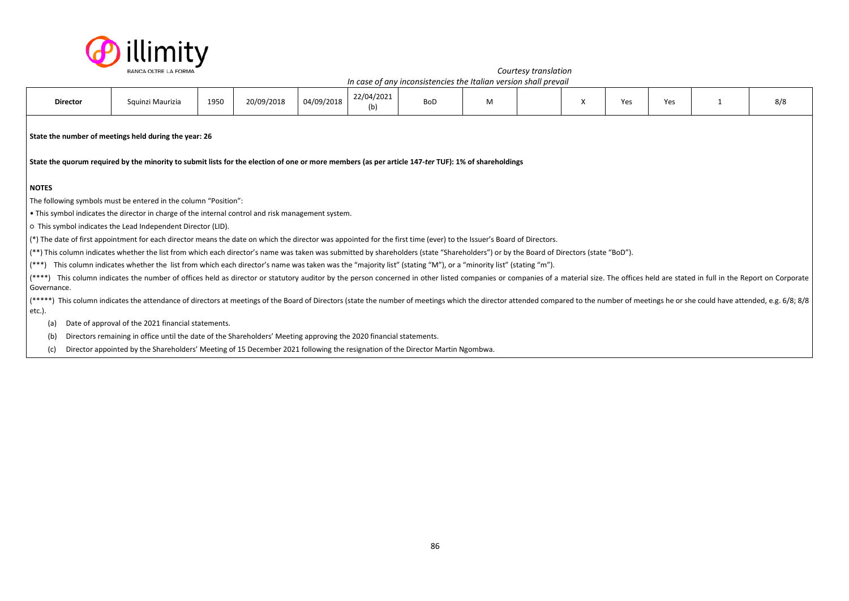

|                                                                                                                                                                                                              | Squinzi Maurizia               | 1950 | 20/09/2018                                                                                                         | 04/09/2018                                                      | 22/04/2021<br>(b) | <b>BoD</b>                                                                                         | M                                                                                                                  |                                                                                                                               | X                                                                                                                                                                                                                                                                                                                                   | Yes                                                              | Yes                                                                                                                                                                                    | 8/8                                                                                                                                                                                                                                                                                                                                                                                                                                                              |
|--------------------------------------------------------------------------------------------------------------------------------------------------------------------------------------------------------------|--------------------------------|------|--------------------------------------------------------------------------------------------------------------------|-----------------------------------------------------------------|-------------------|----------------------------------------------------------------------------------------------------|--------------------------------------------------------------------------------------------------------------------|-------------------------------------------------------------------------------------------------------------------------------|-------------------------------------------------------------------------------------------------------------------------------------------------------------------------------------------------------------------------------------------------------------------------------------------------------------------------------------|------------------------------------------------------------------|----------------------------------------------------------------------------------------------------------------------------------------------------------------------------------------|------------------------------------------------------------------------------------------------------------------------------------------------------------------------------------------------------------------------------------------------------------------------------------------------------------------------------------------------------------------------------------------------------------------------------------------------------------------|
| State the number of meetings held during the year: 26<br>State the quorum required by the minority to submit lists for the election of one or more members (as per article 147-ter TUF): 1% of shareholdings |                                |      |                                                                                                                    |                                                                 |                   |                                                                                                    |                                                                                                                    |                                                                                                                               |                                                                                                                                                                                                                                                                                                                                     |                                                                  |                                                                                                                                                                                        |                                                                                                                                                                                                                                                                                                                                                                                                                                                                  |
|                                                                                                                                                                                                              |                                |      |                                                                                                                    |                                                                 |                   |                                                                                                    |                                                                                                                    |                                                                                                                               |                                                                                                                                                                                                                                                                                                                                     |                                                                  |                                                                                                                                                                                        |                                                                                                                                                                                                                                                                                                                                                                                                                                                                  |
|                                                                                                                                                                                                              |                                |      |                                                                                                                    |                                                                 |                   |                                                                                                    |                                                                                                                    |                                                                                                                               |                                                                                                                                                                                                                                                                                                                                     |                                                                  |                                                                                                                                                                                        |                                                                                                                                                                                                                                                                                                                                                                                                                                                                  |
|                                                                                                                                                                                                              |                                |      |                                                                                                                    |                                                                 |                   |                                                                                                    |                                                                                                                    |                                                                                                                               |                                                                                                                                                                                                                                                                                                                                     |                                                                  |                                                                                                                                                                                        |                                                                                                                                                                                                                                                                                                                                                                                                                                                                  |
|                                                                                                                                                                                                              |                                |      |                                                                                                                    |                                                                 |                   |                                                                                                    |                                                                                                                    |                                                                                                                               |                                                                                                                                                                                                                                                                                                                                     |                                                                  |                                                                                                                                                                                        |                                                                                                                                                                                                                                                                                                                                                                                                                                                                  |
|                                                                                                                                                                                                              |                                |      |                                                                                                                    |                                                                 |                   |                                                                                                    |                                                                                                                    |                                                                                                                               |                                                                                                                                                                                                                                                                                                                                     |                                                                  |                                                                                                                                                                                        |                                                                                                                                                                                                                                                                                                                                                                                                                                                                  |
|                                                                                                                                                                                                              |                                |      |                                                                                                                    |                                                                 |                   |                                                                                                    |                                                                                                                    |                                                                                                                               |                                                                                                                                                                                                                                                                                                                                     |                                                                  |                                                                                                                                                                                        |                                                                                                                                                                                                                                                                                                                                                                                                                                                                  |
|                                                                                                                                                                                                              |                                |      |                                                                                                                    |                                                                 |                   |                                                                                                    |                                                                                                                    |                                                                                                                               |                                                                                                                                                                                                                                                                                                                                     |                                                                  |                                                                                                                                                                                        |                                                                                                                                                                                                                                                                                                                                                                                                                                                                  |
|                                                                                                                                                                                                              |                                |      |                                                                                                                    |                                                                 |                   |                                                                                                    |                                                                                                                    |                                                                                                                               |                                                                                                                                                                                                                                                                                                                                     |                                                                  |                                                                                                                                                                                        |                                                                                                                                                                                                                                                                                                                                                                                                                                                                  |
|                                                                                                                                                                                                              |                                |      |                                                                                                                    |                                                                 |                   |                                                                                                    |                                                                                                                    |                                                                                                                               |                                                                                                                                                                                                                                                                                                                                     |                                                                  |                                                                                                                                                                                        |                                                                                                                                                                                                                                                                                                                                                                                                                                                                  |
|                                                                                                                                                                                                              |                                |      |                                                                                                                    |                                                                 |                   |                                                                                                    |                                                                                                                    |                                                                                                                               |                                                                                                                                                                                                                                                                                                                                     |                                                                  |                                                                                                                                                                                        |                                                                                                                                                                                                                                                                                                                                                                                                                                                                  |
|                                                                                                                                                                                                              |                                |      |                                                                                                                    |                                                                 |                   |                                                                                                    |                                                                                                                    |                                                                                                                               |                                                                                                                                                                                                                                                                                                                                     |                                                                  |                                                                                                                                                                                        |                                                                                                                                                                                                                                                                                                                                                                                                                                                                  |
|                                                                                                                                                                                                              |                                |      |                                                                                                                    |                                                                 |                   |                                                                                                    |                                                                                                                    |                                                                                                                               |                                                                                                                                                                                                                                                                                                                                     |                                                                  |                                                                                                                                                                                        |                                                                                                                                                                                                                                                                                                                                                                                                                                                                  |
|                                                                                                                                                                                                              | <b>Director</b><br>Governance. |      | o This symbol indicates the Lead Independent Director (LID).<br>Date of approval of the 2021 financial statements. | The following symbols must be entered in the column "Position": |                   | . This symbol indicates the director in charge of the internal control and risk management system. | Directors remaining in office until the date of the Shareholders' Meeting approving the 2020 financial statements. | Director appointed by the Shareholders' Meeting of 15 December 2021 following the resignation of the Director Martin Ngombwa. | (*) The date of first appointment for each director means the date on which the director was appointed for the first time (ever) to the Issuer's Board of Directors.<br>This column indicates whether the list from which each director's name was taken was the "majority list" (stating "M"), or a "minority list" (stating "m"). | In case of any inconsistencies the Italian version shall prevail | (**) This column indicates whether the list from which each director's name was taken was submitted by shareholders (state "Shareholders") or by the Board of Directors (state "BoD"). | This column indicates the number of offices held as director or statutory auditor by the person concerned in other listed companies or companies of a material size. The offices held are stated in full in the Report on Corp<br>(*****) This column indicates the attendance of directors at meetings of the Board of Directors (state the number of meetings which the director attended compared to the number of meetings he or she could have attended, e. |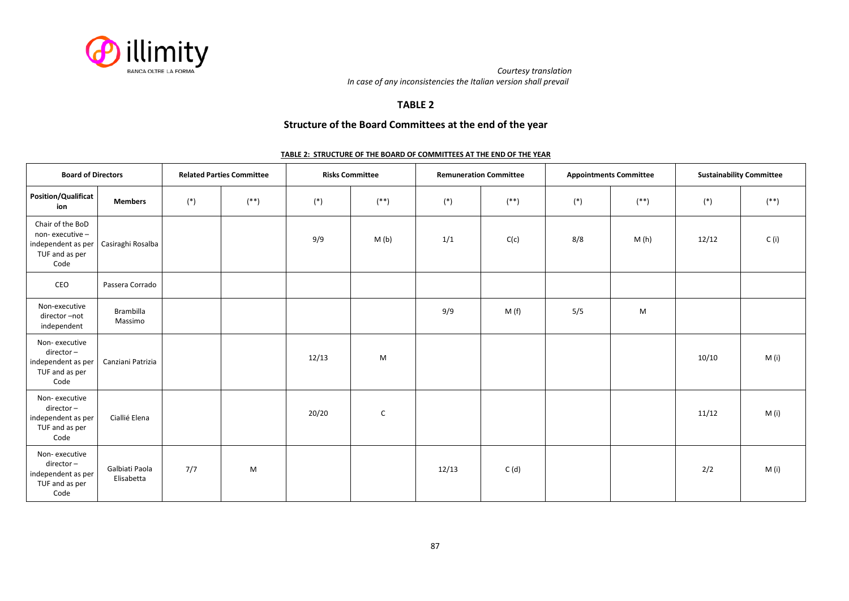

### **TABLE 2**

## **Structure of the Board Committees at the end of the year**

#### **TABLE 2: STRUCTURE OF THE BOARD OF COMMITTEES AT THE END OF THE YEAR**

| <b>Board of Directors</b>                                                          |                              |       | <b>Related Parties Committee</b> | <b>Risks Committee</b> |              | <b>Remuneration Committee</b> |           | <b>Appointments Committee</b> |              | <b>Sustainability Committee</b> |              |
|------------------------------------------------------------------------------------|------------------------------|-------|----------------------------------|------------------------|--------------|-------------------------------|-----------|-------------------------------|--------------|---------------------------------|--------------|
| <b>Position/Qualificat</b><br>ion                                                  | <b>Members</b>               | $(*)$ | $^{**}$                          | $(*)$                  | $(\ast\ast)$ | $(*)$                         | $^{(**)}$ | $(*)$                         | $(\ast\ast)$ | $(\ast)$                        | $(\ast\ast)$ |
| Chair of the BoD<br>non-executive-<br>independent as per<br>TUF and as per<br>Code | Casiraghi Rosalba            |       |                                  | 9/9                    | M(b)         | 1/1                           | C(c)      | 8/8                           | M(h)         | 12/12                           | C(i)         |
| CEO                                                                                | Passera Corrado              |       |                                  |                        |              |                               |           |                               |              |                                 |              |
| Non-executive<br>director-not<br>independent                                       | Brambilla<br>Massimo         |       |                                  |                        |              | 9/9                           | M(f)      | 5/5                           | M            |                                 |              |
| Non-executive<br>director-<br>independent as per<br>TUF and as per<br>Code         | Canziani Patrizia            |       |                                  | 12/13                  | M            |                               |           |                               |              | 10/10                           | M(i)         |
| Non-executive<br>director-<br>independent as per<br>TUF and as per<br>Code         | Ciallié Elena                |       |                                  | 20/20                  | C            |                               |           |                               |              | 11/12                           | M (i)        |
| Non-executive<br>director-<br>independent as per<br>TUF and as per<br>Code         | Galbiati Paola<br>Elisabetta | 7/7   | M                                |                        |              | 12/13                         | C(d)      |                               |              | 2/2                             | M(i)         |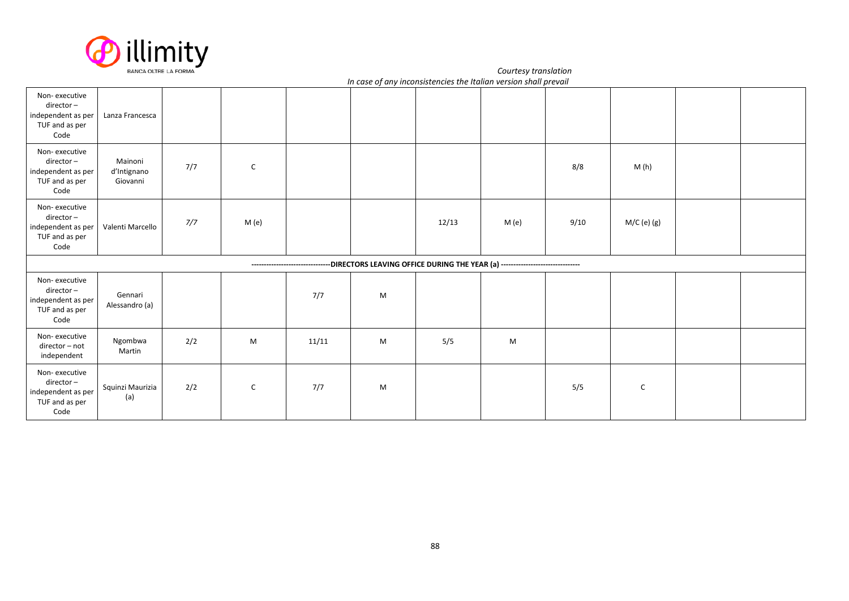

*Courtesy translation In case of any inconsistencies the Italian version shall prevail*

| Non-executive<br>director-<br>independent as per<br>TUF and as per<br>Code | Lanza Francesca                    |     |               |       |   |       |                                                                                                             |      |               |  |
|----------------------------------------------------------------------------|------------------------------------|-----|---------------|-------|---|-------|-------------------------------------------------------------------------------------------------------------|------|---------------|--|
| Non-executive<br>director-<br>independent as per<br>TUF and as per<br>Code | Mainoni<br>d'Intignano<br>Giovanni | 7/7 | ${\mathsf C}$ |       |   |       |                                                                                                             | 8/8  | M(h)          |  |
| Non-executive<br>director-<br>independent as per<br>TUF and as per<br>Code | Valenti Marcello                   | 7/7 | M (e)         |       |   | 12/13 | M (e)                                                                                                       | 9/10 | $M/C$ (e) (g) |  |
|                                                                            |                                    |     |               |       |   |       | -------------------------------DIRECTORS LEAVING OFFICE DURING THE YEAR (a) ------------------------------- |      |               |  |
| Non-executive<br>director-<br>independent as per<br>TUF and as per<br>Code | Gennari<br>Alessandro (a)          |     |               | 7/7   | M |       |                                                                                                             |      |               |  |
| Non-executive<br>director - not<br>independent                             | Ngombwa<br>Martin                  | 2/2 | M             | 11/11 | M | 5/5   | M                                                                                                           |      |               |  |
| Non-executive<br>director-<br>independent as per<br>TUF and as per<br>Code | Squinzi Maurizia<br>(a)            | 2/2 | $\mathsf{C}$  | 7/7   | M |       |                                                                                                             | 5/5  | $\mathsf{C}$  |  |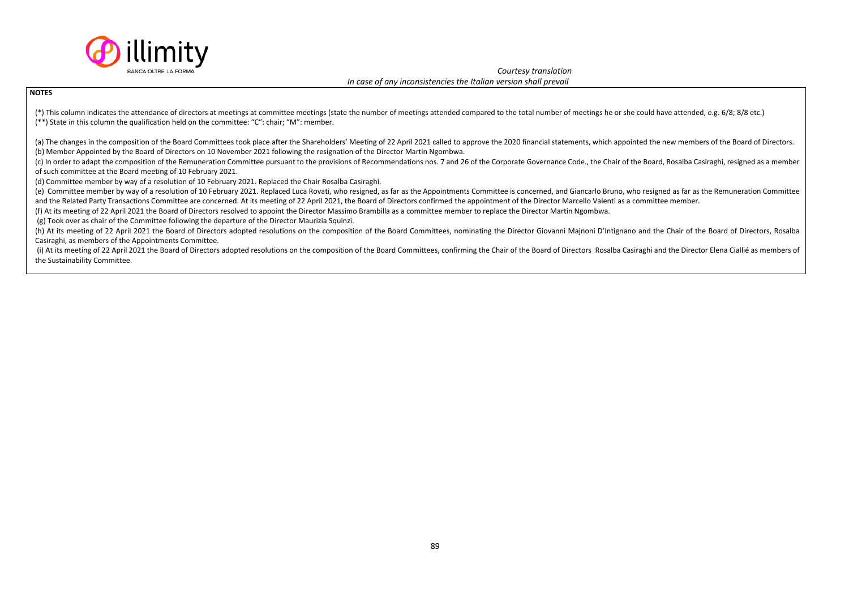

#### **NOTES**

(\*) This column indicates the attendance of directors at meetings at committee meetings (state the number of meetings attended compared to the total number of meetings he or she could have attended, e.g. 6/8; 8/8 etc.) (\*\*) State in this column the qualification held on the committee: "C": chair; "M": member.

(a) The changes in the composition of the Board Committees took place after the Shareholders' Meeting of 22 April 2021 called to approve the 2020 financial statements, which appointed the new members of the Board of Direct (b) Member Appointed by the Board of Directors on 10 November 2021 following the resignation of the Director Martin Ngombwa.

(c) In order to adapt the composition of the Remuneration Committee pursuant to the provisions of Recommendations nos. 7 and 26 of the Corporate Governance Code., the Chair of the Board, Rosalba Casiraghi, resigned as a me of such committee at the Board meeting of 10 February 2021.

(d) Committee member by way of a resolution of 10 February 2021. Replaced the Chair Rosalba Casiraghi.

(e) Committee member by way of a resolution of 10 February 2021. Replaced Luca Rovati, who resigned, as far as the Appointments Committee is concerned, and Giancarlo Bruno, who resigned as far as the Remuneration Committee and the Related Party Transactions Committee are concerned. At its meeting of 22 April 2021, the Board of Directors confirmed the appointment of the Director Marcello Valenti as a committee member.

(f) At its meeting of 22 April 2021 the Board of Directors resolved to appoint the Director Massimo Brambilla as a committee member to replace the Director Martin Ngombwa.

(g) Took over as chair of the Committee following the departure of the Director Maurizia Squinzi.

(h) At its meeting of 22 April 2021 the Board of Directors adopted resolutions on the composition of the Board Committees, nominating the Director Giovanni Majnoni D'Intignano and the Chair of the Board of Directors, Rosal Casiraghi, as members of the Appointments Committee.

(i) At its meeting of 22 April 2021 the Board of Directors adopted resolutions on the composition of the Board Committees, confirming the Chair of the Board of Directors Rosalba Casiraghi and the Director Elena Ciallié as the Sustainability Committee.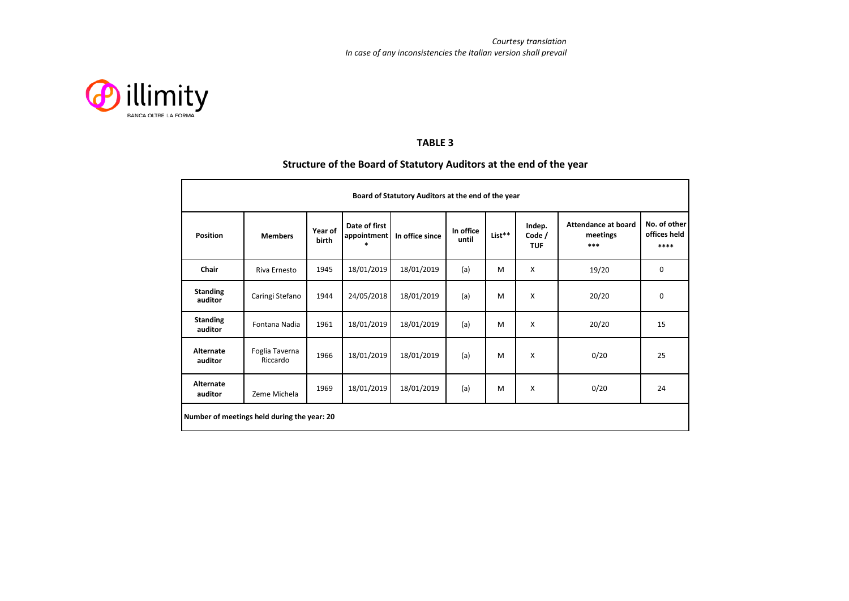

## **TABLE 3**

## **Structure of the Board of Statutory Auditors at the end of the year**

| Board of Statutory Auditors at the end of the year |                            |                  |                              |                 |                    |        |                                |                                                 |                                      |  |  |
|----------------------------------------------------|----------------------------|------------------|------------------------------|-----------------|--------------------|--------|--------------------------------|-------------------------------------------------|--------------------------------------|--|--|
| <b>Position</b>                                    | <b>Members</b>             | Year of<br>birth | Date of first<br>appointment | In office since | In office<br>until | List** | Indep.<br>Code /<br><b>TUF</b> | <b>Attendance at board</b><br>meetings<br>$***$ | No. of other<br>offices held<br>**** |  |  |
| Chair                                              | Riva Ernesto               | 1945             | 18/01/2019                   | 18/01/2019      | (a)                | M      | X                              | 19/20                                           | $\mathbf 0$                          |  |  |
| <b>Standing</b><br>auditor                         | Caringi Stefano            | 1944             | 24/05/2018                   | 18/01/2019      | (a)                | M      | X                              | 20/20                                           | $\mathbf 0$                          |  |  |
| <b>Standing</b><br>auditor                         | Fontana Nadia              | 1961             | 18/01/2019                   | 18/01/2019      | (a)                | M      | $\boldsymbol{\mathsf{x}}$      | 20/20                                           | 15                                   |  |  |
| Alternate<br>auditor                               | Foglia Taverna<br>Riccardo | 1966             | 18/01/2019                   | 18/01/2019      | (a)                | M      | $\boldsymbol{\mathsf{x}}$      | 0/20                                            | 25                                   |  |  |
| Alternate<br>auditor                               | Zeme Michela               | 1969             | 18/01/2019                   | 18/01/2019      | (a)                | M      | X                              | 0/20                                            | 24                                   |  |  |
| Number of meetings held during the year: 20        |                            |                  |                              |                 |                    |        |                                |                                                 |                                      |  |  |